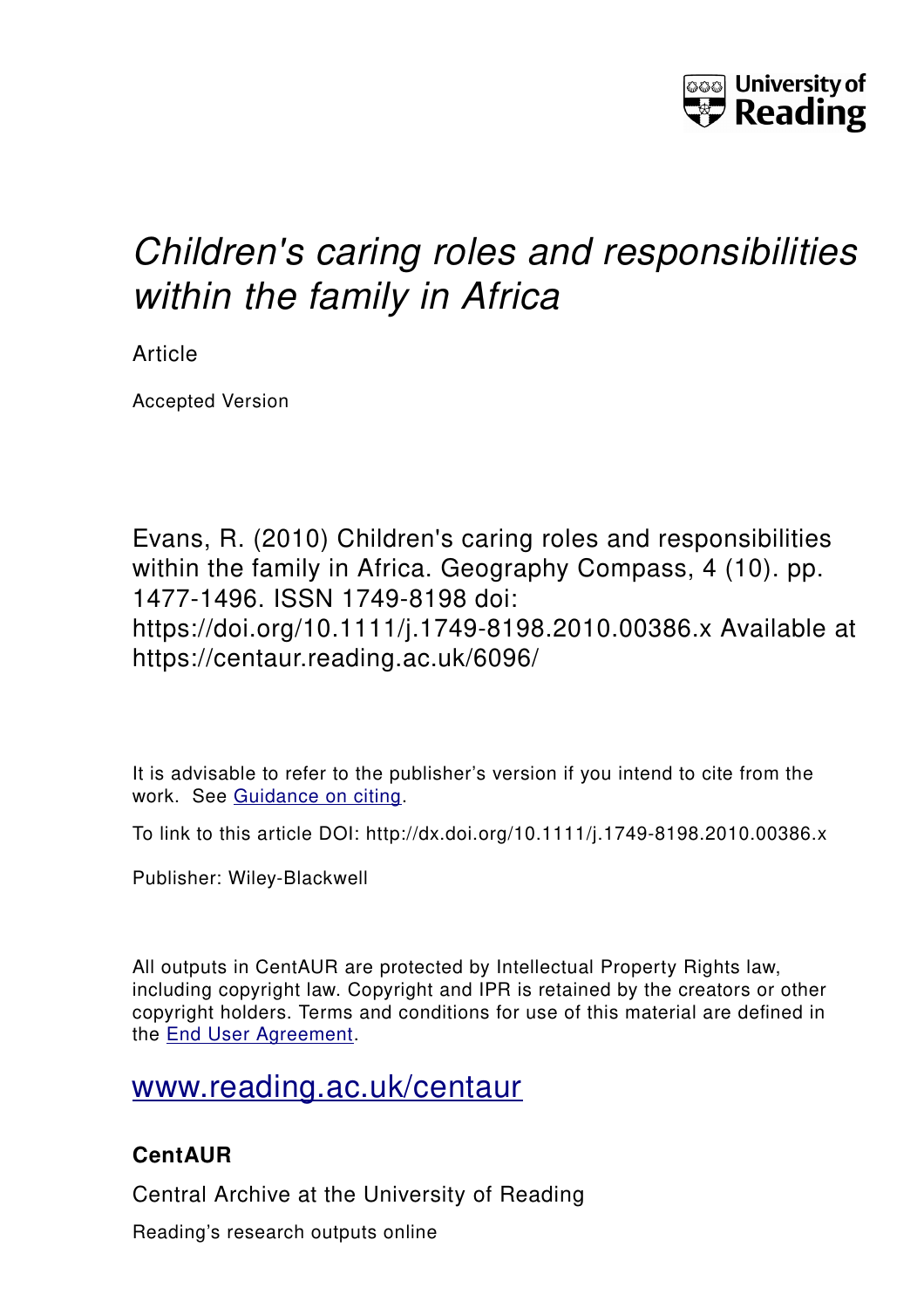

# *Children's caring roles and responsibilities within the family in Africa*

Article

Accepted Version

Evans, R. (2010) Children's caring roles and responsibilities within the family in Africa. Geography Compass, 4 (10). pp. 1477-1496. ISSN 1749-8198 doi: https://doi.org/10.1111/j.1749-8198.2010.00386.x Available at https://centaur.reading.ac.uk/6096/

It is advisable to refer to the publisher's version if you intend to cite from the work. See [Guidance on citing.](http://centaur.reading.ac.uk/71187/10/CentAUR%20citing%20guide.pdf)

To link to this article DOI: http://dx.doi.org/10.1111/j.1749-8198.2010.00386.x

Publisher: Wiley-Blackwell

All outputs in CentAUR are protected by Intellectual Property Rights law, including copyright law. Copyright and IPR is retained by the creators or other copyright holders. Terms and conditions for use of this material are defined in the [End User Agreement.](http://centaur.reading.ac.uk/licence)

## [www.reading.ac.uk/centaur](http://www.reading.ac.uk/centaur)

### **CentAUR**

Central Archive at the University of Reading

Reading's research outputs online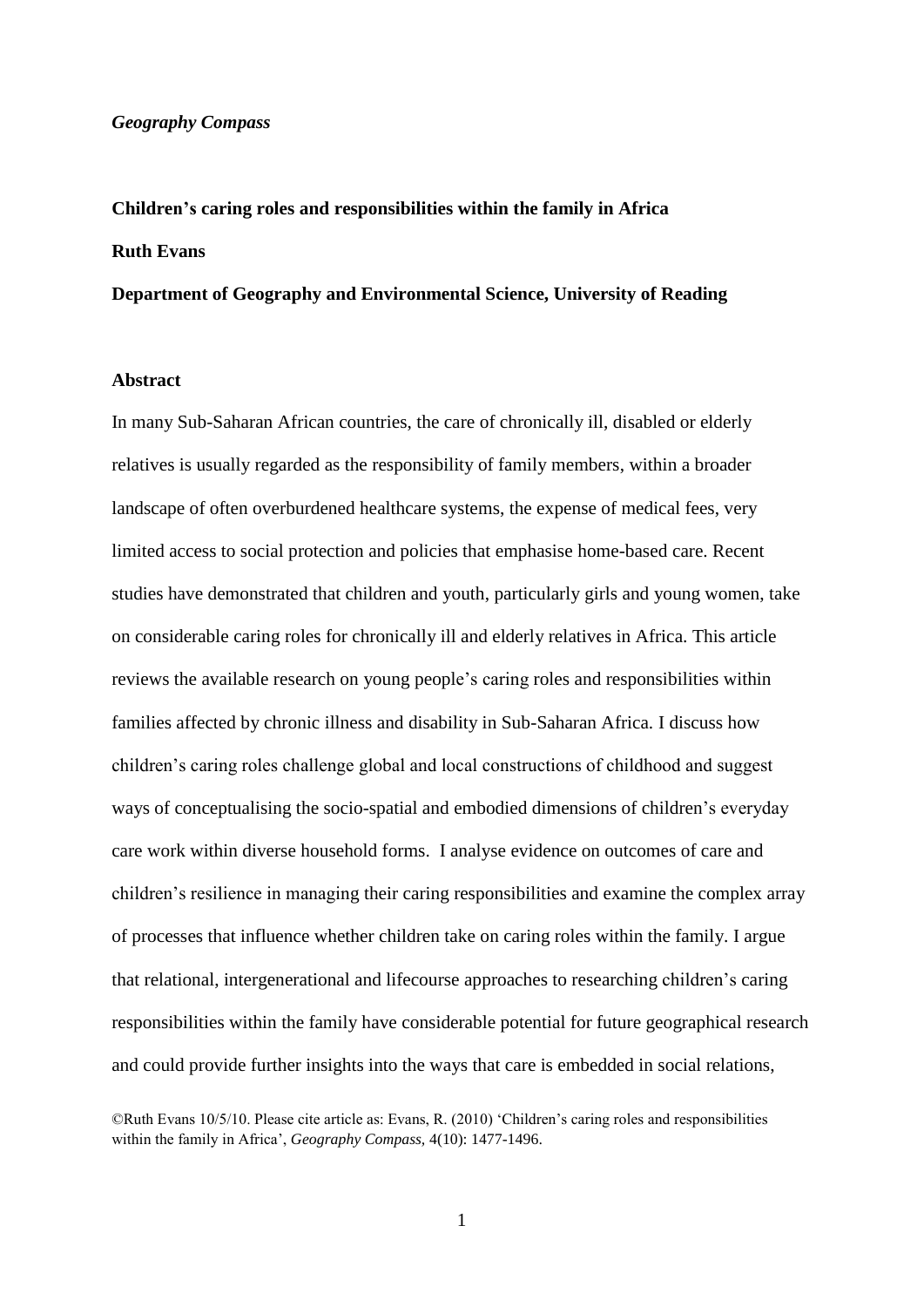#### *Geography Compass*

## **Children's caring roles and responsibilities within the family in Africa Ruth Evans**

**Department of Geography and Environmental Science, University of Reading**

#### **Abstract**

In many Sub-Saharan African countries, the care of chronically ill, disabled or elderly relatives is usually regarded as the responsibility of family members, within a broader landscape of often overburdened healthcare systems, the expense of medical fees, very limited access to social protection and policies that emphasise home-based care. Recent studies have demonstrated that children and youth, particularly girls and young women, take on considerable caring roles for chronically ill and elderly relatives in Africa. This article reviews the available research on young people"s caring roles and responsibilities within families affected by chronic illness and disability in Sub-Saharan Africa. I discuss how children"s caring roles challenge global and local constructions of childhood and suggest ways of conceptualising the socio-spatial and embodied dimensions of children's everyday care work within diverse household forms. I analyse evidence on outcomes of care and children"s resilience in managing their caring responsibilities and examine the complex array of processes that influence whether children take on caring roles within the family. I argue that relational, intergenerational and lifecourse approaches to researching children"s caring responsibilities within the family have considerable potential for future geographical research and could provide further insights into the ways that care is embedded in social relations,

<sup>©</sup>Ruth Evans 10/5/10. Please cite article as: Evans, R. (2010) "Children"s caring roles and responsibilities within the family in Africa", *Geography Compass,* 4(10): 1477-1496.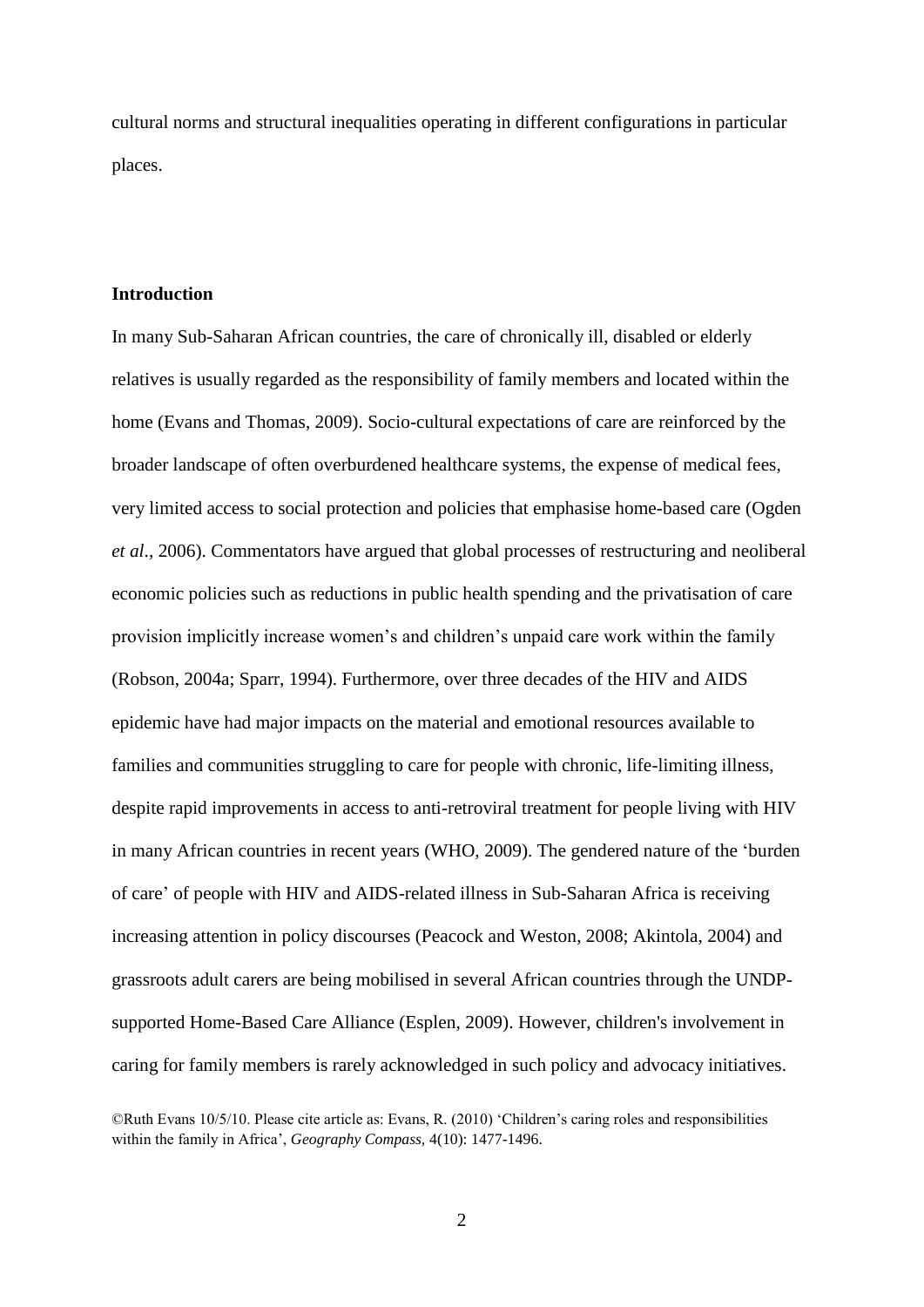cultural norms and structural inequalities operating in different configurations in particular places.

#### **Introduction**

In many Sub-Saharan African countries, the care of chronically ill, disabled or elderly relatives is usually regarded as the responsibility of family members and located within the home (Evans and Thomas, 2009). Socio-cultural expectations of care are reinforced by the broader landscape of often overburdened healthcare systems, the expense of medical fees, very limited access to social protection and policies that emphasise home-based care (Ogden *et al*., 2006). Commentators have argued that global processes of restructuring and neoliberal economic policies such as reductions in public health spending and the privatisation of care provision implicitly increase women"s and children"s unpaid care work within the family (Robson, 2004a; Sparr, 1994). Furthermore, over three decades of the HIV and AIDS epidemic have had major impacts on the material and emotional resources available to families and communities struggling to care for people with chronic, life-limiting illness, despite rapid improvements in access to anti-retroviral treatment for people living with HIV in many African countries in recent years (WHO, 2009). The gendered nature of the "burden of care" of people with HIV and AIDS-related illness in Sub-Saharan Africa is receiving increasing attention in policy discourses (Peacock and Weston, 2008; Akintola, 2004) and grassroots adult carers are being mobilised in several African countries through the UNDPsupported Home-Based Care Alliance (Esplen, 2009). However, children's involvement in caring for family members is rarely acknowledged in such policy and advocacy initiatives.

<sup>©</sup>Ruth Evans 10/5/10. Please cite article as: Evans, R. (2010) "Children"s caring roles and responsibilities within the family in Africa", *Geography Compass,* 4(10): 1477-1496.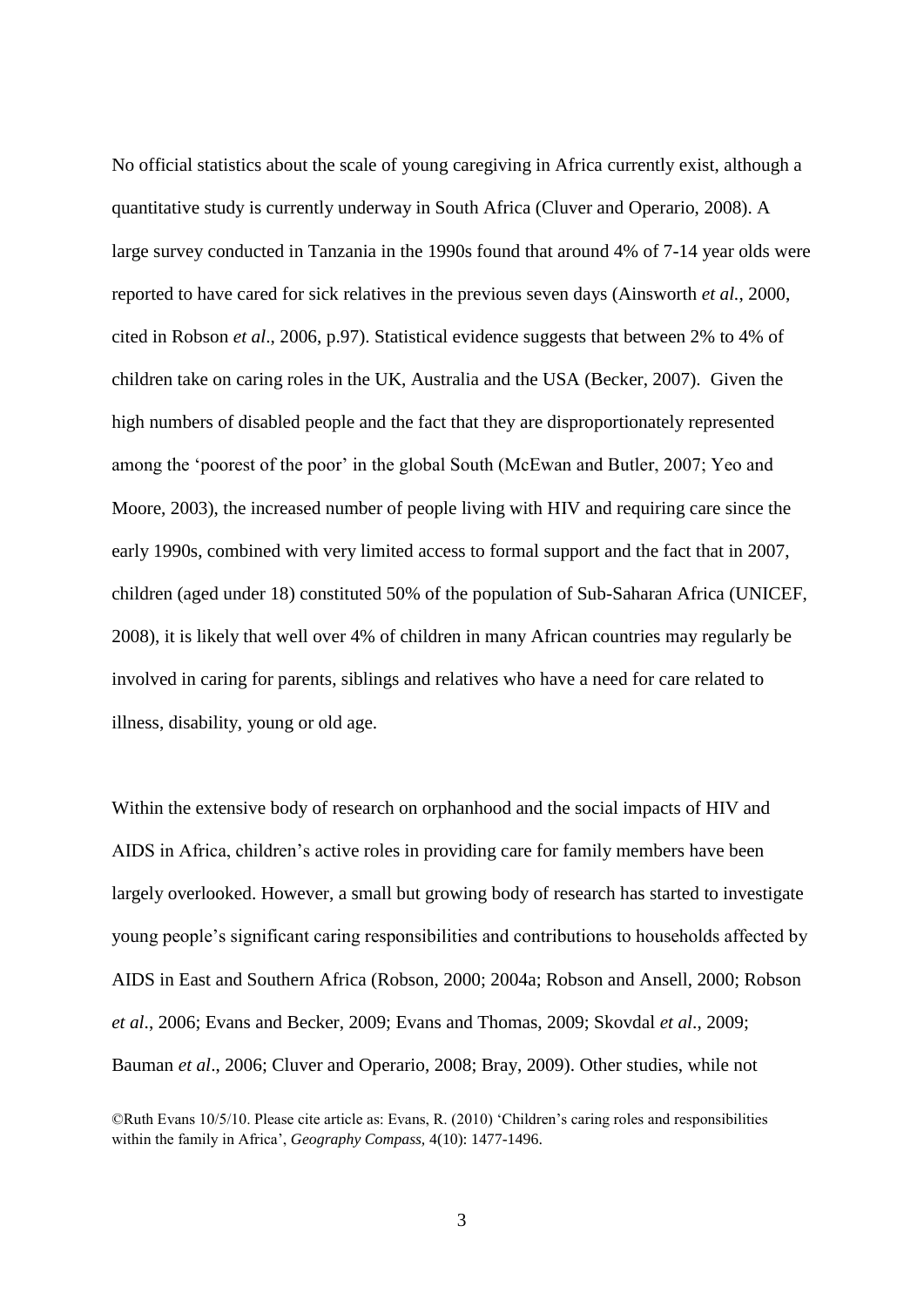No official statistics about the scale of young caregiving in Africa currently exist, although a quantitative study is currently underway in South Africa (Cluver and Operario, 2008). A large survey conducted in Tanzania in the 1990s found that around 4% of 7-14 year olds were reported to have cared for sick relatives in the previous seven days (Ainsworth *et al.*, 2000, cited in Robson *et al*., 2006, p.97). Statistical evidence suggests that between 2% to 4% of children take on caring roles in the UK, Australia and the USA (Becker, 2007). Given the high numbers of disabled people and the fact that they are disproportionately represented among the "poorest of the poor" in the global South (McEwan and Butler, 2007; Yeo and Moore, 2003), the increased number of people living with HIV and requiring care since the early 1990s, combined with very limited access to formal support and the fact that in 2007, children (aged under 18) constituted 50% of the population of Sub-Saharan Africa (UNICEF, 2008), it is likely that well over 4% of children in many African countries may regularly be involved in caring for parents, siblings and relatives who have a need for care related to illness, disability, young or old age.

Within the extensive body of research on orphanhood and the social impacts of HIV and AIDS in Africa, children"s active roles in providing care for family members have been largely overlooked. However, a small but growing body of research has started to investigate young people"s significant caring responsibilities and contributions to households affected by AIDS in East and Southern Africa (Robson, 2000; 2004a; Robson and Ansell, 2000; Robson *et al*., 2006; Evans and Becker, 2009; Evans and Thomas, 2009; Skovdal *et al*., 2009; Bauman *et al*., 2006; Cluver and Operario, 2008; Bray, 2009). Other studies, while not

<sup>©</sup>Ruth Evans 10/5/10. Please cite article as: Evans, R. (2010) "Children"s caring roles and responsibilities within the family in Africa", *Geography Compass,* 4(10): 1477-1496.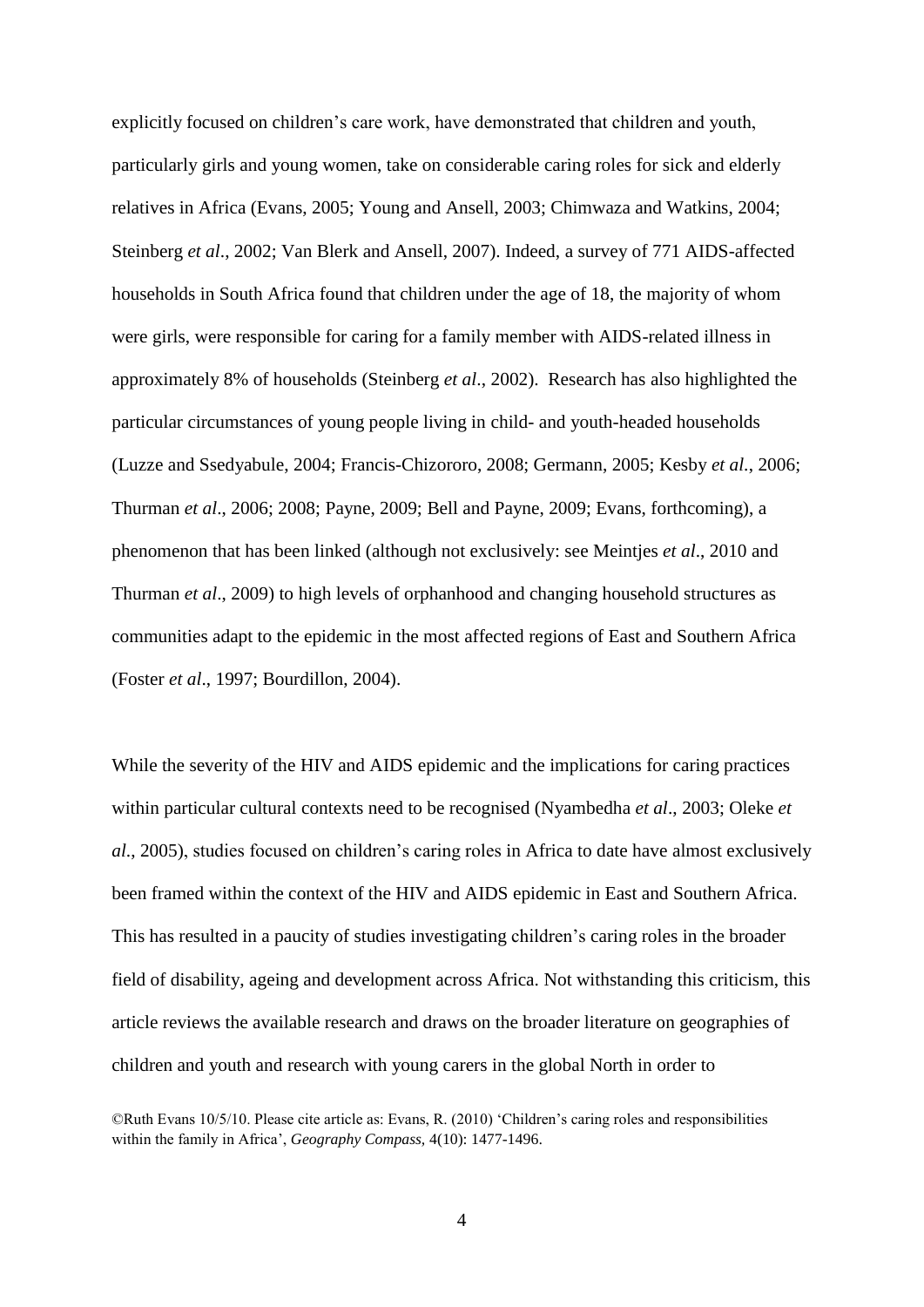explicitly focused on children's care work, have demonstrated that children and youth, particularly girls and young women, take on considerable caring roles for sick and elderly relatives in Africa (Evans, 2005; Young and Ansell, 2003; Chimwaza and Watkins, 2004; Steinberg *et al*., 2002; Van Blerk and Ansell, 2007). Indeed, a survey of 771 AIDS-affected households in South Africa found that children under the age of 18, the majority of whom were girls, were responsible for caring for a family member with AIDS-related illness in approximately 8% of households (Steinberg *et al*., 2002). Research has also highlighted the particular circumstances of young people living in child- and youth-headed households (Luzze and Ssedyabule, 2004; Francis-Chizororo, 2008; Germann, 2005; Kesby *et al.*, 2006; Thurman *et al*., 2006; 2008; Payne, 2009; Bell and Payne, 2009; Evans, forthcoming), a phenomenon that has been linked (although not exclusively: see Meintjes *et al*., 2010 and Thurman *et al*., 2009) to high levels of orphanhood and changing household structures as communities adapt to the epidemic in the most affected regions of East and Southern Africa (Foster *et al*., 1997; Bourdillon, 2004).

While the severity of the HIV and AIDS epidemic and the implications for caring practices within particular cultural contexts need to be recognised (Nyambedha *et al*., 2003; Oleke *et al.*, 2005), studies focused on children's caring roles in Africa to date have almost exclusively been framed within the context of the HIV and AIDS epidemic in East and Southern Africa. This has resulted in a paucity of studies investigating children"s caring roles in the broader field of disability, ageing and development across Africa. Not withstanding this criticism, this article reviews the available research and draws on the broader literature on geographies of children and youth and research with young carers in the global North in order to

<sup>©</sup>Ruth Evans 10/5/10. Please cite article as: Evans, R. (2010) "Children"s caring roles and responsibilities within the family in Africa", *Geography Compass,* 4(10): 1477-1496.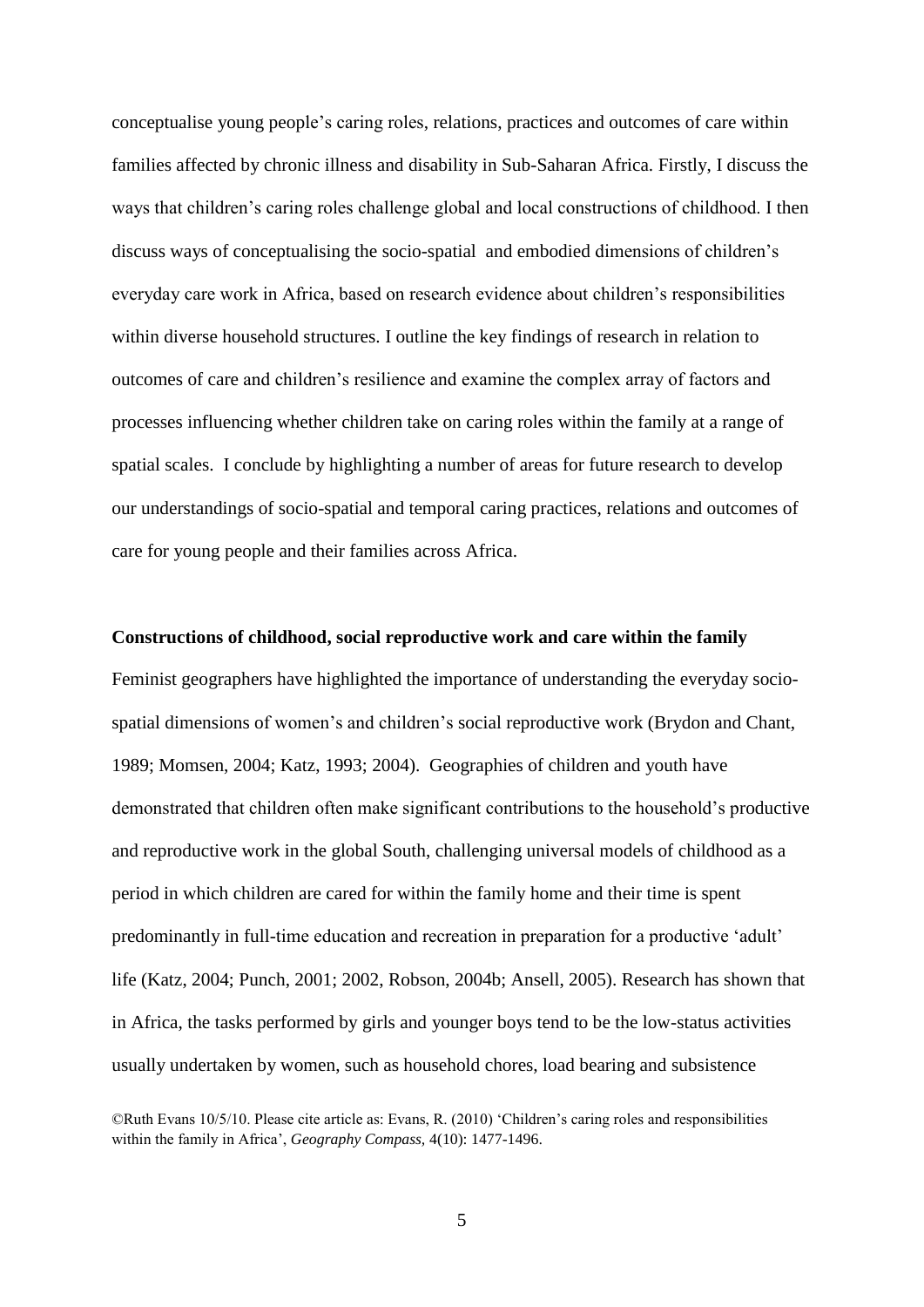conceptualise young people"s caring roles, relations, practices and outcomes of care within families affected by chronic illness and disability in Sub-Saharan Africa. Firstly, I discuss the ways that children"s caring roles challenge global and local constructions of childhood. I then discuss ways of conceptualising the socio-spatial and embodied dimensions of children"s everyday care work in Africa, based on research evidence about children"s responsibilities within diverse household structures. I outline the key findings of research in relation to outcomes of care and children"s resilience and examine the complex array of factors and processes influencing whether children take on caring roles within the family at a range of spatial scales. I conclude by highlighting a number of areas for future research to develop our understandings of socio-spatial and temporal caring practices, relations and outcomes of care for young people and their families across Africa.

#### **Constructions of childhood, social reproductive work and care within the family**

Feminist geographers have highlighted the importance of understanding the everyday sociospatial dimensions of women"s and children"s social reproductive work (Brydon and Chant, 1989; Momsen, 2004; Katz, 1993; 2004). Geographies of children and youth have demonstrated that children often make significant contributions to the household"s productive and reproductive work in the global South, challenging universal models of childhood as a period in which children are cared for within the family home and their time is spent predominantly in full-time education and recreation in preparation for a productive "adult" life (Katz, 2004; Punch, 2001; 2002, Robson, 2004b; Ansell, 2005). Research has shown that in Africa, the tasks performed by girls and younger boys tend to be the low-status activities usually undertaken by women, such as household chores, load bearing and subsistence

<sup>©</sup>Ruth Evans 10/5/10. Please cite article as: Evans, R. (2010) "Children"s caring roles and responsibilities within the family in Africa", *Geography Compass,* 4(10): 1477-1496.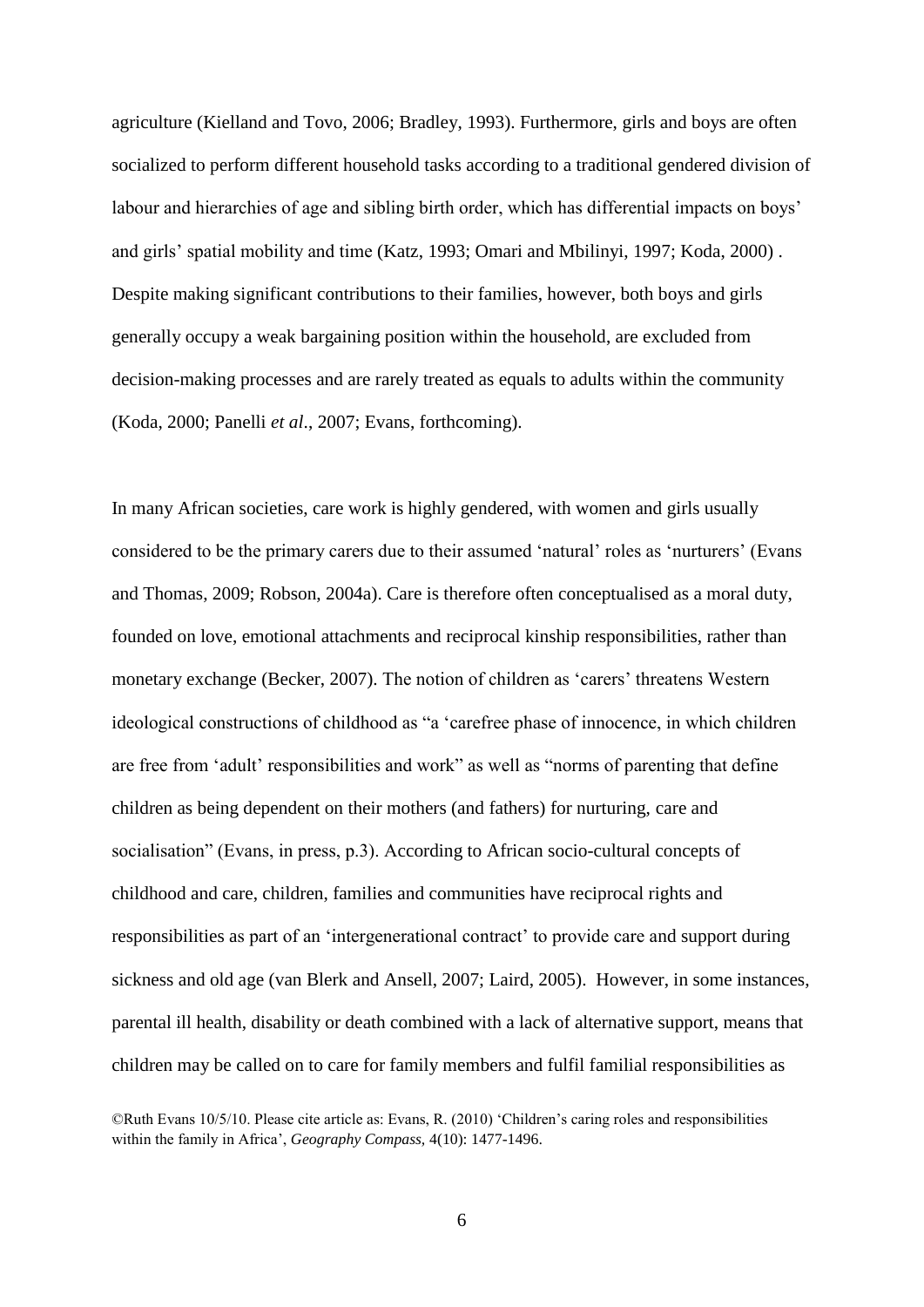agriculture (Kielland and Tovo, 2006; Bradley, 1993). Furthermore, girls and boys are often socialized to perform different household tasks according to a traditional gendered division of labour and hierarchies of age and sibling birth order, which has differential impacts on boys' and girls" spatial mobility and time (Katz, 1993; Omari and Mbilinyi, 1997; Koda, 2000) . Despite making significant contributions to their families, however, both boys and girls generally occupy a weak bargaining position within the household, are excluded from decision-making processes and are rarely treated as equals to adults within the community (Koda, 2000; Panelli *et al*., 2007; Evans, forthcoming).

In many African societies, care work is highly gendered, with women and girls usually considered to be the primary carers due to their assumed "natural" roles as "nurturers" (Evans and Thomas, 2009; Robson, 2004a). Care is therefore often conceptualised as a moral duty, founded on love, emotional attachments and reciprocal kinship responsibilities, rather than monetary exchange (Becker, 2007). The notion of children as "carers" threatens Western ideological constructions of childhood as "a "carefree phase of innocence, in which children are free from "adult" responsibilities and work" as well as "norms of parenting that define children as being dependent on their mothers (and fathers) for nurturing, care and socialisation" (Evans, in press, p.3). According to African socio-cultural concepts of childhood and care, children, families and communities have reciprocal rights and responsibilities as part of an "intergenerational contract" to provide care and support during sickness and old age (van Blerk and Ansell, 2007; Laird, 2005). However, in some instances, parental ill health, disability or death combined with a lack of alternative support, means that children may be called on to care for family members and fulfil familial responsibilities as

<sup>©</sup>Ruth Evans 10/5/10. Please cite article as: Evans, R. (2010) "Children"s caring roles and responsibilities within the family in Africa", *Geography Compass,* 4(10): 1477-1496.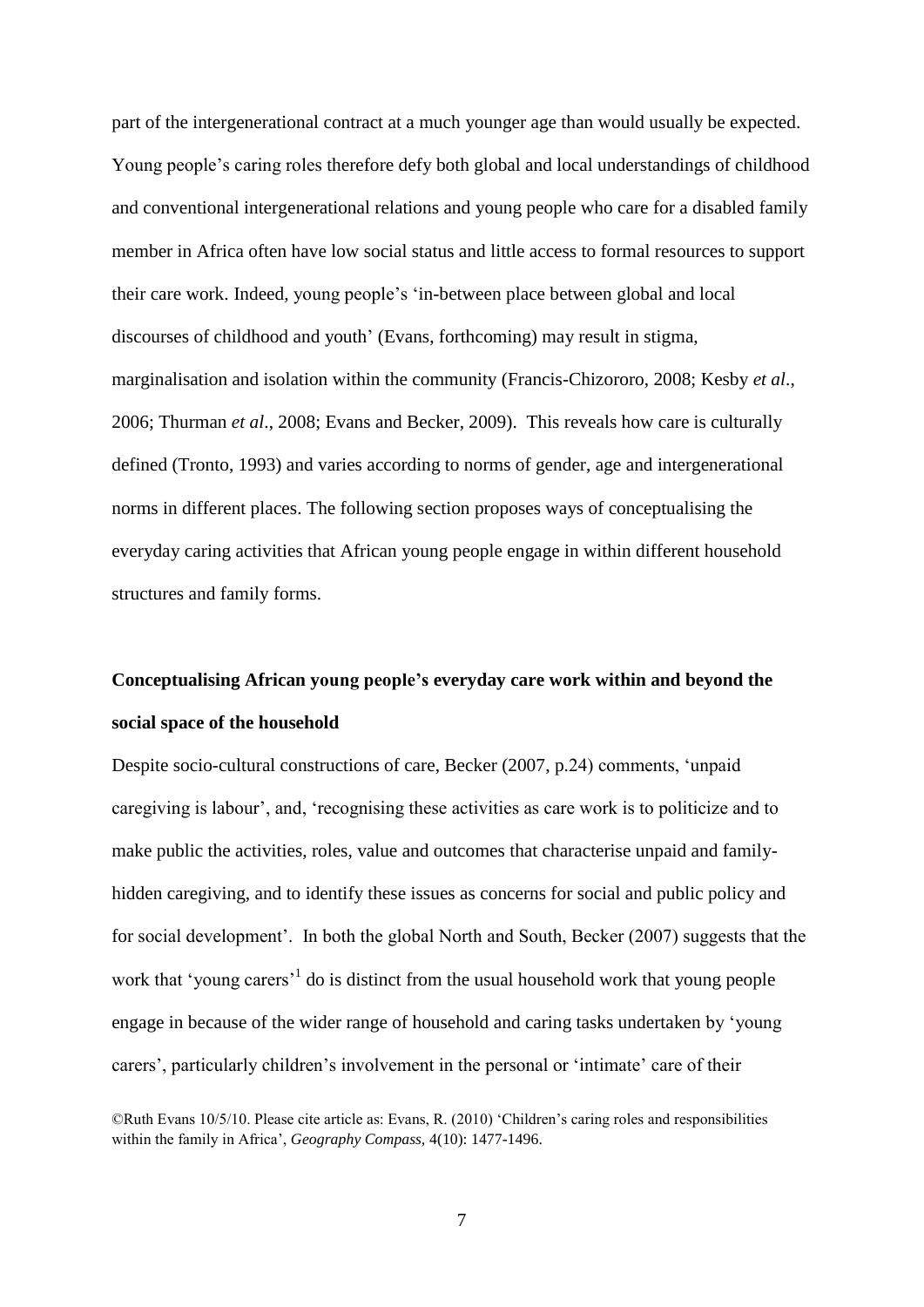part of the intergenerational contract at a much younger age than would usually be expected. Young people's caring roles therefore defy both global and local understandings of childhood and conventional intergenerational relations and young people who care for a disabled family member in Africa often have low social status and little access to formal resources to support their care work. Indeed, young people"s "in-between place between global and local discourses of childhood and youth' (Evans, forthcoming) may result in stigma, marginalisation and isolation within the community (Francis-Chizororo, 2008; Kesby *et al*., 2006; Thurman *et al*., 2008; Evans and Becker, 2009). This reveals how care is culturally defined (Tronto, 1993) and varies according to norms of gender, age and intergenerational norms in different places. The following section proposes ways of conceptualising the everyday caring activities that African young people engage in within different household structures and family forms.

## **Conceptualising African young people's everyday care work within and beyond the social space of the household**

Despite socio-cultural constructions of care, Becker (2007, p.24) comments, "unpaid caregiving is labour", and, "recognising these activities as care work is to politicize and to make public the activities, roles, value and outcomes that characterise unpaid and familyhidden caregiving, and to identify these issues as concerns for social and public policy and for social development'. In both the global North and South, Becker (2007) suggests that the work that 'young carers'<sup>1</sup> do is distinct from the usual household work that young people engage in because of the wider range of household and caring tasks undertaken by "young carers", particularly children"s involvement in the personal or "intimate" care of their

<sup>©</sup>Ruth Evans 10/5/10. Please cite article as: Evans, R. (2010) "Children"s caring roles and responsibilities within the family in Africa", *Geography Compass,* 4(10): 1477-1496.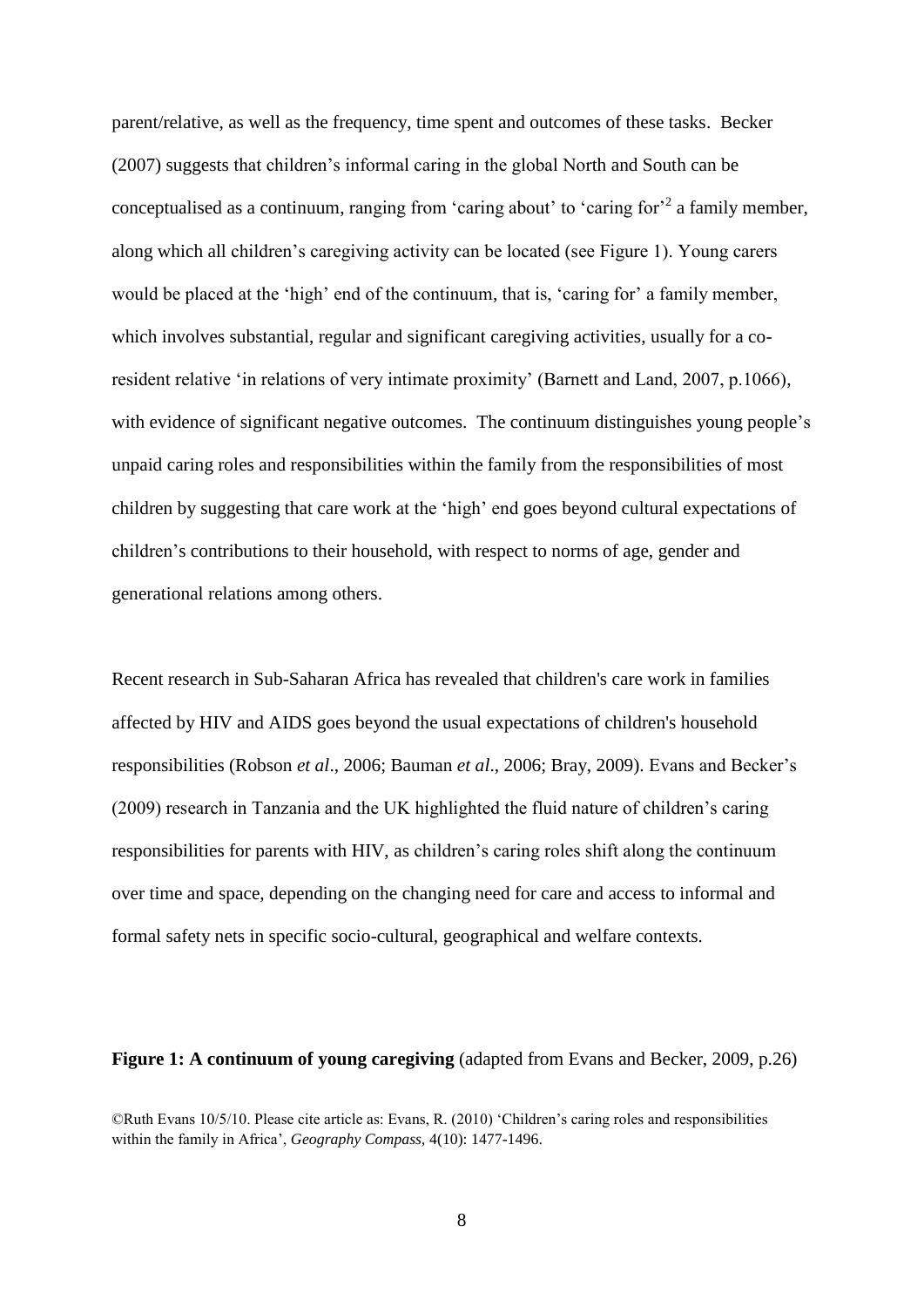parent/relative, as well as the frequency, time spent and outcomes of these tasks. Becker (2007) suggests that children"s informal caring in the global North and South can be conceptualised as a continuum, ranging from 'caring about' to 'caring for'<sup>2</sup> a family member, along which all children"s caregiving activity can be located (see Figure 1). Young carers would be placed at the 'high' end of the continuum, that is, 'caring for' a family member, which involves substantial, regular and significant caregiving activities, usually for a coresident relative 'in relations of very intimate proximity' (Barnett and Land, 2007, p.1066), with evidence of significant negative outcomes. The continuum distinguishes young people's unpaid caring roles and responsibilities within the family from the responsibilities of most children by suggesting that care work at the "high" end goes beyond cultural expectations of children"s contributions to their household, with respect to norms of age, gender and generational relations among others.

Recent research in Sub-Saharan Africa has revealed that children's care work in families affected by HIV and AIDS goes beyond the usual expectations of children's household responsibilities (Robson *et al*., 2006; Bauman *et al*., 2006; Bray, 2009). Evans and Becker"s (2009) research in Tanzania and the UK highlighted the fluid nature of children"s caring responsibilities for parents with HIV, as children"s caring roles shift along the continuum over time and space*,* depending on the changing need for care and access to informal and formal safety nets in specific socio-cultural, geographical and welfare contexts.

#### **Figure 1: A continuum of young caregiving** (adapted from Evans and Becker, 2009, p.26)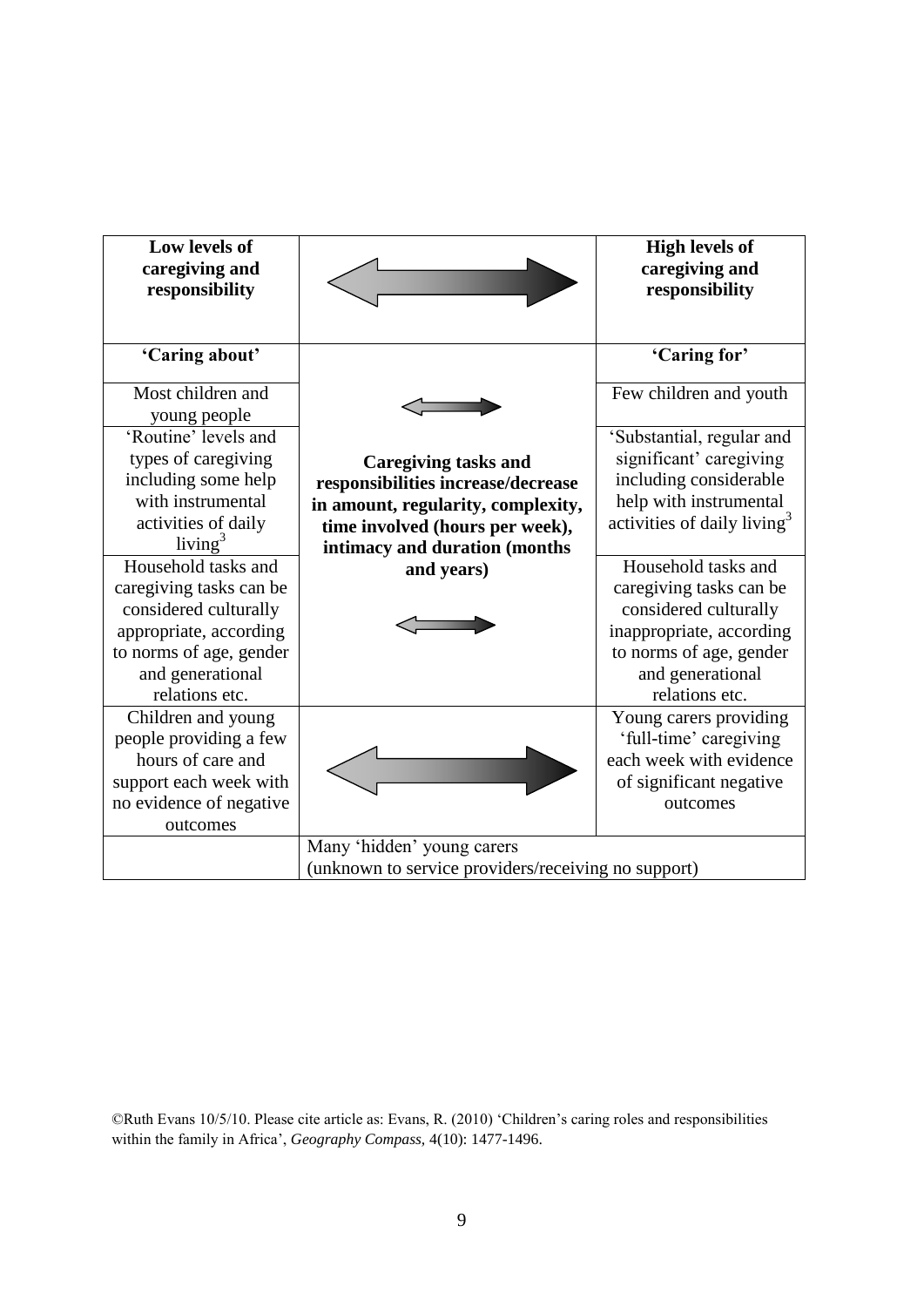| Low levels of<br>caregiving and<br>responsibility                                                                                                                  |                                                                                                                                                                             | <b>High levels of</b><br>caregiving and<br>responsibility                                                                                                            |
|--------------------------------------------------------------------------------------------------------------------------------------------------------------------|-----------------------------------------------------------------------------------------------------------------------------------------------------------------------------|----------------------------------------------------------------------------------------------------------------------------------------------------------------------|
| 'Caring about'                                                                                                                                                     |                                                                                                                                                                             | 'Caring for'                                                                                                                                                         |
| Most children and<br>young people                                                                                                                                  |                                                                                                                                                                             | Few children and youth                                                                                                                                               |
| 'Routine' levels and<br>types of caregiving<br>including some help<br>with instrumental<br>activities of daily<br>living <sup>3</sup>                              | <b>Caregiving tasks and</b><br>responsibilities increase/decrease<br>in amount, regularity, complexity,<br>time involved (hours per week),<br>intimacy and duration (months | 'Substantial, regular and<br>significant' caregiving<br>including considerable<br>help with instrumental<br>activities of daily living <sup>3</sup>                  |
| Household tasks and<br>caregiving tasks can be<br>considered culturally<br>appropriate, according<br>to norms of age, gender<br>and generational<br>relations etc. | and years)                                                                                                                                                                  | Household tasks and<br>caregiving tasks can be<br>considered culturally<br>inappropriate, according<br>to norms of age, gender<br>and generational<br>relations etc. |
| Children and young<br>people providing a few<br>hours of care and<br>support each week with<br>no evidence of negative<br>outcomes                                 |                                                                                                                                                                             | Young carers providing<br>'full-time' caregiving<br>each week with evidence<br>of significant negative<br>outcomes                                                   |
|                                                                                                                                                                    | Many 'hidden' young carers<br>(unknown to service providers/receiving no support)                                                                                           |                                                                                                                                                                      |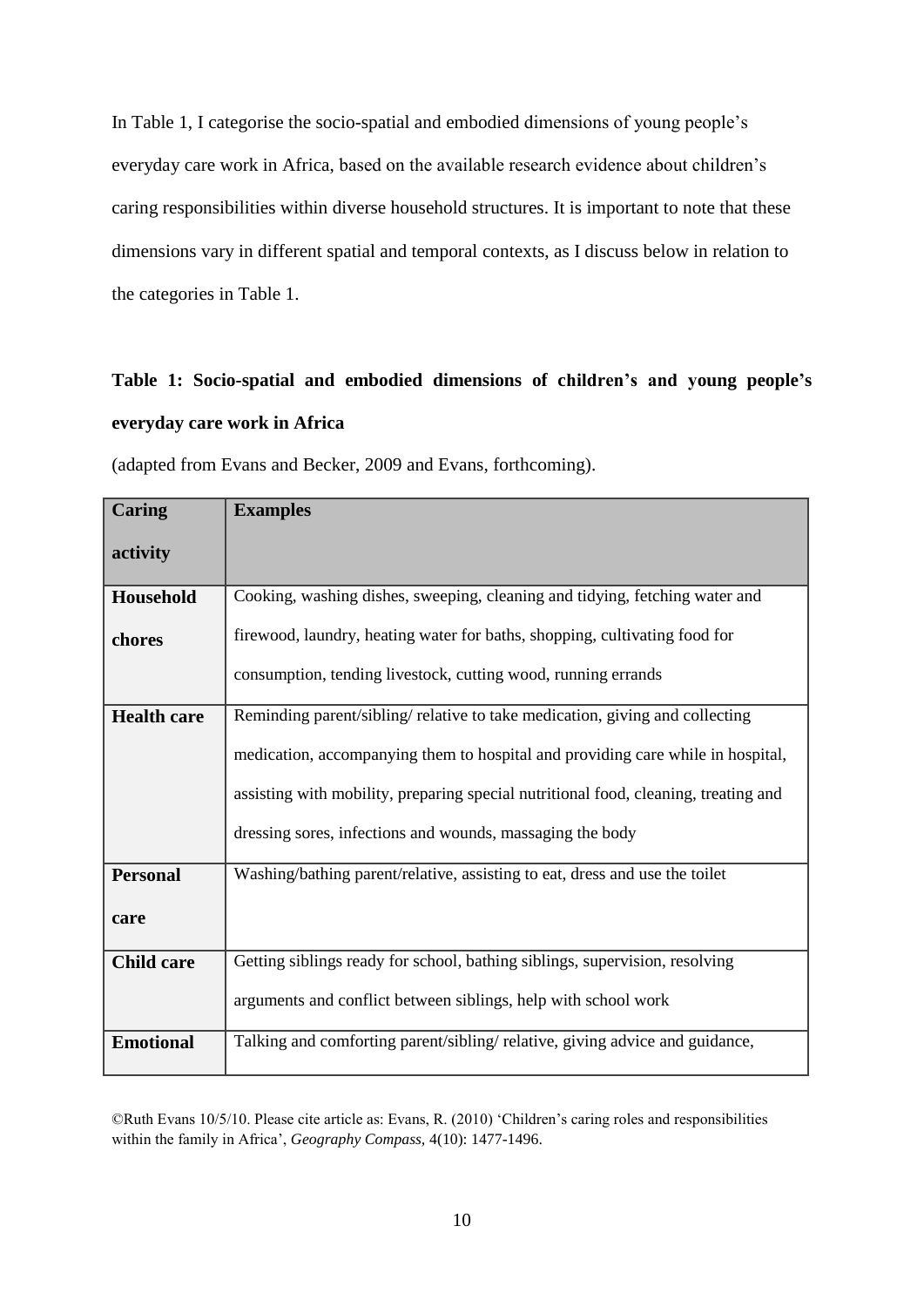In Table 1, I categorise the socio-spatial and embodied dimensions of young people"s everyday care work in Africa, based on the available research evidence about children"s caring responsibilities within diverse household structures. It is important to note that these dimensions vary in different spatial and temporal contexts, as I discuss below in relation to the categories in Table 1.

## **Table 1: Socio-spatial and embodied dimensions of children's and young people's everyday care work in Africa**

| <b>Caring</b>      | <b>Examples</b>                                                                     |
|--------------------|-------------------------------------------------------------------------------------|
| activity           |                                                                                     |
| Household          | Cooking, washing dishes, sweeping, cleaning and tidying, fetching water and         |
| chores             | firewood, laundry, heating water for baths, shopping, cultivating food for          |
|                    | consumption, tending livestock, cutting wood, running errands                       |
| <b>Health care</b> | Reminding parent/sibling/ relative to take medication, giving and collecting        |
|                    | medication, accompanying them to hospital and providing care while in hospital,     |
|                    | assisting with mobility, preparing special nutritional food, cleaning, treating and |
|                    | dressing sores, infections and wounds, massaging the body                           |
| <b>Personal</b>    | Washing/bathing parent/relative, assisting to eat, dress and use the toilet         |
| care               |                                                                                     |
| <b>Child care</b>  | Getting siblings ready for school, bathing siblings, supervision, resolving         |
|                    | arguments and conflict between siblings, help with school work                      |
| <b>Emotional</b>   | Talking and comforting parent/sibling/ relative, giving advice and guidance,        |

(adapted from Evans and Becker, 2009 and Evans, forthcoming).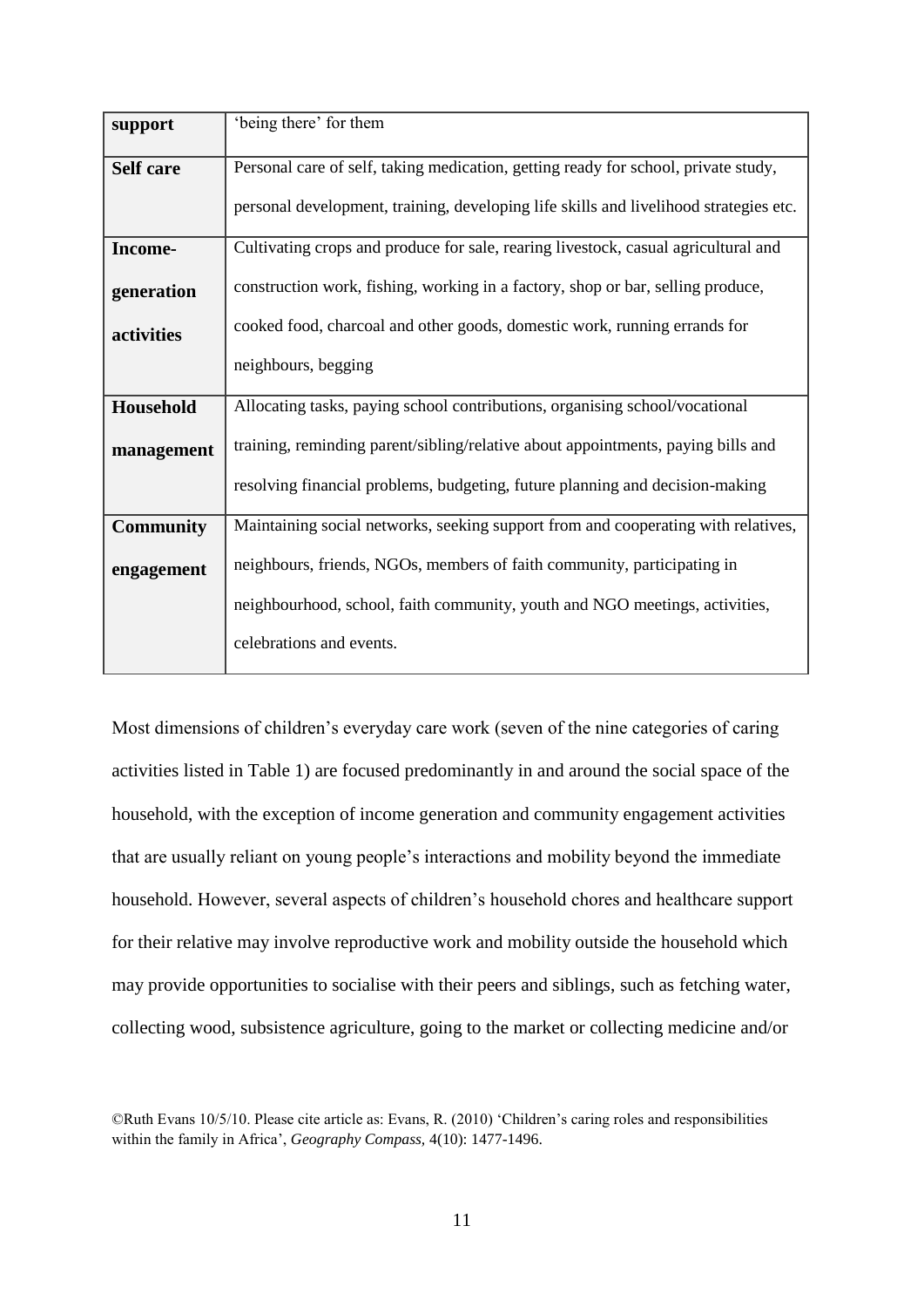| support          | 'being there' for them                                                                |  |
|------------------|---------------------------------------------------------------------------------------|--|
| <b>Self</b> care | Personal care of self, taking medication, getting ready for school, private study,    |  |
|                  | personal development, training, developing life skills and livelihood strategies etc. |  |
| Income-          | Cultivating crops and produce for sale, rearing livestock, casual agricultural and    |  |
| generation       | construction work, fishing, working in a factory, shop or bar, selling produce,       |  |
| activities       | cooked food, charcoal and other goods, domestic work, running errands for             |  |
|                  | neighbours, begging                                                                   |  |
| Household        | Allocating tasks, paying school contributions, organising school/vocational           |  |
| management       | training, reminding parent/sibling/relative about appointments, paying bills and      |  |
|                  | resolving financial problems, budgeting, future planning and decision-making          |  |
| <b>Community</b> | Maintaining social networks, seeking support from and cooperating with relatives,     |  |
| engagement       | neighbours, friends, NGOs, members of faith community, participating in               |  |
|                  | neighbourhood, school, faith community, youth and NGO meetings, activities,           |  |
|                  | celebrations and events.                                                              |  |

Most dimensions of children"s everyday care work (seven of the nine categories of caring activities listed in Table 1) are focused predominantly in and around the social space of the household, with the exception of income generation and community engagement activities that are usually reliant on young people"s interactions and mobility beyond the immediate household. However, several aspects of children"s household chores and healthcare support for their relative may involve reproductive work and mobility outside the household which may provide opportunities to socialise with their peers and siblings, such as fetching water, collecting wood, subsistence agriculture, going to the market or collecting medicine and/or

<sup>©</sup>Ruth Evans 10/5/10. Please cite article as: Evans, R. (2010) "Children"s caring roles and responsibilities within the family in Africa", *Geography Compass,* 4(10): 1477-1496.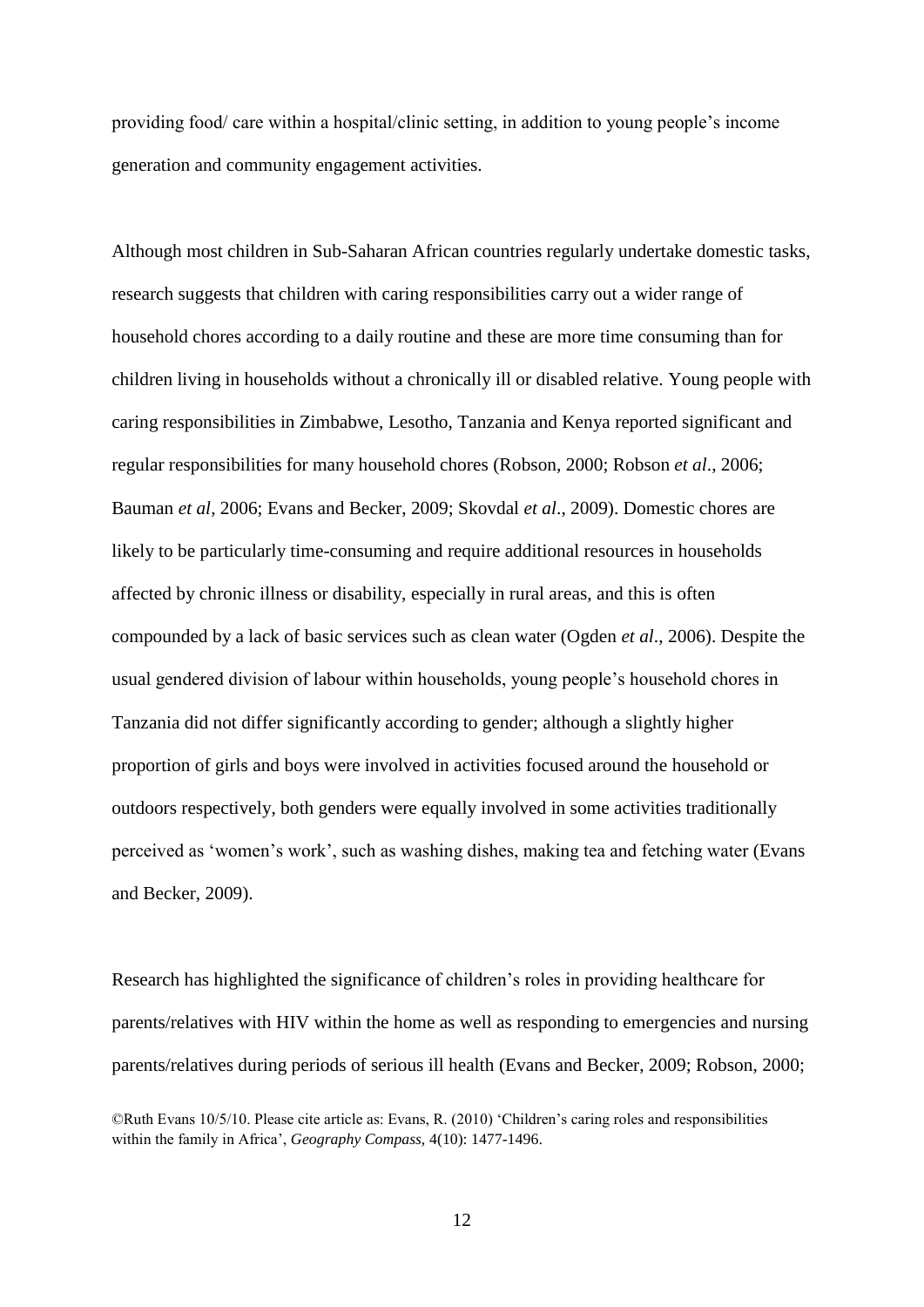providing food/ care within a hospital/clinic setting, in addition to young people"s income generation and community engagement activities.

Although most children in Sub-Saharan African countries regularly undertake domestic tasks, research suggests that children with caring responsibilities carry out a wider range of household chores according to a daily routine and these are more time consuming than for children living in households without a chronically ill or disabled relative. Young people with caring responsibilities in Zimbabwe, Lesotho, Tanzania and Kenya reported significant and regular responsibilities for many household chores (Robson, 2000; Robson *et al*., 2006; Bauman *et al*, 2006; Evans and Becker, 2009; Skovdal *et al*., 2009). Domestic chores are likely to be particularly time-consuming and require additional resources in households affected by chronic illness or disability, especially in rural areas, and this is often compounded by a lack of basic services such as clean water (Ogden *et al*., 2006). Despite the usual gendered division of labour within households, young people"s household chores in Tanzania did not differ significantly according to gender; although a slightly higher proportion of girls and boys were involved in activities focused around the household or outdoors respectively, both genders were equally involved in some activities traditionally perceived as "women"s work", such as washing dishes, making tea and fetching water (Evans and Becker, 2009).

Research has highlighted the significance of children"s roles in providing healthcare for parents/relatives with HIV within the home as well as responding to emergencies and nursing parents/relatives during periods of serious ill health (Evans and Becker, 2009; Robson, 2000;

<sup>©</sup>Ruth Evans 10/5/10. Please cite article as: Evans, R. (2010) "Children"s caring roles and responsibilities within the family in Africa", *Geography Compass,* 4(10): 1477-1496.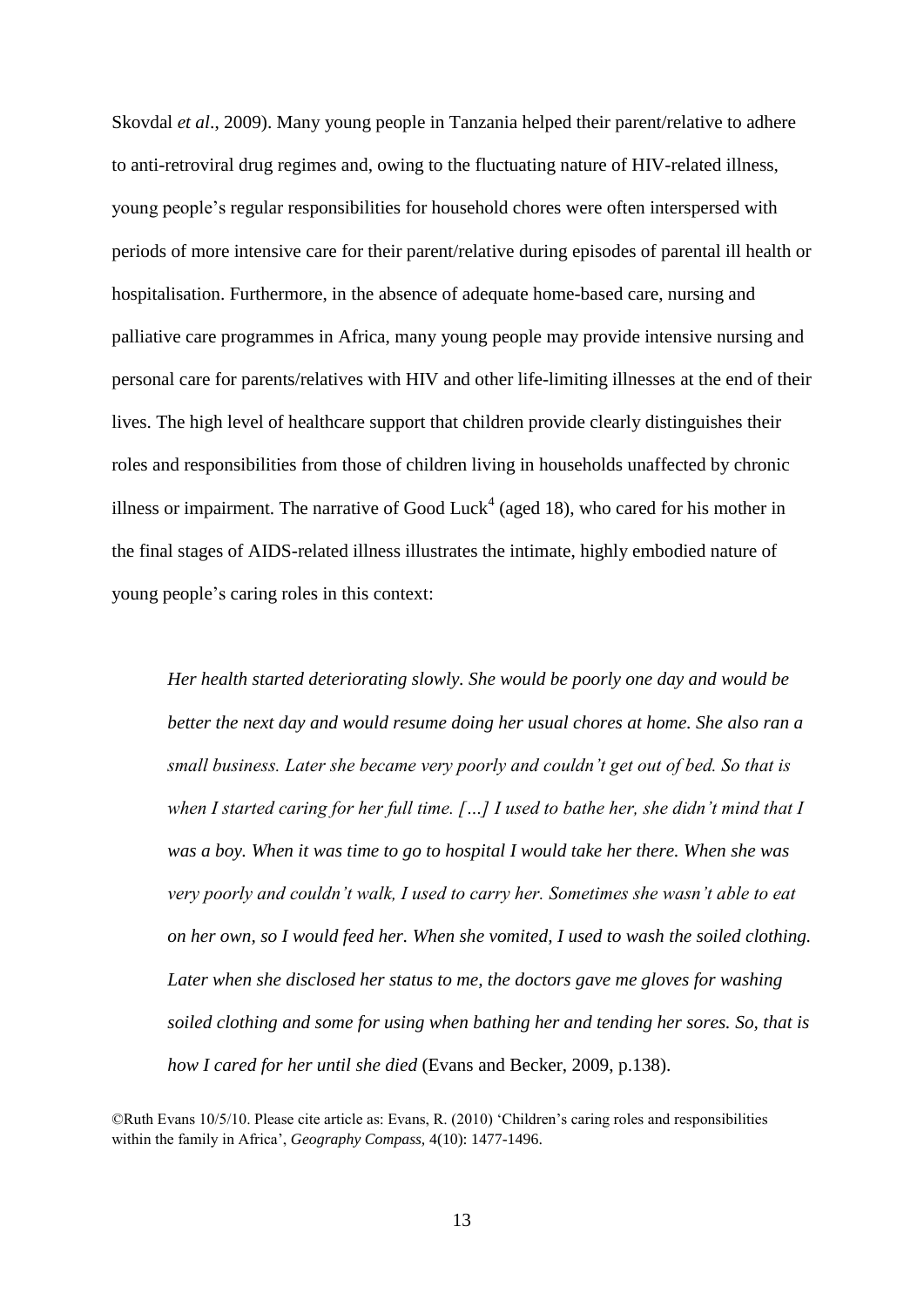Skovdal *et al*., 2009). Many young people in Tanzania helped their parent/relative to adhere to anti-retroviral drug regimes and, owing to the fluctuating nature of HIV-related illness, young people"s regular responsibilities for household chores were often interspersed with periods of more intensive care for their parent/relative during episodes of parental ill health or hospitalisation. Furthermore, in the absence of adequate home-based care, nursing and palliative care programmes in Africa, many young people may provide intensive nursing and personal care for parents/relatives with HIV and other life-limiting illnesses at the end of their lives. The high level of healthcare support that children provide clearly distinguishes their roles and responsibilities from those of children living in households unaffected by chronic illness or impairment. The narrative of Good Luck<sup>4</sup> (aged 18), who cared for his mother in the final stages of AIDS-related illness illustrates the intimate, highly embodied nature of young people"s caring roles in this context:

*Her health started deteriorating slowly. She would be poorly one day and would be better the next day and would resume doing her usual chores at home. She also ran a small business. Later she became very poorly and couldn't get out of bed. So that is when I started caring for her full time. […] I used to bathe her, she didn't mind that I was a boy. When it was time to go to hospital I would take her there. When she was very poorly and couldn't walk, I used to carry her. Sometimes she wasn't able to eat on her own, so I would feed her. When she vomited, I used to wash the soiled clothing. Later when she disclosed her status to me, the doctors gave me gloves for washing soiled clothing and some for using when bathing her and tending her sores. So, that is how I cared for her until she died* (Evans and Becker, 2009, p.138).

<sup>©</sup>Ruth Evans 10/5/10. Please cite article as: Evans, R. (2010) "Children"s caring roles and responsibilities within the family in Africa", *Geography Compass,* 4(10): 1477-1496.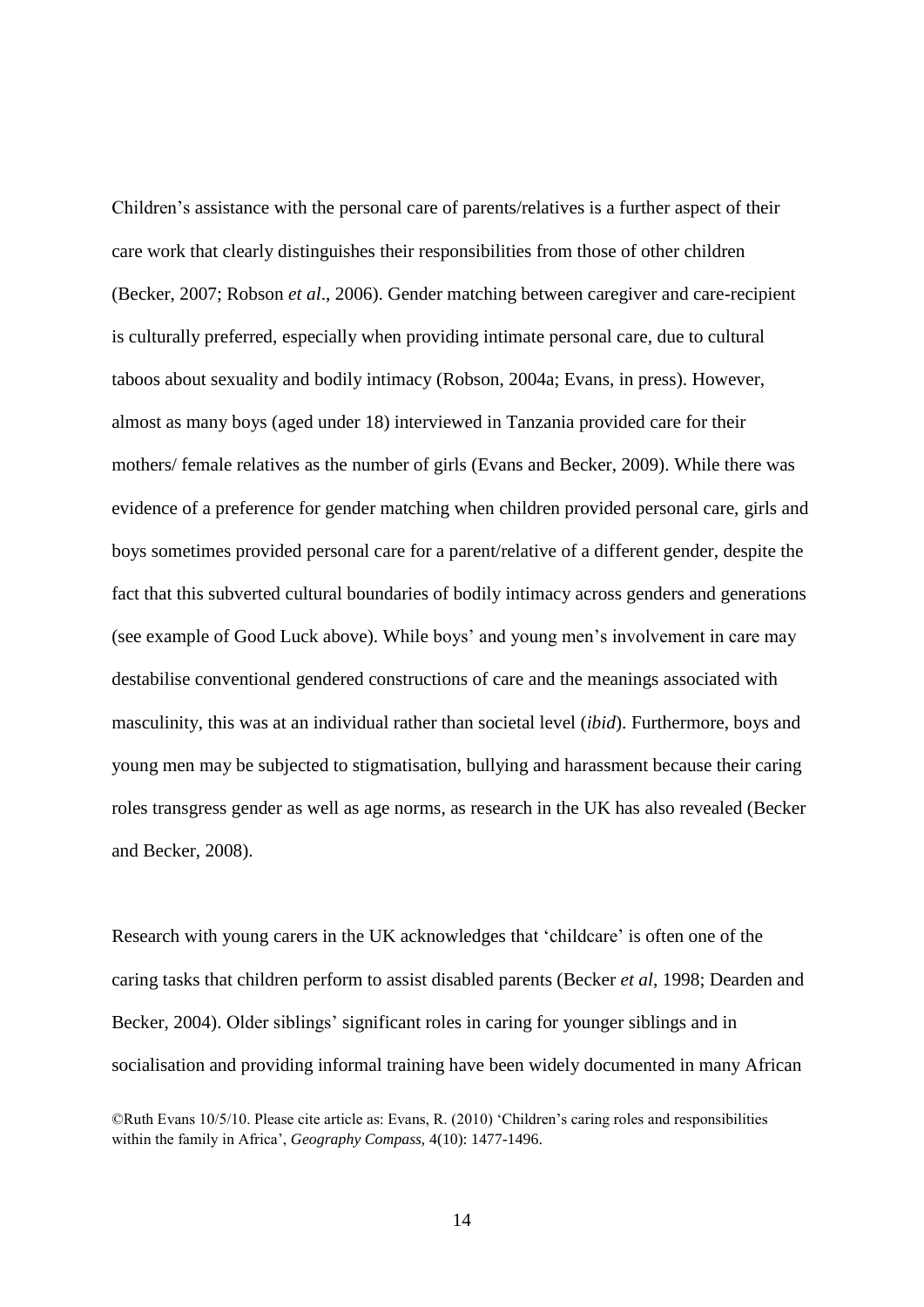Children"s assistance with the personal care of parents/relatives is a further aspect of their care work that clearly distinguishes their responsibilities from those of other children (Becker, 2007; Robson *et al*., 2006). Gender matching between caregiver and care-recipient is culturally preferred, especially when providing intimate personal care, due to cultural taboos about sexuality and bodily intimacy (Robson, 2004a; Evans, in press). However, almost as many boys (aged under 18) interviewed in Tanzania provided care for their mothers/ female relatives as the number of girls (Evans and Becker, 2009). While there was evidence of a preference for gender matching when children provided personal care, girls and boys sometimes provided personal care for a parent/relative of a different gender, despite the fact that this subverted cultural boundaries of bodily intimacy across genders and generations (see example of Good Luck above). While boys" and young men"s involvement in care may destabilise conventional gendered constructions of care and the meanings associated with masculinity, this was at an individual rather than societal level (*ibid*). Furthermore, boys and young men may be subjected to stigmatisation, bullying and harassment because their caring roles transgress gender as well as age norms, as research in the UK has also revealed (Becker and Becker, 2008).

Research with young carers in the UK acknowledges that "childcare" is often one of the caring tasks that children perform to assist disabled parents (Becker *et al*, 1998; Dearden and Becker, 2004). Older siblings' significant roles in caring for younger siblings and in socialisation and providing informal training have been widely documented in many African

<sup>©</sup>Ruth Evans 10/5/10. Please cite article as: Evans, R. (2010) "Children"s caring roles and responsibilities within the family in Africa", *Geography Compass,* 4(10): 1477-1496.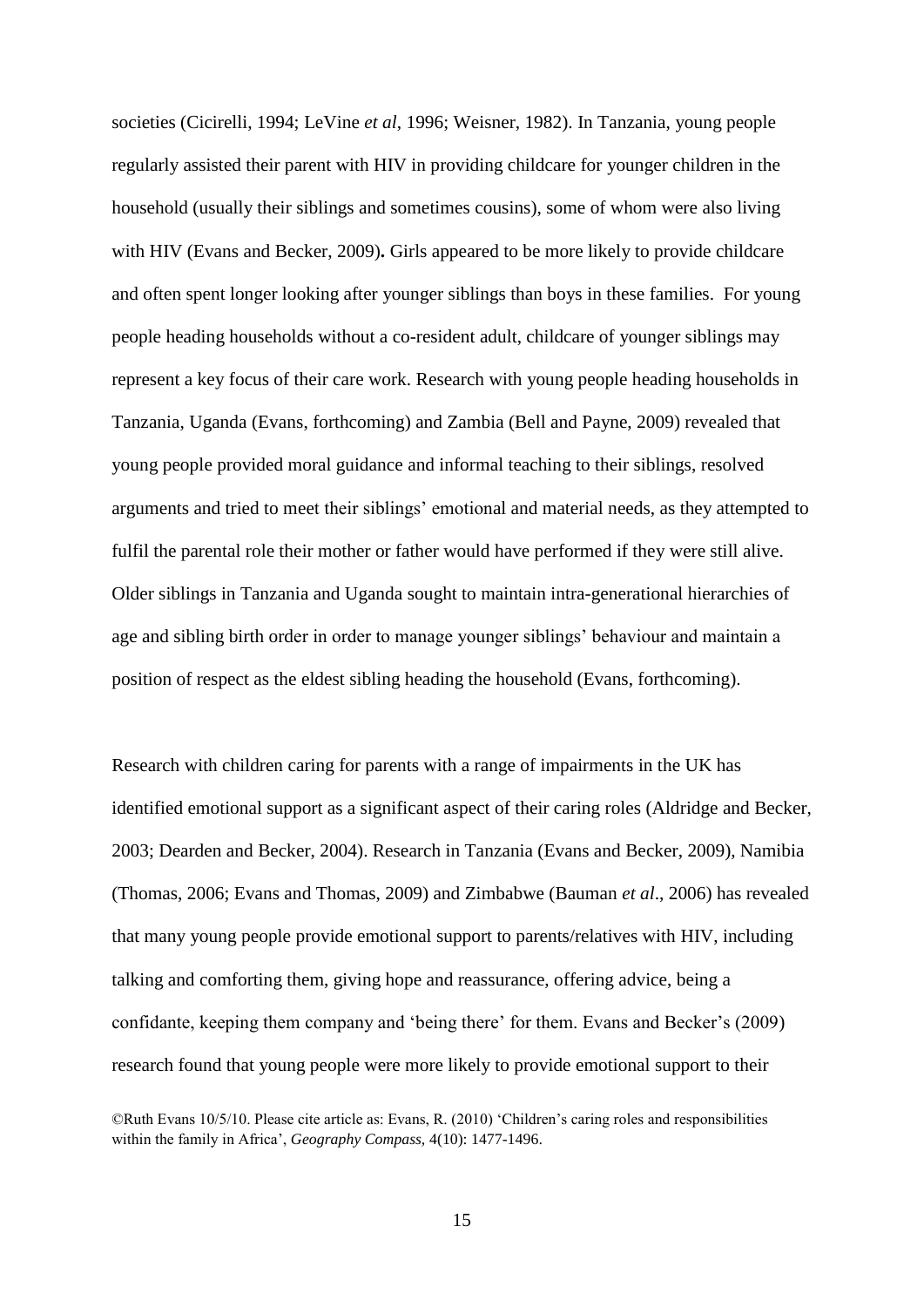societies (Cicirelli, 1994; LeVine *et al*, 1996; Weisner, 1982). In Tanzania, young people regularly assisted their parent with HIV in providing childcare for younger children in the household (usually their siblings and sometimes cousins), some of whom were also living with HIV (Evans and Becker, 2009)**.** Girls appeared to be more likely to provide childcare and often spent longer looking after younger siblings than boys in these families. For young people heading households without a co-resident adult, childcare of younger siblings may represent a key focus of their care work. Research with young people heading households in Tanzania, Uganda (Evans, forthcoming) and Zambia (Bell and Payne, 2009) revealed that young people provided moral guidance and informal teaching to their siblings, resolved arguments and tried to meet their siblings" emotional and material needs, as they attempted to fulfil the parental role their mother or father would have performed if they were still alive. Older siblings in Tanzania and Uganda sought to maintain intra-generational hierarchies of age and sibling birth order in order to manage younger siblings" behaviour and maintain a position of respect as the eldest sibling heading the household (Evans, forthcoming).

Research with children caring for parents with a range of impairments in the UK has identified emotional support as a significant aspect of their caring roles (Aldridge and Becker, 2003; Dearden and Becker, 2004). Research in Tanzania (Evans and Becker, 2009), Namibia (Thomas, 2006; Evans and Thomas, 2009) and Zimbabwe (Bauman *et al*., 2006) has revealed that many young people provide emotional support to parents/relatives with HIV, including talking and comforting them, giving hope and reassurance, offering advice, being a confidante, keeping them company and "being there" for them. Evans and Becker"s (2009) research found that young people were more likely to provide emotional support to their

<sup>©</sup>Ruth Evans 10/5/10. Please cite article as: Evans, R. (2010) "Children"s caring roles and responsibilities within the family in Africa", *Geography Compass,* 4(10): 1477-1496.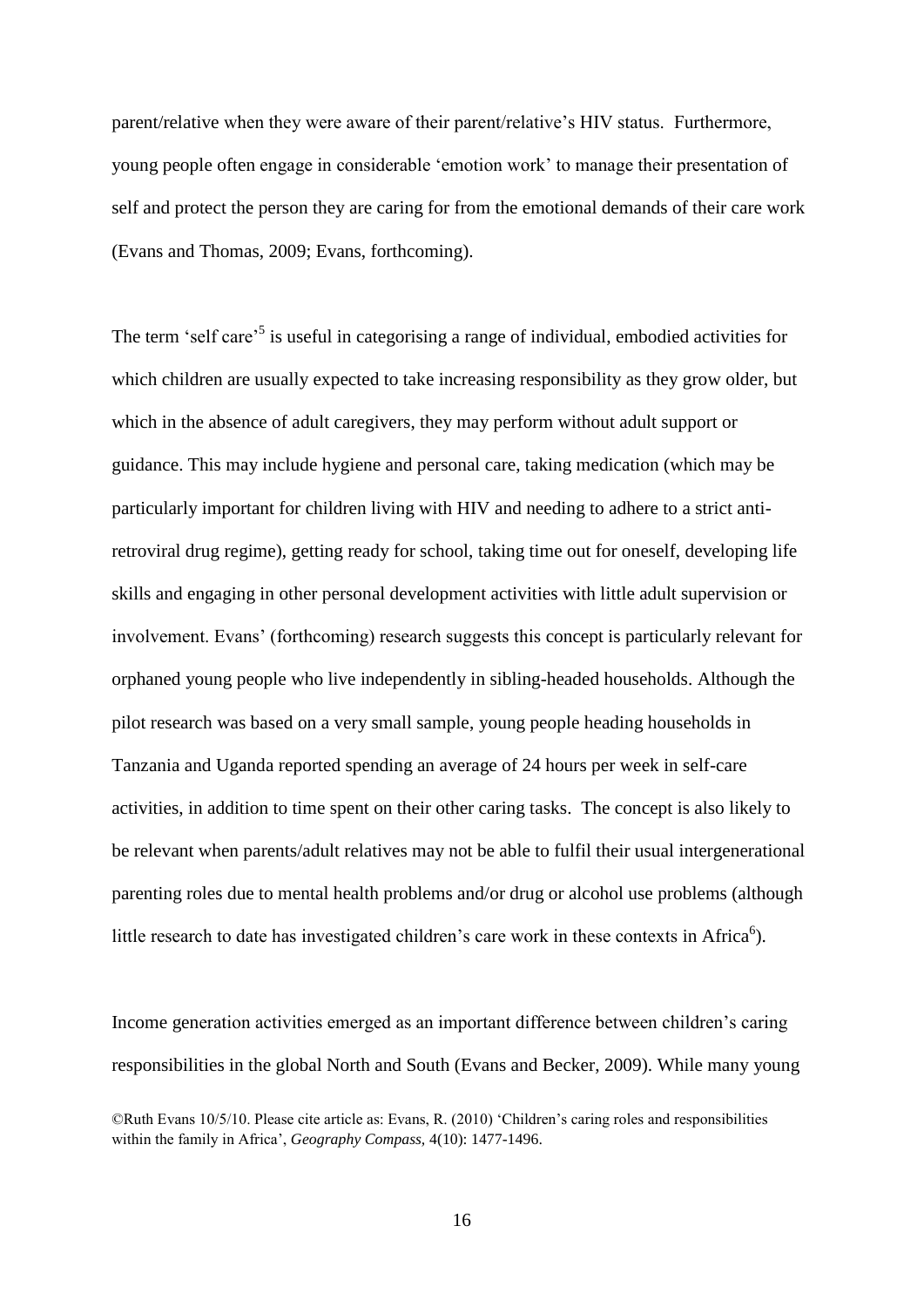parent/relative when they were aware of their parent/relative"s HIV status. Furthermore, young people often engage in considerable "emotion work" to manage their presentation of self and protect the person they are caring for from the emotional demands of their care work (Evans and Thomas, 2009; Evans, forthcoming).

The term 'self care'<sup>5</sup> is useful in categorising a range of individual, embodied activities for which children are usually expected to take increasing responsibility as they grow older, but which in the absence of adult caregivers, they may perform without adult support or guidance. This may include hygiene and personal care, taking medication (which may be particularly important for children living with HIV and needing to adhere to a strict antiretroviral drug regime), getting ready for school, taking time out for oneself, developing life skills and engaging in other personal development activities with little adult supervision or involvement. Evans' (forthcoming) research suggests this concept is particularly relevant for orphaned young people who live independently in sibling-headed households. Although the pilot research was based on a very small sample, young people heading households in Tanzania and Uganda reported spending an average of 24 hours per week in self-care activities, in addition to time spent on their other caring tasks. The concept is also likely to be relevant when parents/adult relatives may not be able to fulfil their usual intergenerational parenting roles due to mental health problems and/or drug or alcohol use problems (although little research to date has investigated children's care work in these contexts in Africa<sup>6</sup>).

Income generation activities emerged as an important difference between children"s caring responsibilities in the global North and South (Evans and Becker, 2009). While many young

<sup>©</sup>Ruth Evans 10/5/10. Please cite article as: Evans, R. (2010) "Children"s caring roles and responsibilities within the family in Africa", *Geography Compass,* 4(10): 1477-1496.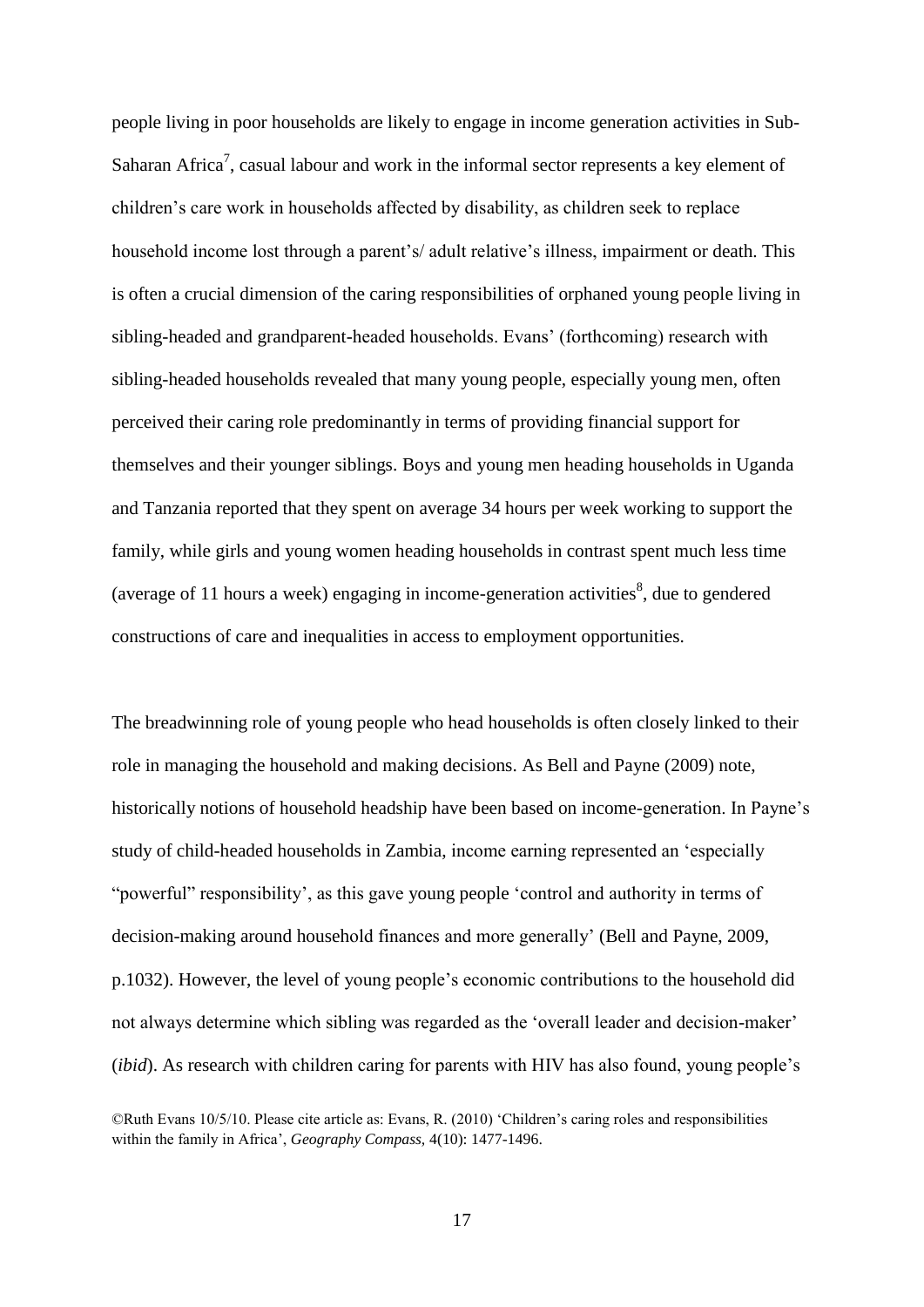people living in poor households are likely to engage in income generation activities in Sub-Saharan Africa<sup>7</sup>, casual labour and work in the informal sector represents a key element of children"s care work in households affected by disability, as children seek to replace household income lost through a parent's/ adult relative's illness, impairment or death. This is often a crucial dimension of the caring responsibilities of orphaned young people living in sibling-headed and grandparent-headed households. Evans' (forthcoming) research with sibling-headed households revealed that many young people, especially young men, often perceived their caring role predominantly in terms of providing financial support for themselves and their younger siblings. Boys and young men heading households in Uganda and Tanzania reported that they spent on average 34 hours per week working to support the family, while girls and young women heading households in contrast spent much less time (average of 11 hours a week) engaging in income-generation activities<sup>8</sup>, due to gendered constructions of care and inequalities in access to employment opportunities.

The breadwinning role of young people who head households is often closely linked to their role in managing the household and making decisions. As Bell and Payne (2009) note, historically notions of household headship have been based on income-generation. In Payne"s study of child-headed households in Zambia, income earning represented an "especially "powerful" responsibility', as this gave young people 'control and authority in terms of decision-making around household finances and more generally" (Bell and Payne, 2009, p.1032). However, the level of young people"s economic contributions to the household did not always determine which sibling was regarded as the "overall leader and decision-maker" (*ibid*). As research with children caring for parents with HIV has also found, young people's

<sup>©</sup>Ruth Evans 10/5/10. Please cite article as: Evans, R. (2010) "Children"s caring roles and responsibilities within the family in Africa", *Geography Compass,* 4(10): 1477-1496.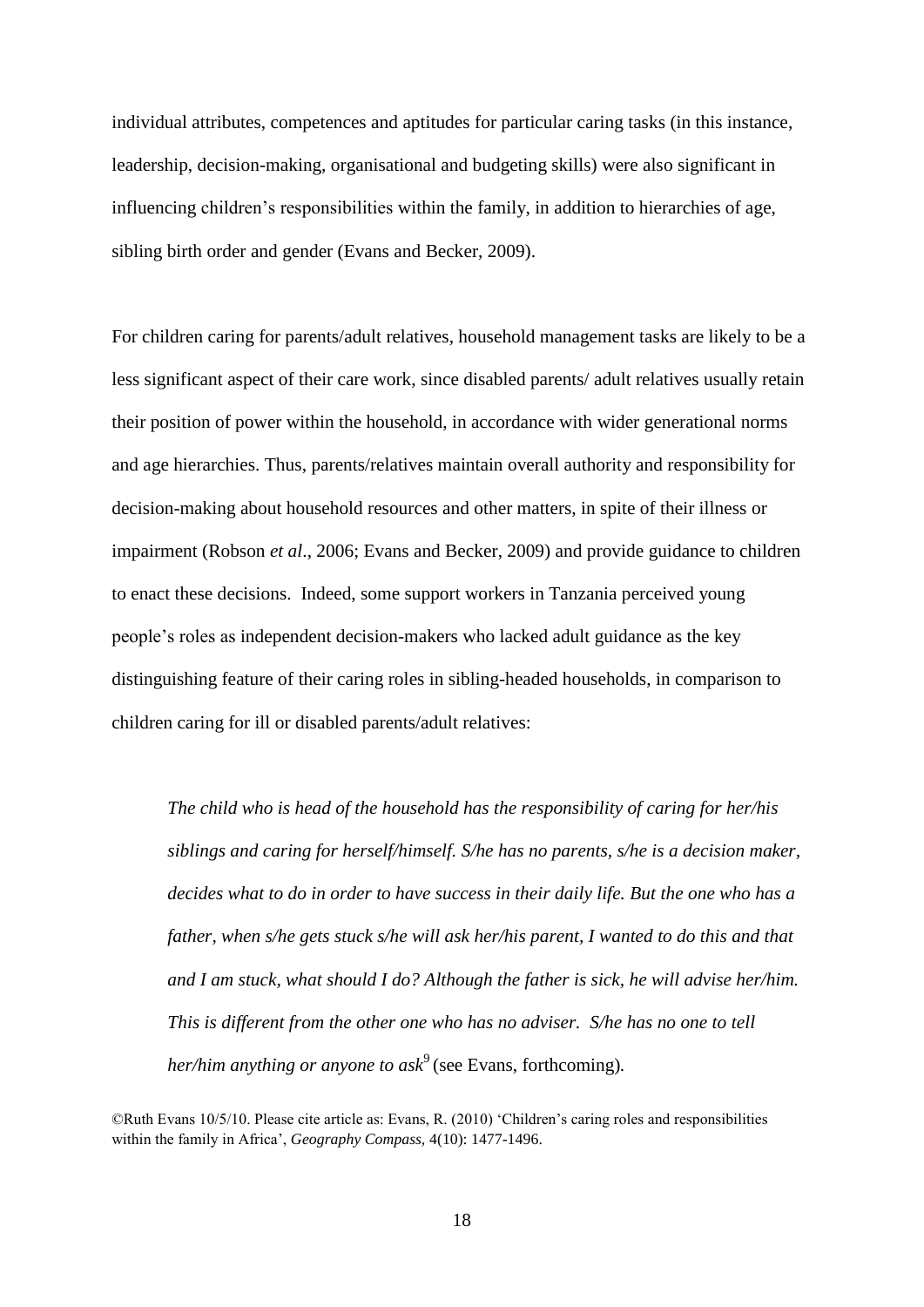individual attributes, competences and aptitudes for particular caring tasks (in this instance, leadership, decision-making, organisational and budgeting skills) were also significant in influencing children"s responsibilities within the family, in addition to hierarchies of age, sibling birth order and gender (Evans and Becker, 2009).

For children caring for parents/adult relatives, household management tasks are likely to be a less significant aspect of their care work, since disabled parents/ adult relatives usually retain their position of power within the household, in accordance with wider generational norms and age hierarchies. Thus, parents/relatives maintain overall authority and responsibility for decision-making about household resources and other matters, in spite of their illness or impairment (Robson *et al*., 2006; Evans and Becker, 2009) and provide guidance to children to enact these decisions. Indeed, some support workers in Tanzania perceived young people"s roles as independent decision-makers who lacked adult guidance as the key distinguishing feature of their caring roles in sibling-headed households, in comparison to children caring for ill or disabled parents/adult relatives:

*The child who is head of the household has the responsibility of caring for her/his siblings and caring for herself/himself. S/he has no parents, s/he is a decision maker, decides what to do in order to have success in their daily life. But the one who has a father, when s/he gets stuck s/he will ask her/his parent, I wanted to do this and that and I am stuck, what should I do? Although the father is sick, he will advise her/him. This is different from the other one who has no adviser. S/he has no one to tell her/him anything or anyone to ask*<sup>9</sup> (see Evans, forthcoming).

<sup>©</sup>Ruth Evans 10/5/10. Please cite article as: Evans, R. (2010) "Children"s caring roles and responsibilities within the family in Africa", *Geography Compass,* 4(10): 1477-1496.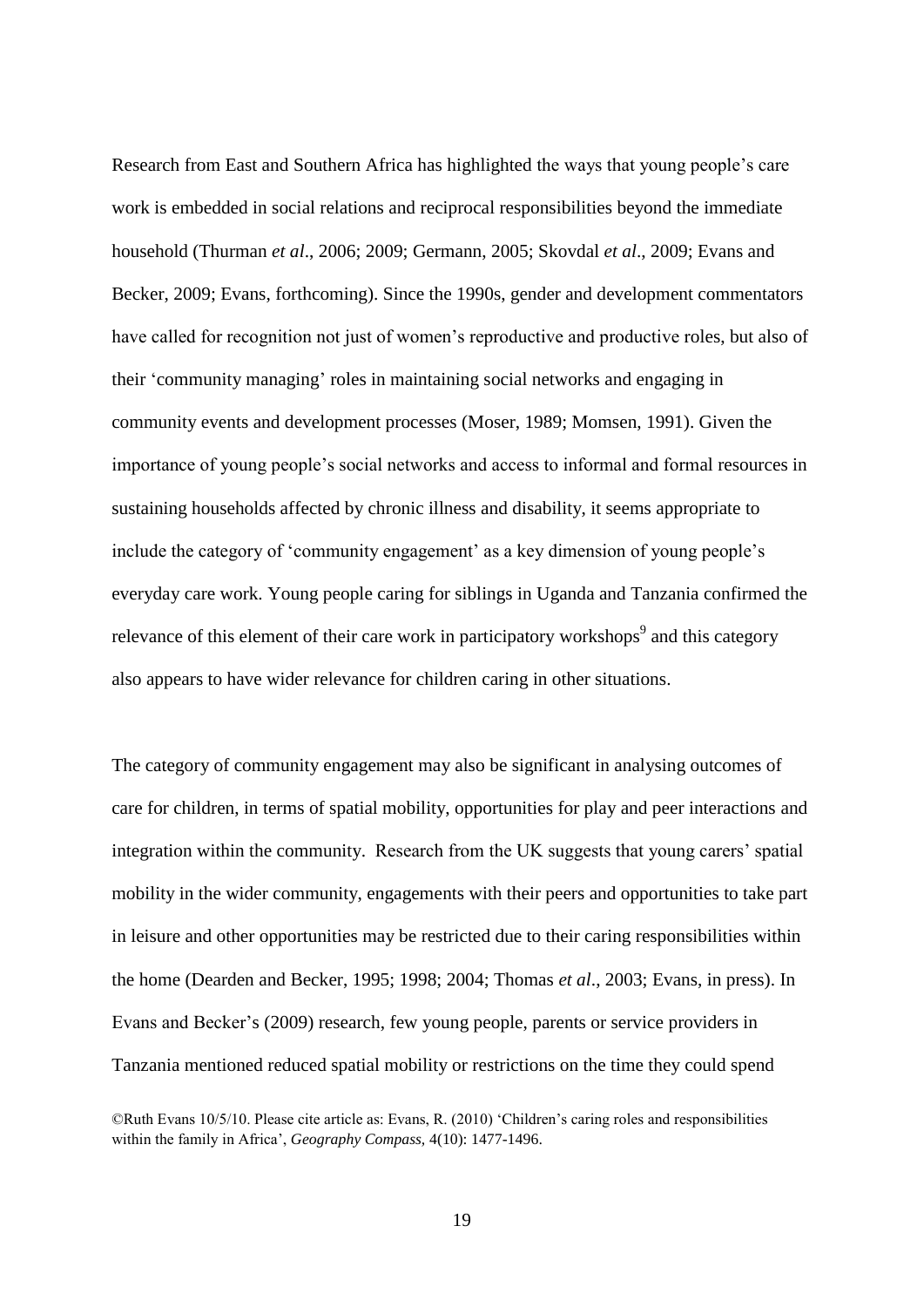Research from East and Southern Africa has highlighted the ways that young people"s care work is embedded in social relations and reciprocal responsibilities beyond the immediate household (Thurman *et al*., 2006; 2009; Germann, 2005; Skovdal *et al*., 2009; Evans and Becker, 2009; Evans, forthcoming). Since the 1990s, gender and development commentators have called for recognition not just of women's reproductive and productive roles, but also of their "community managing" roles in maintaining social networks and engaging in community events and development processes (Moser, 1989; Momsen, 1991). Given the importance of young people"s social networks and access to informal and formal resources in sustaining households affected by chronic illness and disability, it seems appropriate to include the category of 'community engagement' as a key dimension of young people's everyday care work. Young people caring for siblings in Uganda and Tanzania confirmed the relevance of this element of their care work in participatory workshops<sup>9</sup> and this category also appears to have wider relevance for children caring in other situations.

The category of community engagement may also be significant in analysing outcomes of care for children, in terms of spatial mobility, opportunities for play and peer interactions and integration within the community. Research from the UK suggests that young carers' spatial mobility in the wider community, engagements with their peers and opportunities to take part in leisure and other opportunities may be restricted due to their caring responsibilities within the home (Dearden and Becker, 1995; 1998; 2004; Thomas *et al*., 2003; Evans, in press). In Evans and Becker"s (2009) research, few young people, parents or service providers in Tanzania mentioned reduced spatial mobility or restrictions on the time they could spend

<sup>©</sup>Ruth Evans 10/5/10. Please cite article as: Evans, R. (2010) "Children"s caring roles and responsibilities within the family in Africa", *Geography Compass,* 4(10): 1477-1496.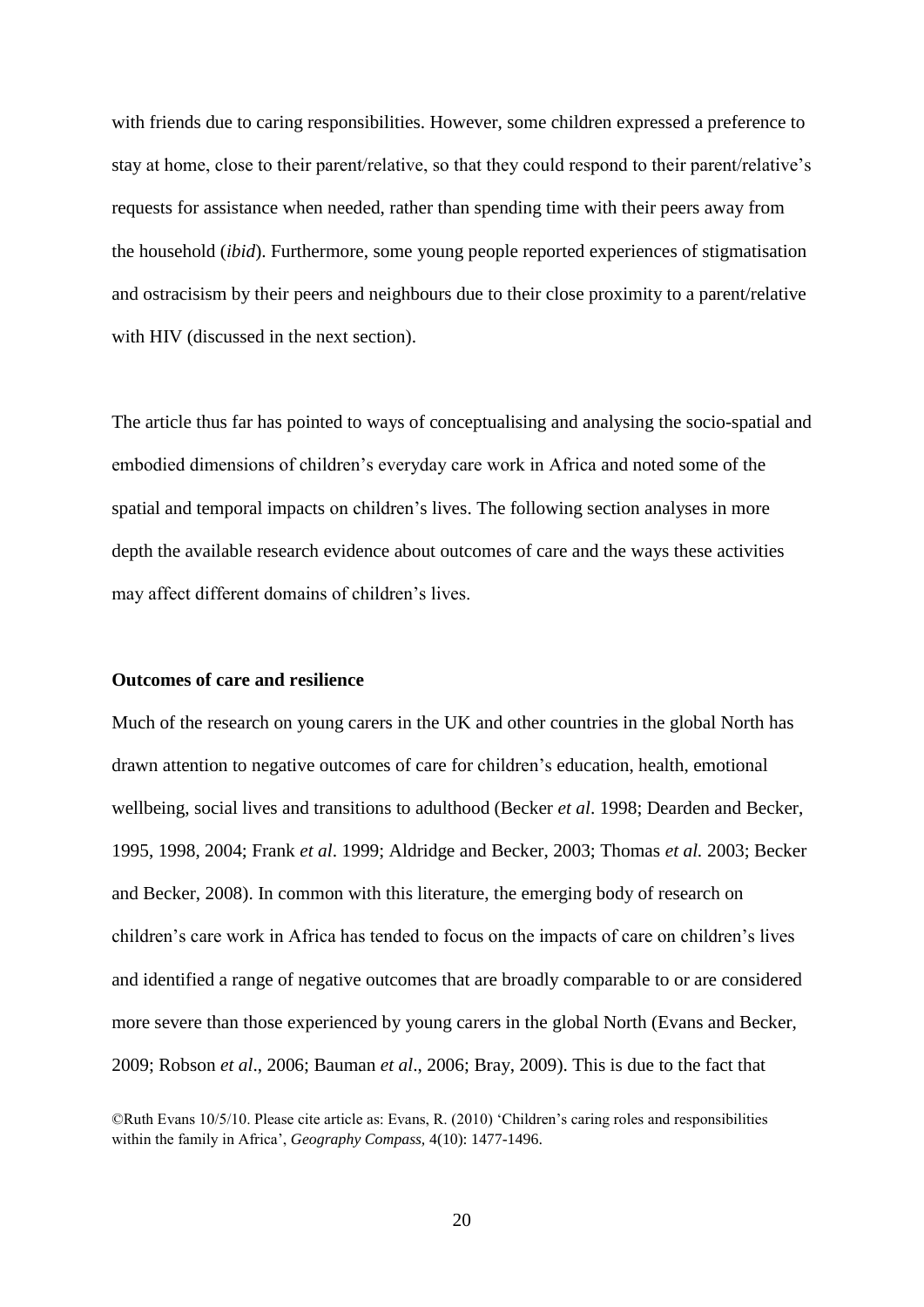with friends due to caring responsibilities. However, some children expressed a preference to stay at home, close to their parent/relative, so that they could respond to their parent/relative"s requests for assistance when needed, rather than spending time with their peers away from the household (*ibid*). Furthermore, some young people reported experiences of stigmatisation and ostracisism by their peers and neighbours due to their close proximity to a parent/relative with HIV (discussed in the next section).

The article thus far has pointed to ways of conceptualising and analysing the socio-spatial and embodied dimensions of children"s everyday care work in Africa and noted some of the spatial and temporal impacts on children"s lives. The following section analyses in more depth the available research evidence about outcomes of care and the ways these activities may affect different domains of children"s lives.

#### **Outcomes of care and resilience**

Much of the research on young carers in the UK and other countries in the global North has drawn attention to negative outcomes of care for children"s education, health, emotional wellbeing, social lives and transitions to adulthood (Becker *et al*. 1998; Dearden and Becker, 1995, 1998, 2004; Frank *et al*. 1999; Aldridge and Becker, 2003; Thomas *et al.* 2003; Becker and Becker, 2008). In common with this literature, the emerging body of research on children"s care work in Africa has tended to focus on the impacts of care on children"s lives and identified a range of negative outcomes that are broadly comparable to or are considered more severe than those experienced by young carers in the global North (Evans and Becker, 2009; Robson *et al*., 2006; Bauman *et al*., 2006; Bray, 2009). This is due to the fact that

<sup>©</sup>Ruth Evans 10/5/10. Please cite article as: Evans, R. (2010) "Children"s caring roles and responsibilities within the family in Africa", *Geography Compass,* 4(10): 1477-1496.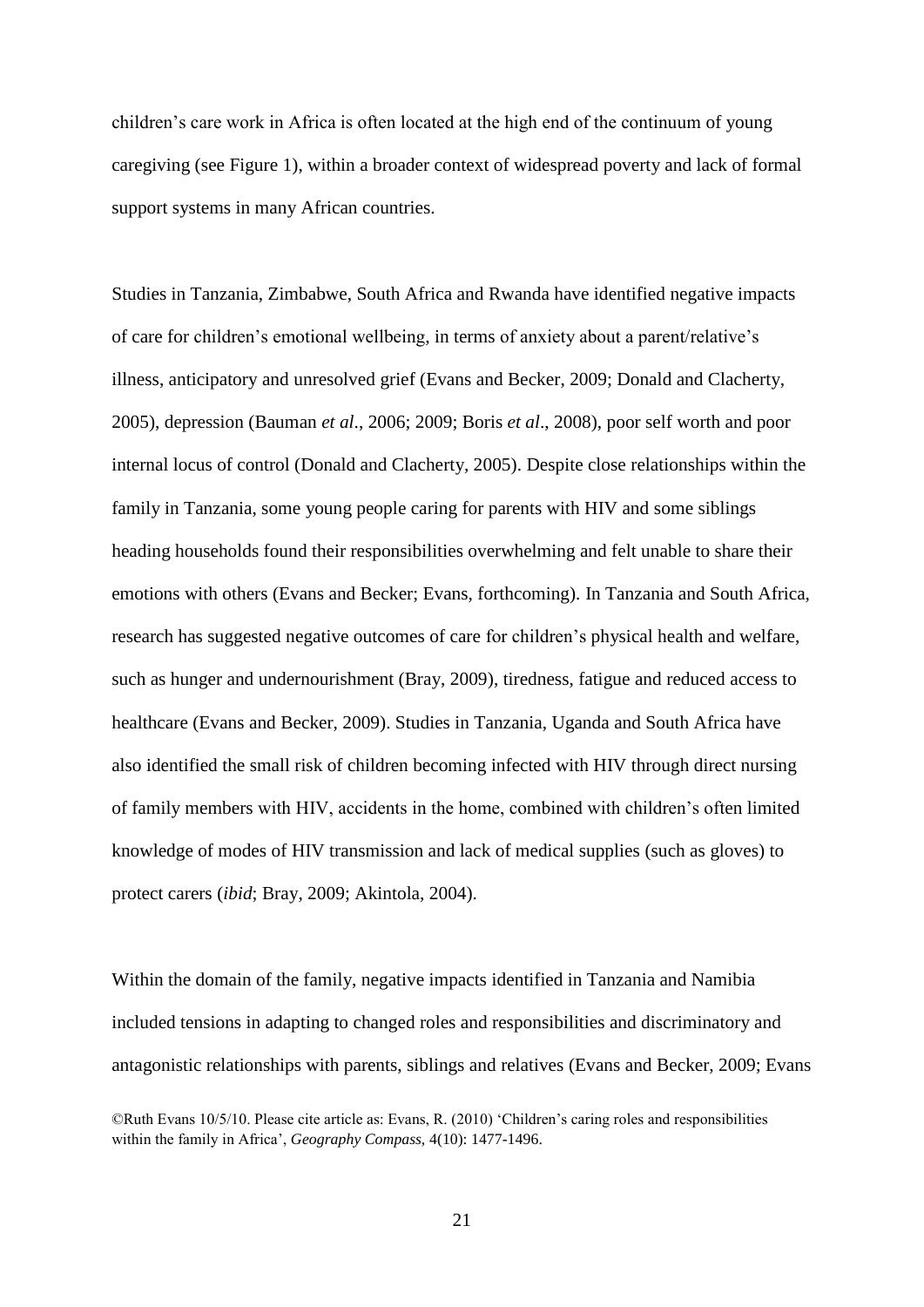children"s care work in Africa is often located at the high end of the continuum of young caregiving (see Figure 1), within a broader context of widespread poverty and lack of formal support systems in many African countries.

Studies in Tanzania, Zimbabwe, South Africa and Rwanda have identified negative impacts of care for children"s emotional wellbeing, in terms of anxiety about a parent/relative"s illness, anticipatory and unresolved grief (Evans and Becker, 2009; Donald and Clacherty, 2005), depression (Bauman *et al*., 2006; 2009; Boris *et al*., 2008), poor self worth and poor internal locus of control (Donald and Clacherty, 2005). Despite close relationships within the family in Tanzania, some young people caring for parents with HIV and some siblings heading households found their responsibilities overwhelming and felt unable to share their emotions with others (Evans and Becker; Evans, forthcoming). In Tanzania and South Africa, research has suggested negative outcomes of care for children"s physical health and welfare, such as hunger and undernourishment (Bray, 2009), tiredness, fatigue and reduced access to healthcare (Evans and Becker, 2009). Studies in Tanzania, Uganda and South Africa have also identified the small risk of children becoming infected with HIV through direct nursing of family members with HIV, accidents in the home, combined with children"s often limited knowledge of modes of HIV transmission and lack of medical supplies (such as gloves) to protect carers (*ibid*; Bray, 2009; Akintola, 2004).

Within the domain of the family, negative impacts identified in Tanzania and Namibia included tensions in adapting to changed roles and responsibilities and discriminatory and antagonistic relationships with parents, siblings and relatives (Evans and Becker, 2009; Evans

<sup>©</sup>Ruth Evans 10/5/10. Please cite article as: Evans, R. (2010) "Children"s caring roles and responsibilities within the family in Africa", *Geography Compass,* 4(10): 1477-1496.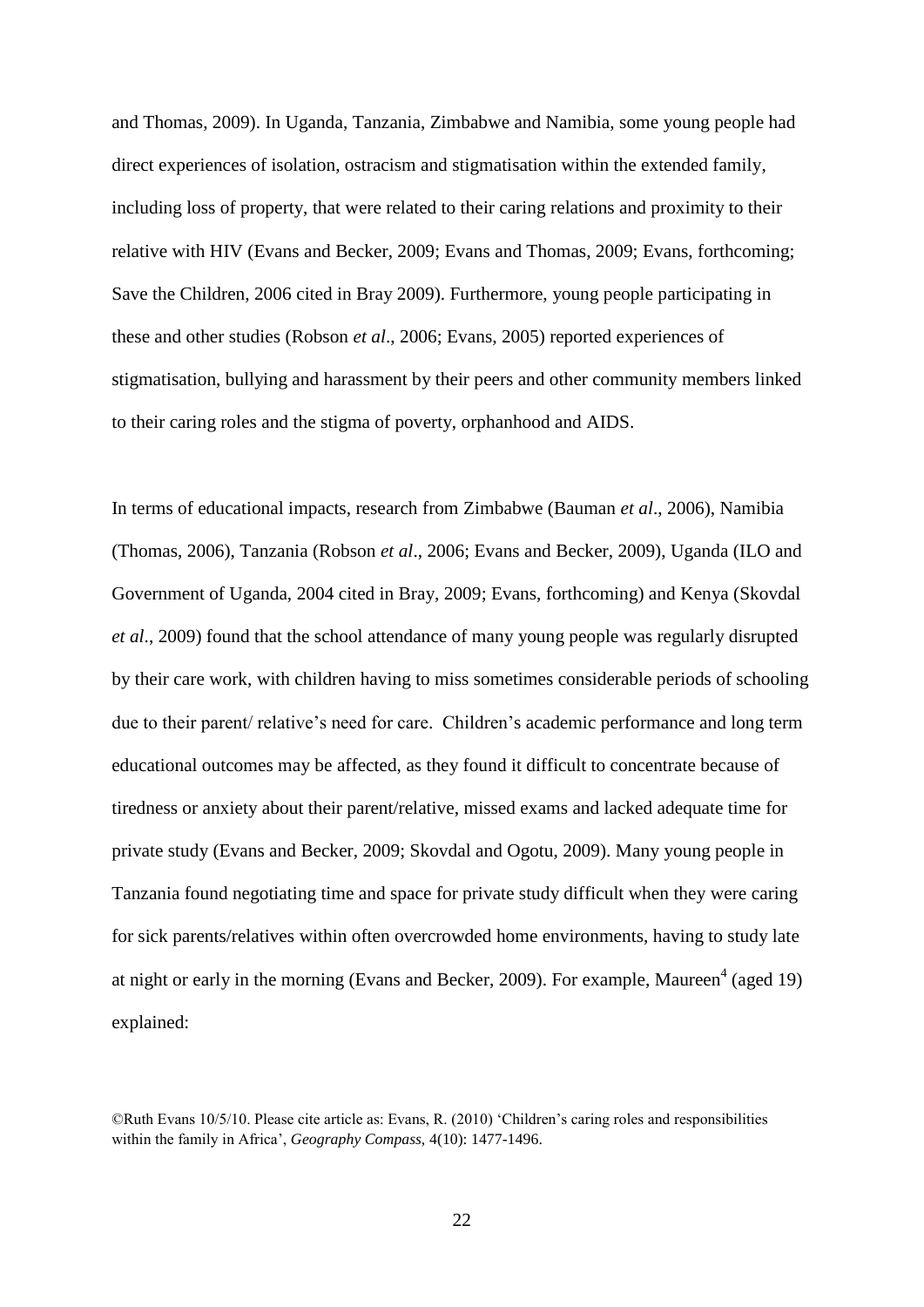and Thomas, 2009). In Uganda, Tanzania, Zimbabwe and Namibia, some young people had direct experiences of isolation, ostracism and stigmatisation within the extended family, including loss of property, that were related to their caring relations and proximity to their relative with HIV (Evans and Becker, 2009; Evans and Thomas, 2009; Evans, forthcoming; Save the Children, 2006 cited in Bray 2009). Furthermore, young people participating in these and other studies (Robson *et al*., 2006; Evans, 2005) reported experiences of stigmatisation, bullying and harassment by their peers and other community members linked to their caring roles and the stigma of poverty, orphanhood and AIDS.

In terms of educational impacts, research from Zimbabwe (Bauman *et al*., 2006), Namibia (Thomas, 2006), Tanzania (Robson *et al*., 2006; Evans and Becker, 2009), Uganda (ILO and Government of Uganda, 2004 cited in Bray, 2009; Evans, forthcoming) and Kenya (Skovdal *et al*., 2009) found that the school attendance of many young people was regularly disrupted by their care work, with children having to miss sometimes considerable periods of schooling due to their parent/ relative's need for care. Children's academic performance and long term educational outcomes may be affected, as they found it difficult to concentrate because of tiredness or anxiety about their parent/relative, missed exams and lacked adequate time for private study (Evans and Becker, 2009; Skovdal and Ogotu, 2009). Many young people in Tanzania found negotiating time and space for private study difficult when they were caring for sick parents/relatives within often overcrowded home environments, having to study late at night or early in the morning (Evans and Becker, 2009). For example, Maureen<sup>4</sup> (aged 19) explained:

<sup>©</sup>Ruth Evans 10/5/10. Please cite article as: Evans, R. (2010) "Children"s caring roles and responsibilities within the family in Africa", *Geography Compass,* 4(10): 1477-1496.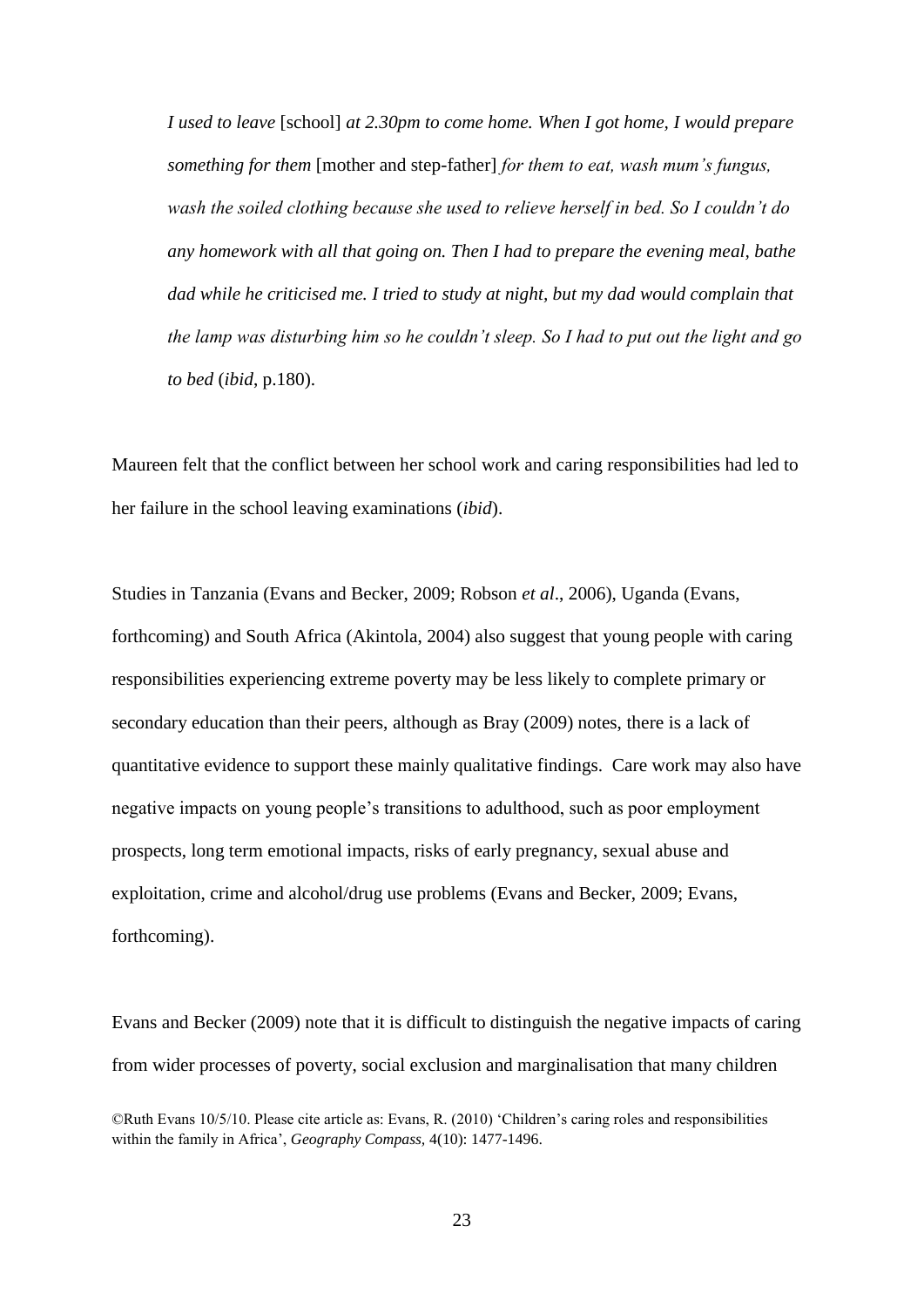*I used to leave* [school] *at 2.30pm to come home. When I got home, I would prepare something for them* [mother and step-father] *for them to eat, wash mum's fungus, wash the soiled clothing because she used to relieve herself in bed. So I couldn't do any homework with all that going on. Then I had to prepare the evening meal, bathe dad while he criticised me. I tried to study at night, but my dad would complain that the lamp was disturbing him so he couldn't sleep. So I had to put out the light and go to bed* (*ibid*, p.180).

Maureen felt that the conflict between her school work and caring responsibilities had led to her failure in the school leaving examinations (*ibid*).

Studies in Tanzania (Evans and Becker, 2009; Robson *et al*., 2006), Uganda (Evans, forthcoming) and South Africa (Akintola, 2004) also suggest that young people with caring responsibilities experiencing extreme poverty may be less likely to complete primary or secondary education than their peers, although as Bray (2009) notes, there is a lack of quantitative evidence to support these mainly qualitative findings. Care work may also have negative impacts on young people"s transitions to adulthood, such as poor employment prospects, long term emotional impacts, risks of early pregnancy, sexual abuse and exploitation, crime and alcohol/drug use problems (Evans and Becker, 2009; Evans, forthcoming).

Evans and Becker (2009) note that it is difficult to distinguish the negative impacts of caring from wider processes of poverty, social exclusion and marginalisation that many children

<sup>©</sup>Ruth Evans 10/5/10. Please cite article as: Evans, R. (2010) "Children"s caring roles and responsibilities within the family in Africa", *Geography Compass,* 4(10): 1477-1496.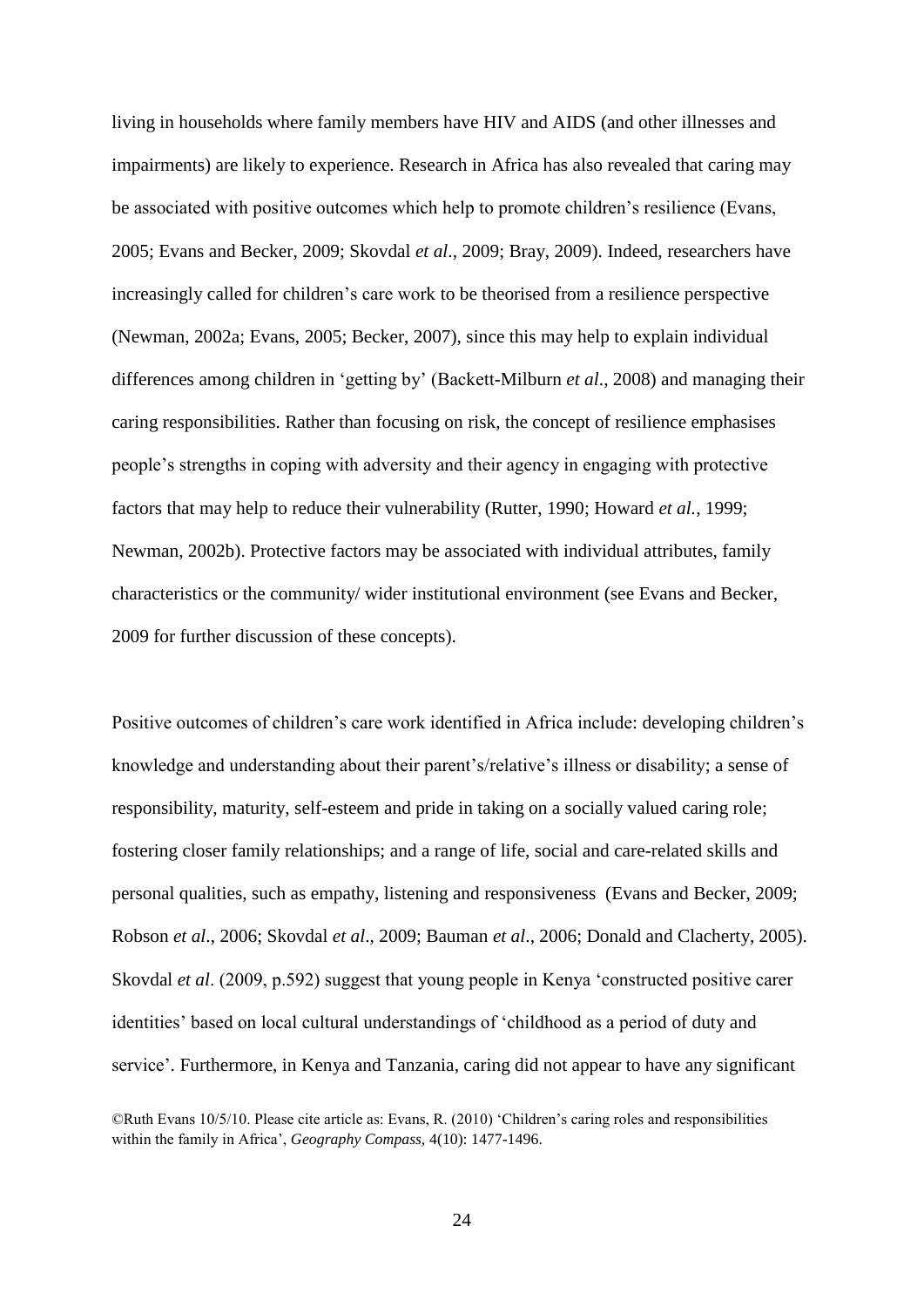living in households where family members have HIV and AIDS (and other illnesses and impairments) are likely to experience. Research in Africa has also revealed that caring may be associated with positive outcomes which help to promote children"s resilience (Evans, 2005; Evans and Becker, 2009; Skovdal *et al*., 2009; Bray, 2009). Indeed, researchers have increasingly called for children"s care work to be theorised from a resilience perspective (Newman, 2002a; Evans, 2005; Becker, 2007), since this may help to explain individual differences among children in "getting by" (Backett-Milburn *et al*., 2008) and managing their caring responsibilities. Rather than focusing on risk, the concept of resilience emphasises people"s strengths in coping with adversity and their agency in engaging with protective factors that may help to reduce their vulnerability (Rutter, 1990; Howard *et al.,* 1999; Newman, 2002b). Protective factors may be associated with individual attributes, family characteristics or the community/ wider institutional environment (see Evans and Becker, 2009 for further discussion of these concepts).

Positive outcomes of children"s care work identified in Africa include: developing children"s knowledge and understanding about their parent's/relative's illness or disability; a sense of responsibility, maturity, self-esteem and pride in taking on a socially valued caring role; fostering closer family relationships; and a range of life, social and care-related skills and personal qualities, such as empathy, listening and responsiveness (Evans and Becker, 2009; Robson *et al*., 2006; Skovdal *et al*., 2009; Bauman *et al*., 2006; Donald and Clacherty, 2005). Skovdal *et al*. (2009, p.592) suggest that young people in Kenya "constructed positive carer identities' based on local cultural understandings of 'childhood as a period of duty and service'. Furthermore, in Kenya and Tanzania, caring did not appear to have any significant

<sup>©</sup>Ruth Evans 10/5/10. Please cite article as: Evans, R. (2010) "Children"s caring roles and responsibilities within the family in Africa", *Geography Compass,* 4(10): 1477-1496.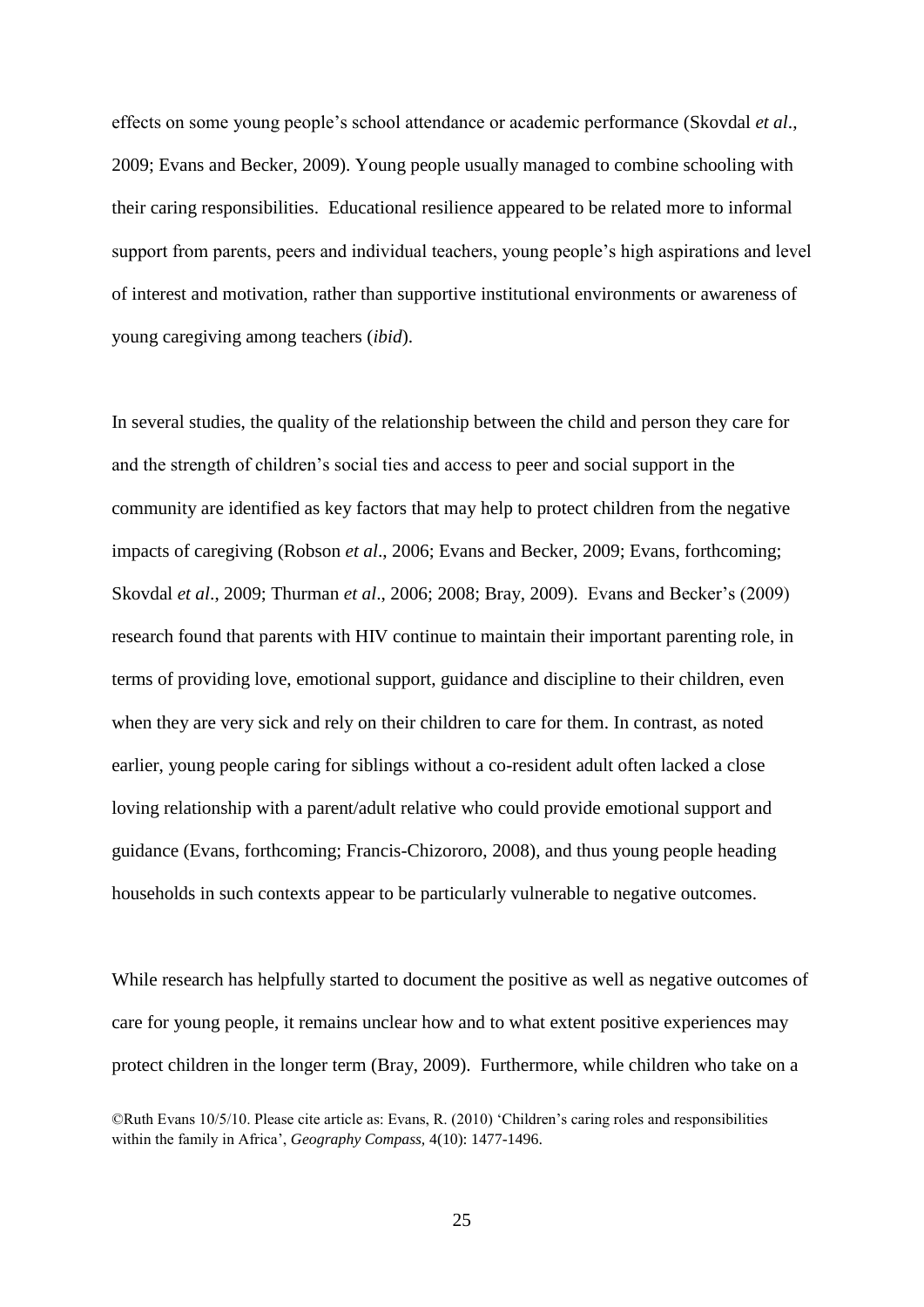effects on some young people"s school attendance or academic performance (Skovdal *et al*., 2009; Evans and Becker, 2009). Young people usually managed to combine schooling with their caring responsibilities. Educational resilience appeared to be related more to informal support from parents, peers and individual teachers, young people's high aspirations and level of interest and motivation, rather than supportive institutional environments or awareness of young caregiving among teachers (*ibid*).

In several studies, the quality of the relationship between the child and person they care for and the strength of children"s social ties and access to peer and social support in the community are identified as key factors that may help to protect children from the negative impacts of caregiving (Robson *et al*., 2006; Evans and Becker, 2009; Evans, forthcoming; Skovdal *et al*., 2009; Thurman *et al*., 2006; 2008; Bray, 2009). Evans and Becker"s (2009) research found that parents with HIV continue to maintain their important parenting role, in terms of providing love, emotional support, guidance and discipline to their children, even when they are very sick and rely on their children to care for them. In contrast, as noted earlier, young people caring for siblings without a co-resident adult often lacked a close loving relationship with a parent/adult relative who could provide emotional support and guidance (Evans, forthcoming; Francis-Chizororo, 2008), and thus young people heading households in such contexts appear to be particularly vulnerable to negative outcomes.

While research has helpfully started to document the positive as well as negative outcomes of care for young people, it remains unclear how and to what extent positive experiences may protect children in the longer term (Bray, 2009). Furthermore, while children who take on a

<sup>©</sup>Ruth Evans 10/5/10. Please cite article as: Evans, R. (2010) "Children"s caring roles and responsibilities within the family in Africa", *Geography Compass,* 4(10): 1477-1496.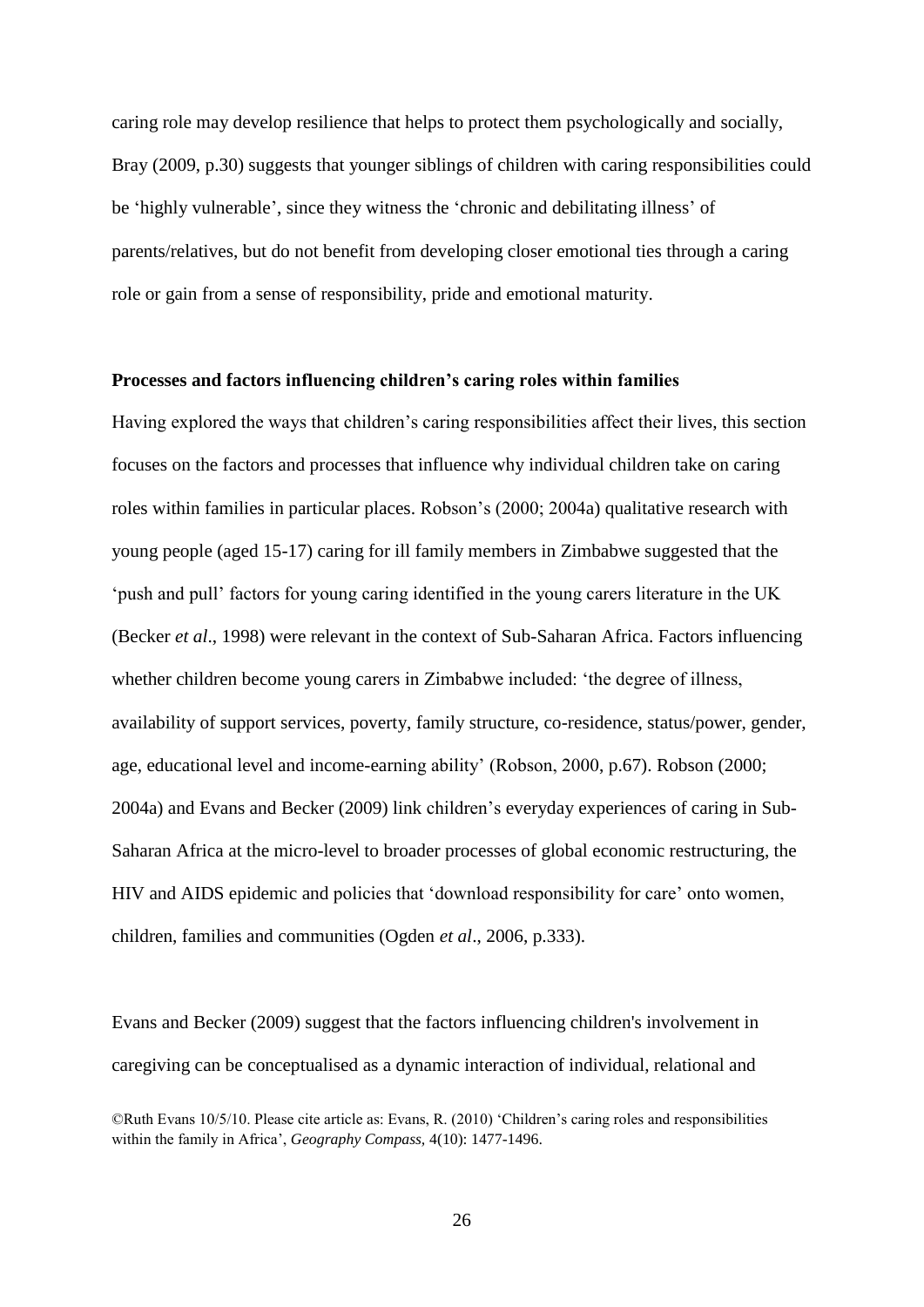caring role may develop resilience that helps to protect them psychologically and socially, Bray (2009, p.30) suggests that younger siblings of children with caring responsibilities could be 'highly vulnerable', since they witness the 'chronic and debilitating illness' of parents/relatives, but do not benefit from developing closer emotional ties through a caring role or gain from a sense of responsibility, pride and emotional maturity.

#### **Processes and factors influencing children's caring roles within families**

Having explored the ways that children"s caring responsibilities affect their lives, this section focuses on the factors and processes that influence why individual children take on caring roles within families in particular places. Robson"s (2000; 2004a) qualitative research with young people (aged 15-17) caring for ill family members in Zimbabwe suggested that the "push and pull" factors for young caring identified in the young carers literature in the UK (Becker *et al*., 1998) were relevant in the context of Sub-Saharan Africa. Factors influencing whether children become young carers in Zimbabwe included: "the degree of illness, availability of support services, poverty, family structure, co-residence, status/power, gender, age, educational level and income-earning ability" (Robson, 2000, p.67). Robson (2000; 2004a) and Evans and Becker (2009) link children"s everyday experiences of caring in Sub-Saharan Africa at the micro-level to broader processes of global economic restructuring, the HIV and AIDS epidemic and policies that 'download responsibility for care' onto women, children, families and communities (Ogden *et al*., 2006, p.333).

Evans and Becker (2009) suggest that the factors influencing children's involvement in caregiving can be conceptualised as a dynamic interaction of individual, relational and

<sup>©</sup>Ruth Evans 10/5/10. Please cite article as: Evans, R. (2010) "Children"s caring roles and responsibilities within the family in Africa", *Geography Compass,* 4(10): 1477-1496.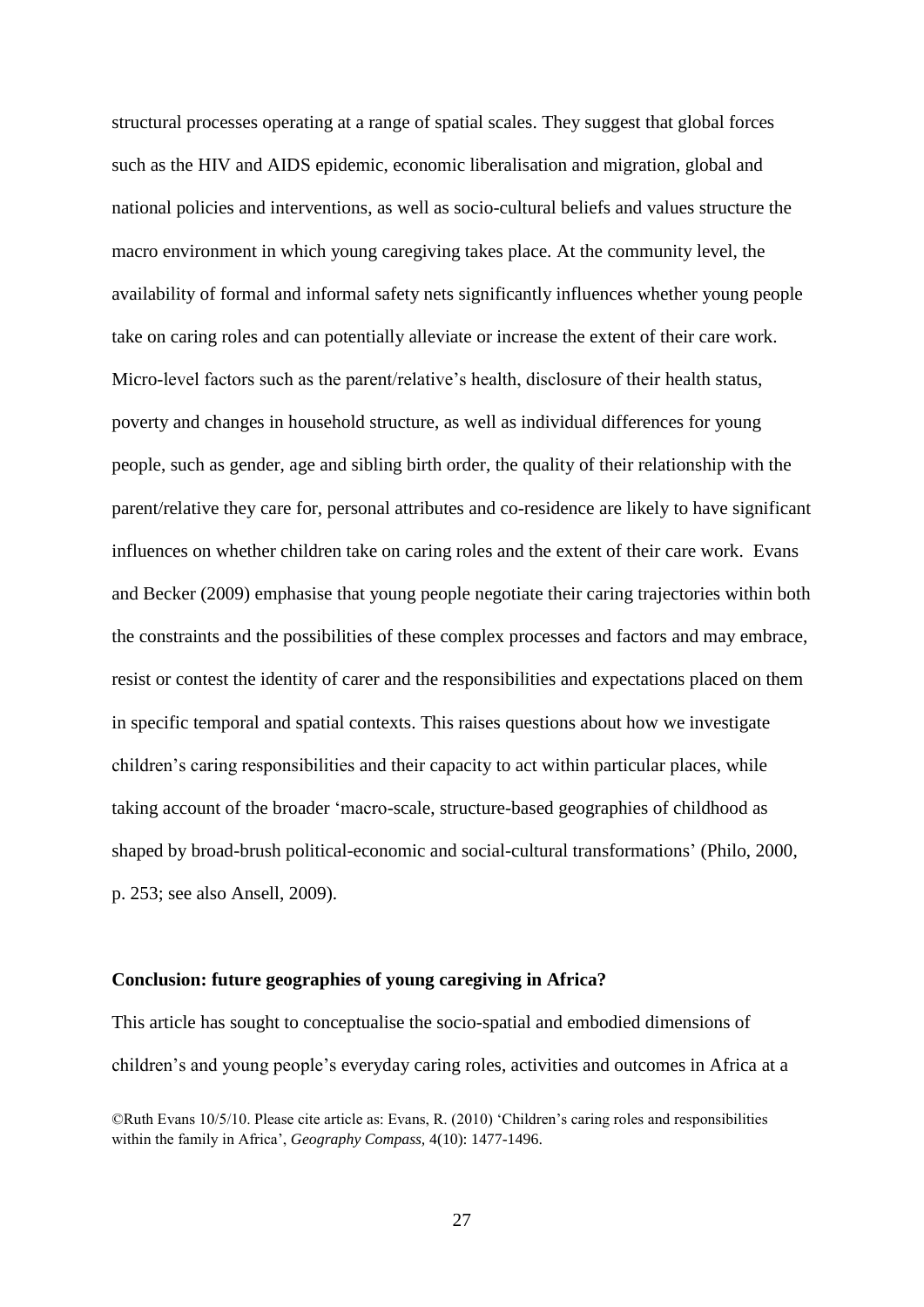structural processes operating at a range of spatial scales. They suggest that global forces such as the HIV and AIDS epidemic, economic liberalisation and migration, global and national policies and interventions, as well as socio-cultural beliefs and values structure the macro environment in which young caregiving takes place. At the community level, the availability of formal and informal safety nets significantly influences whether young people take on caring roles and can potentially alleviate or increase the extent of their care work. Micro-level factors such as the parent/relative"s health, disclosure of their health status, poverty and changes in household structure, as well as individual differences for young people, such as gender, age and sibling birth order, the quality of their relationship with the parent/relative they care for, personal attributes and co-residence are likely to have significant influences on whether children take on caring roles and the extent of their care work. Evans and Becker (2009) emphasise that young people negotiate their caring trajectories within both the constraints and the possibilities of these complex processes and factors and may embrace, resist or contest the identity of carer and the responsibilities and expectations placed on them in specific temporal and spatial contexts. This raises questions about how we investigate children"s caring responsibilities and their capacity to act within particular places, while taking account of the broader "macro-scale, structure-based geographies of childhood as shaped by broad-brush political-economic and social-cultural transformations" (Philo, 2000, p. 253; see also Ansell, 2009).

#### **Conclusion: future geographies of young caregiving in Africa?**

This article has sought to conceptualise the socio-spatial and embodied dimensions of children"s and young people"s everyday caring roles, activities and outcomes in Africa at a

<sup>©</sup>Ruth Evans 10/5/10. Please cite article as: Evans, R. (2010) "Children"s caring roles and responsibilities within the family in Africa", *Geography Compass,* 4(10): 1477-1496.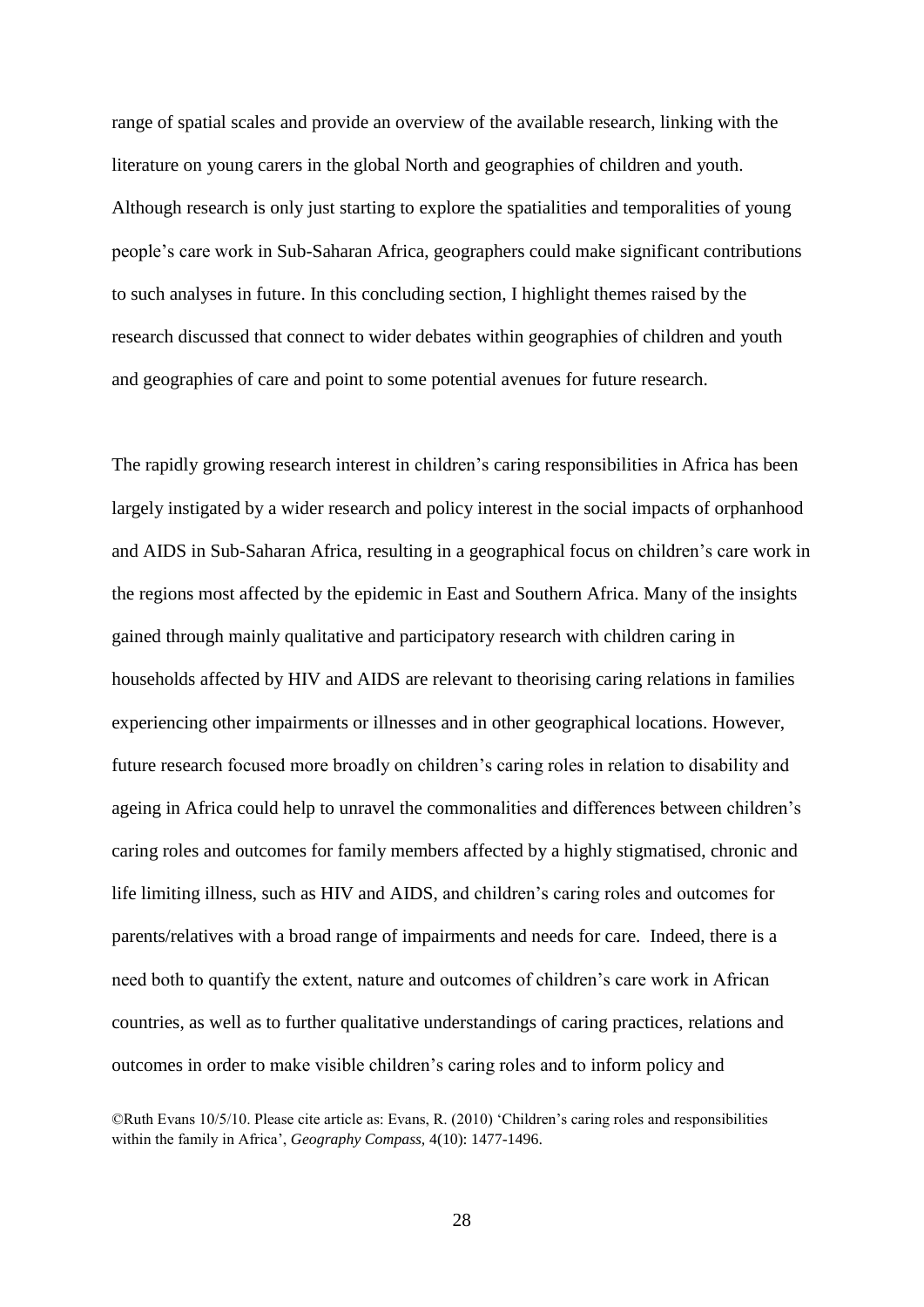range of spatial scales and provide an overview of the available research, linking with the literature on young carers in the global North and geographies of children and youth. Although research is only just starting to explore the spatialities and temporalities of young people"s care work in Sub-Saharan Africa, geographers could make significant contributions to such analyses in future. In this concluding section, I highlight themes raised by the research discussed that connect to wider debates within geographies of children and youth and geographies of care and point to some potential avenues for future research.

The rapidly growing research interest in children"s caring responsibilities in Africa has been largely instigated by a wider research and policy interest in the social impacts of orphanhood and AIDS in Sub-Saharan Africa, resulting in a geographical focus on children"s care work in the regions most affected by the epidemic in East and Southern Africa. Many of the insights gained through mainly qualitative and participatory research with children caring in households affected by HIV and AIDS are relevant to theorising caring relations in families experiencing other impairments or illnesses and in other geographical locations. However, future research focused more broadly on children"s caring roles in relation to disability and ageing in Africa could help to unravel the commonalities and differences between children"s caring roles and outcomes for family members affected by a highly stigmatised, chronic and life limiting illness, such as HIV and AIDS, and children"s caring roles and outcomes for parents/relatives with a broad range of impairments and needs for care. Indeed, there is a need both to quantify the extent, nature and outcomes of children"s care work in African countries, as well as to further qualitative understandings of caring practices, relations and outcomes in order to make visible children"s caring roles and to inform policy and

28

<sup>©</sup>Ruth Evans 10/5/10. Please cite article as: Evans, R. (2010) "Children"s caring roles and responsibilities within the family in Africa", *Geography Compass,* 4(10): 1477-1496.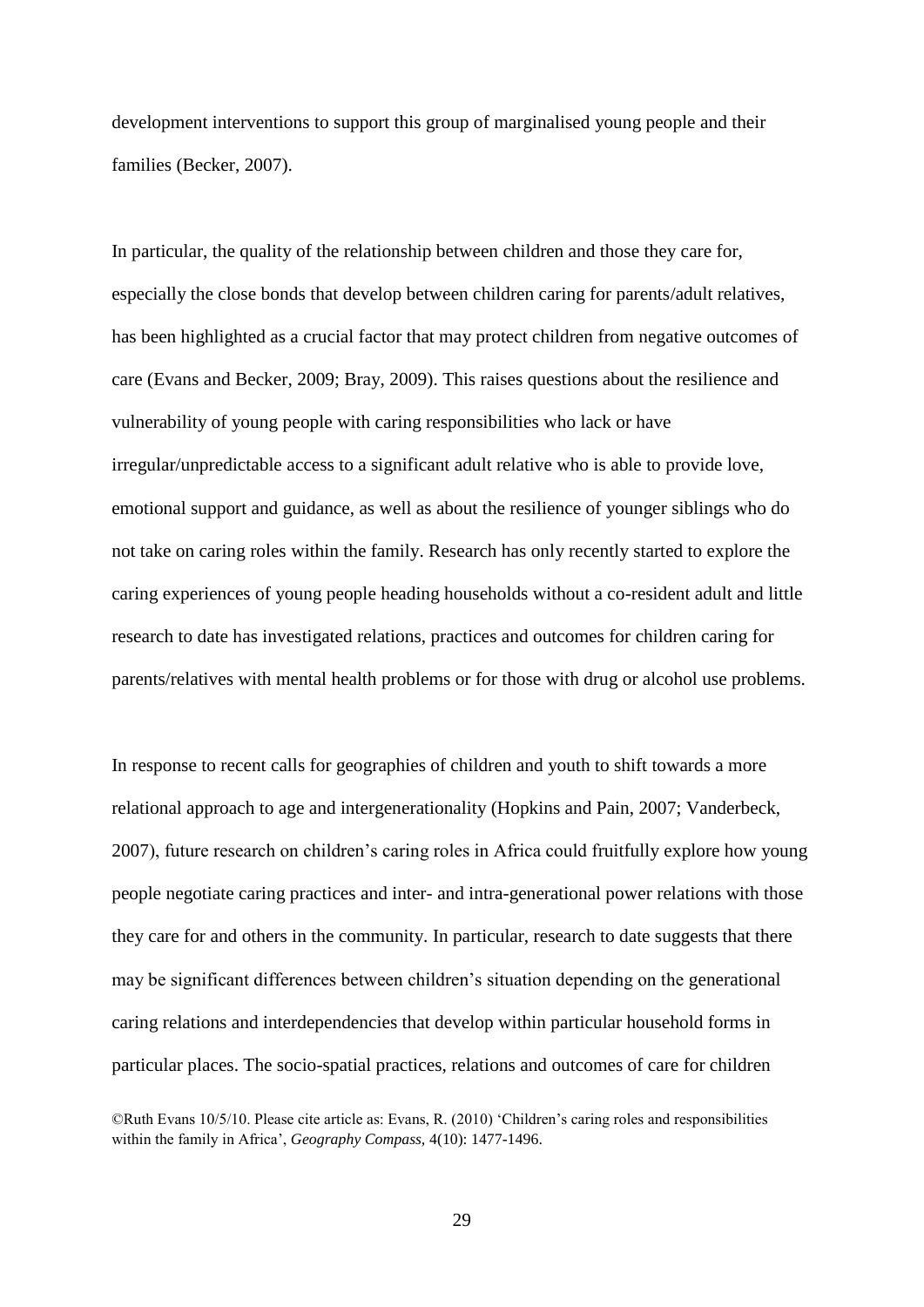development interventions to support this group of marginalised young people and their families (Becker, 2007).

In particular, the quality of the relationship between children and those they care for, especially the close bonds that develop between children caring for parents/adult relatives, has been highlighted as a crucial factor that may protect children from negative outcomes of care (Evans and Becker, 2009; Bray, 2009). This raises questions about the resilience and vulnerability of young people with caring responsibilities who lack or have irregular/unpredictable access to a significant adult relative who is able to provide love, emotional support and guidance, as well as about the resilience of younger siblings who do not take on caring roles within the family. Research has only recently started to explore the caring experiences of young people heading households without a co-resident adult and little research to date has investigated relations, practices and outcomes for children caring for parents/relatives with mental health problems or for those with drug or alcohol use problems.

In response to recent calls for geographies of children and youth to shift towards a more relational approach to age and intergenerationality (Hopkins and Pain, 2007; Vanderbeck, 2007), future research on children"s caring roles in Africa could fruitfully explore how young people negotiate caring practices and inter- and intra-generational power relations with those they care for and others in the community. In particular, research to date suggests that there may be significant differences between children"s situation depending on the generational caring relations and interdependencies that develop within particular household forms in particular places. The socio-spatial practices, relations and outcomes of care for children

<sup>©</sup>Ruth Evans 10/5/10. Please cite article as: Evans, R. (2010) "Children"s caring roles and responsibilities within the family in Africa", *Geography Compass,* 4(10): 1477-1496.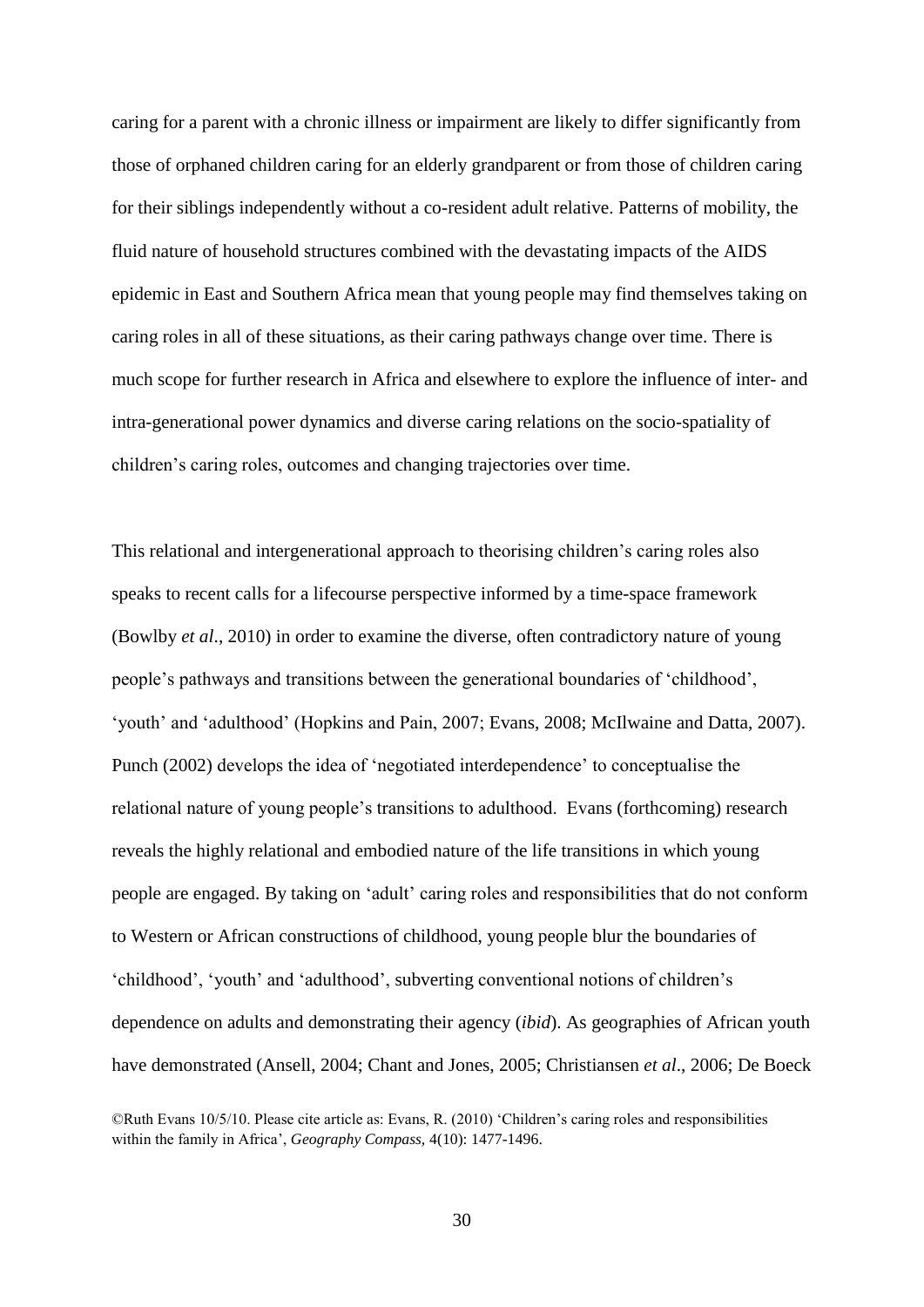caring for a parent with a chronic illness or impairment are likely to differ significantly from those of orphaned children caring for an elderly grandparent or from those of children caring for their siblings independently without a co-resident adult relative. Patterns of mobility, the fluid nature of household structures combined with the devastating impacts of the AIDS epidemic in East and Southern Africa mean that young people may find themselves taking on caring roles in all of these situations, as their caring pathways change over time. There is much scope for further research in Africa and elsewhere to explore the influence of inter- and intra-generational power dynamics and diverse caring relations on the socio-spatiality of children"s caring roles, outcomes and changing trajectories over time.

This relational and intergenerational approach to theorising children"s caring roles also speaks to recent calls for a lifecourse perspective informed by a time-space framework (Bowlby *et al*., 2010) in order to examine the diverse, often contradictory nature of young people"s pathways and transitions between the generational boundaries of "childhood", "youth" and "adulthood" (Hopkins and Pain, 2007; Evans, 2008; McIlwaine and Datta, 2007). Punch (2002) develops the idea of "negotiated interdependence" to conceptualise the relational nature of young people"s transitions to adulthood. Evans (forthcoming) research reveals the highly relational and embodied nature of the life transitions in which young people are engaged. By taking on "adult" caring roles and responsibilities that do not conform to Western or African constructions of childhood, young people blur the boundaries of "childhood", "youth" and "adulthood", subverting conventional notions of children"s dependence on adults and demonstrating their agency (*ibid*). As geographies of African youth have demonstrated (Ansell, 2004; Chant and Jones, 2005; Christiansen *et al*., 2006; De Boeck

<sup>©</sup>Ruth Evans 10/5/10. Please cite article as: Evans, R. (2010) "Children"s caring roles and responsibilities within the family in Africa", *Geography Compass,* 4(10): 1477-1496.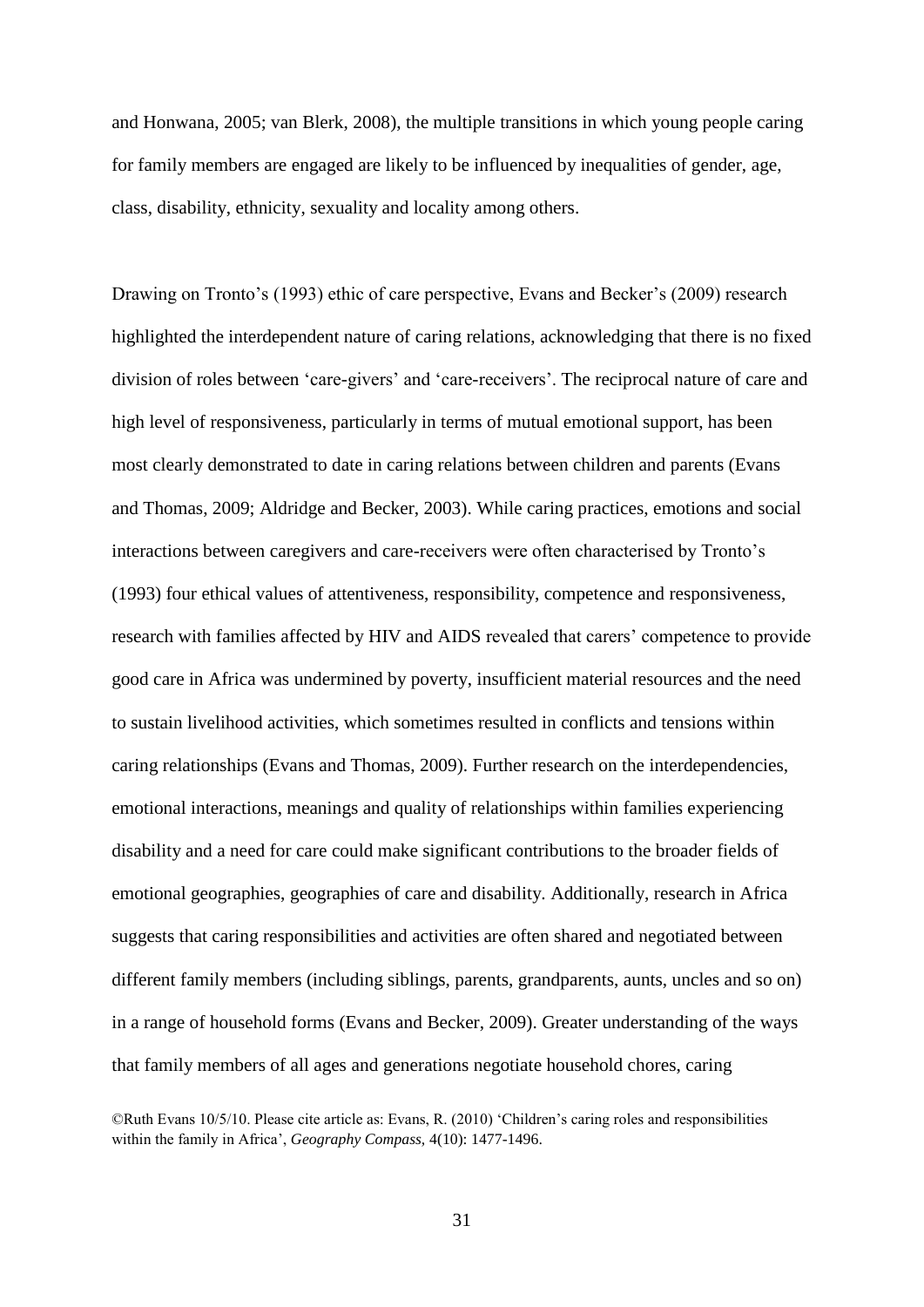and Honwana, 2005; van Blerk, 2008), the multiple transitions in which young people caring for family members are engaged are likely to be influenced by inequalities of gender, age, class, disability, ethnicity, sexuality and locality among others.

Drawing on Tronto's (1993) ethic of care perspective, Evans and Becker's (2009) research highlighted the interdependent nature of caring relations, acknowledging that there is no fixed division of roles between 'care-givers' and 'care-receivers'. The reciprocal nature of care and high level of responsiveness, particularly in terms of mutual emotional support, has been most clearly demonstrated to date in caring relations between children and parents (Evans and Thomas, 2009; Aldridge and Becker, 2003). While caring practices, emotions and social interactions between caregivers and care-receivers were often characterised by Tronto"s (1993) four ethical values of attentiveness, responsibility, competence and responsiveness, research with families affected by HIV and AIDS revealed that carers' competence to provide good care in Africa was undermined by poverty, insufficient material resources and the need to sustain livelihood activities, which sometimes resulted in conflicts and tensions within caring relationships (Evans and Thomas, 2009). Further research on the interdependencies, emotional interactions, meanings and quality of relationships within families experiencing disability and a need for care could make significant contributions to the broader fields of emotional geographies, geographies of care and disability. Additionally, research in Africa suggests that caring responsibilities and activities are often shared and negotiated between different family members (including siblings, parents, grandparents, aunts, uncles and so on) in a range of household forms (Evans and Becker, 2009). Greater understanding of the ways that family members of all ages and generations negotiate household chores, caring

31

<sup>©</sup>Ruth Evans 10/5/10. Please cite article as: Evans, R. (2010) "Children"s caring roles and responsibilities within the family in Africa", *Geography Compass,* 4(10): 1477-1496.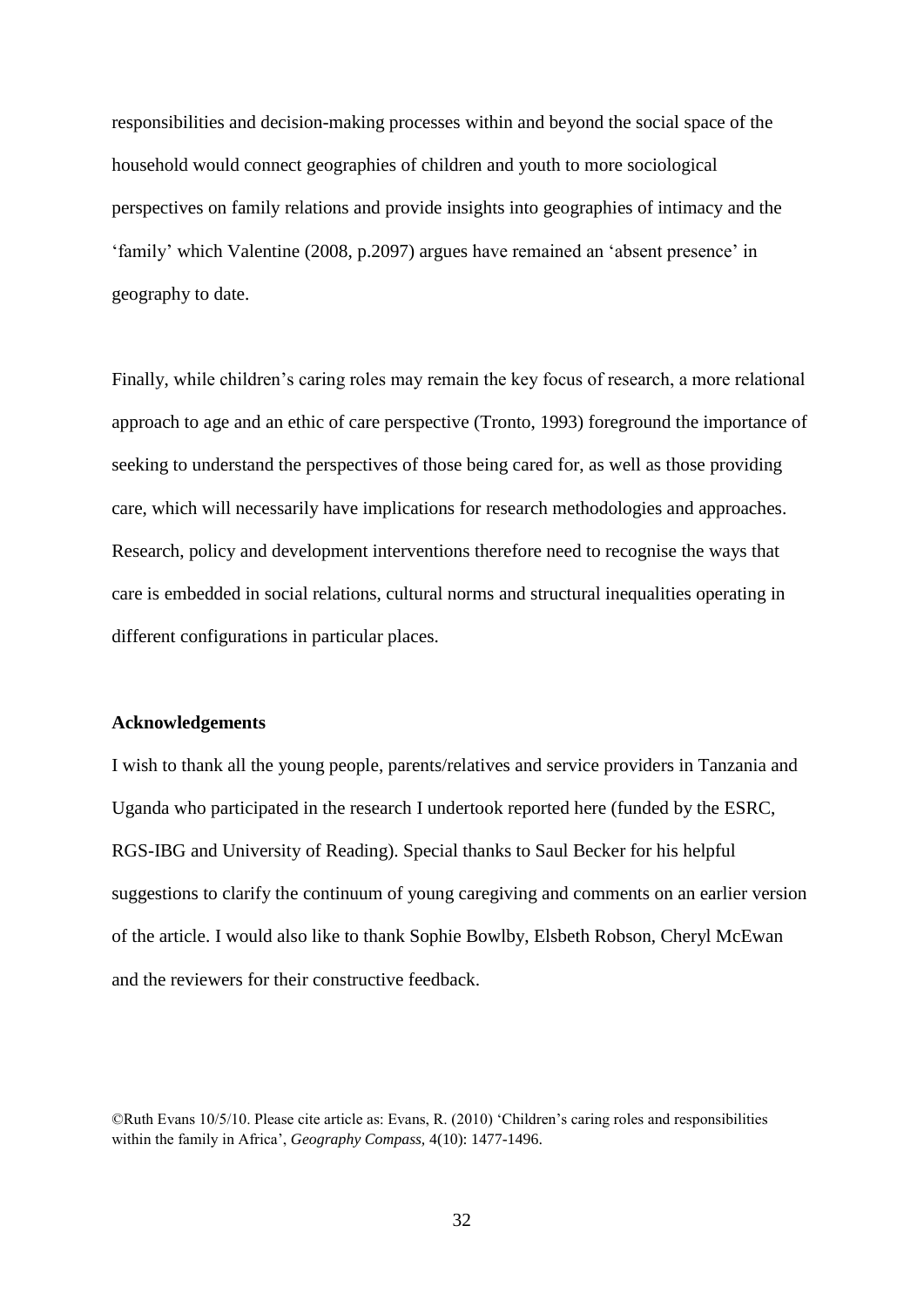responsibilities and decision-making processes within and beyond the social space of the household would connect geographies of children and youth to more sociological perspectives on family relations and provide insights into geographies of intimacy and the 'family' which Valentine (2008, p.2097) argues have remained an 'absent presence' in geography to date.

Finally, while children"s caring roles may remain the key focus of research, a more relational approach to age and an ethic of care perspective (Tronto, 1993) foreground the importance of seeking to understand the perspectives of those being cared for, as well as those providing care, which will necessarily have implications for research methodologies and approaches. Research, policy and development interventions therefore need to recognise the ways that care is embedded in social relations, cultural norms and structural inequalities operating in different configurations in particular places.

#### **Acknowledgements**

I wish to thank all the young people, parents/relatives and service providers in Tanzania and Uganda who participated in the research I undertook reported here (funded by the ESRC, RGS-IBG and University of Reading). Special thanks to Saul Becker for his helpful suggestions to clarify the continuum of young caregiving and comments on an earlier version of the article. I would also like to thank Sophie Bowlby, Elsbeth Robson, Cheryl McEwan and the reviewers for their constructive feedback.

<sup>©</sup>Ruth Evans 10/5/10. Please cite article as: Evans, R. (2010) "Children"s caring roles and responsibilities within the family in Africa", *Geography Compass,* 4(10): 1477-1496.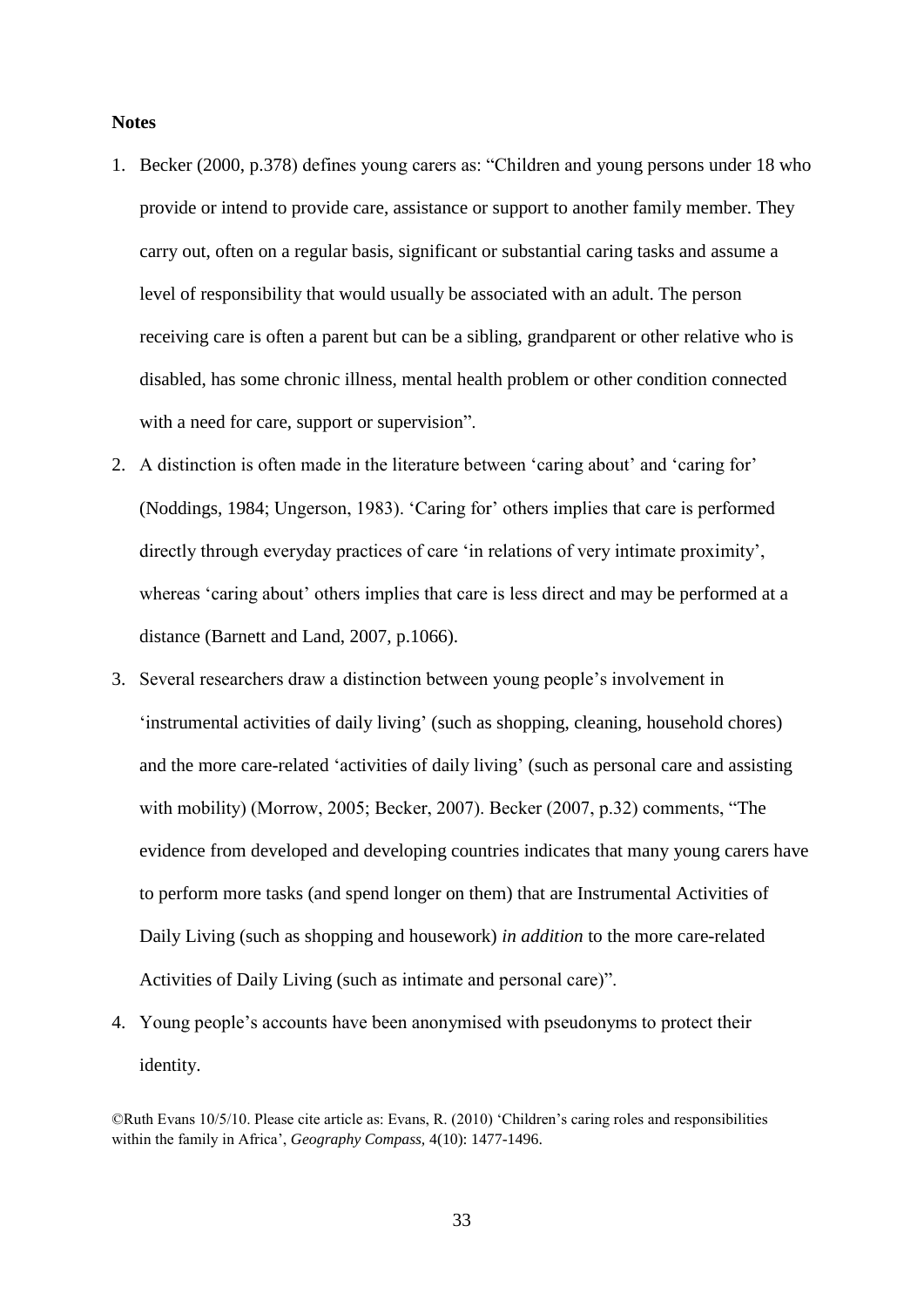#### **Notes**

- 1. Becker (2000, p.378) defines young carers as: "Children and young persons under 18 who provide or intend to provide care, assistance or support to another family member. They carry out, often on a regular basis, significant or substantial caring tasks and assume a level of responsibility that would usually be associated with an adult. The person receiving care is often a parent but can be a sibling, grandparent or other relative who is disabled, has some chronic illness, mental health problem or other condition connected with a need for care, support or supervision".
- 2. A distinction is often made in the literature between 'caring about' and 'caring for' (Noddings, 1984; Ungerson, 1983). "Caring for" others implies that care is performed directly through everyday practices of care 'in relations of very intimate proximity', whereas 'caring about' others implies that care is less direct and may be performed at a distance (Barnett and Land, 2007, p.1066).
- 3. Several researchers draw a distinction between young people"s involvement in 'instrumental activities of daily living' (such as shopping, cleaning, household chores) and the more care-related "activities of daily living" (such as personal care and assisting with mobility) (Morrow, 2005; Becker, 2007). Becker (2007, p.32) comments, "The evidence from developed and developing countries indicates that many young carers have to perform more tasks (and spend longer on them) that are Instrumental Activities of Daily Living (such as shopping and housework) *in addition* to the more care-related Activities of Daily Living (such as intimate and personal care)".
- 4. Young people"s accounts have been anonymised with pseudonyms to protect their identity.

<sup>©</sup>Ruth Evans 10/5/10. Please cite article as: Evans, R. (2010) "Children"s caring roles and responsibilities within the family in Africa", *Geography Compass,* 4(10): 1477-1496.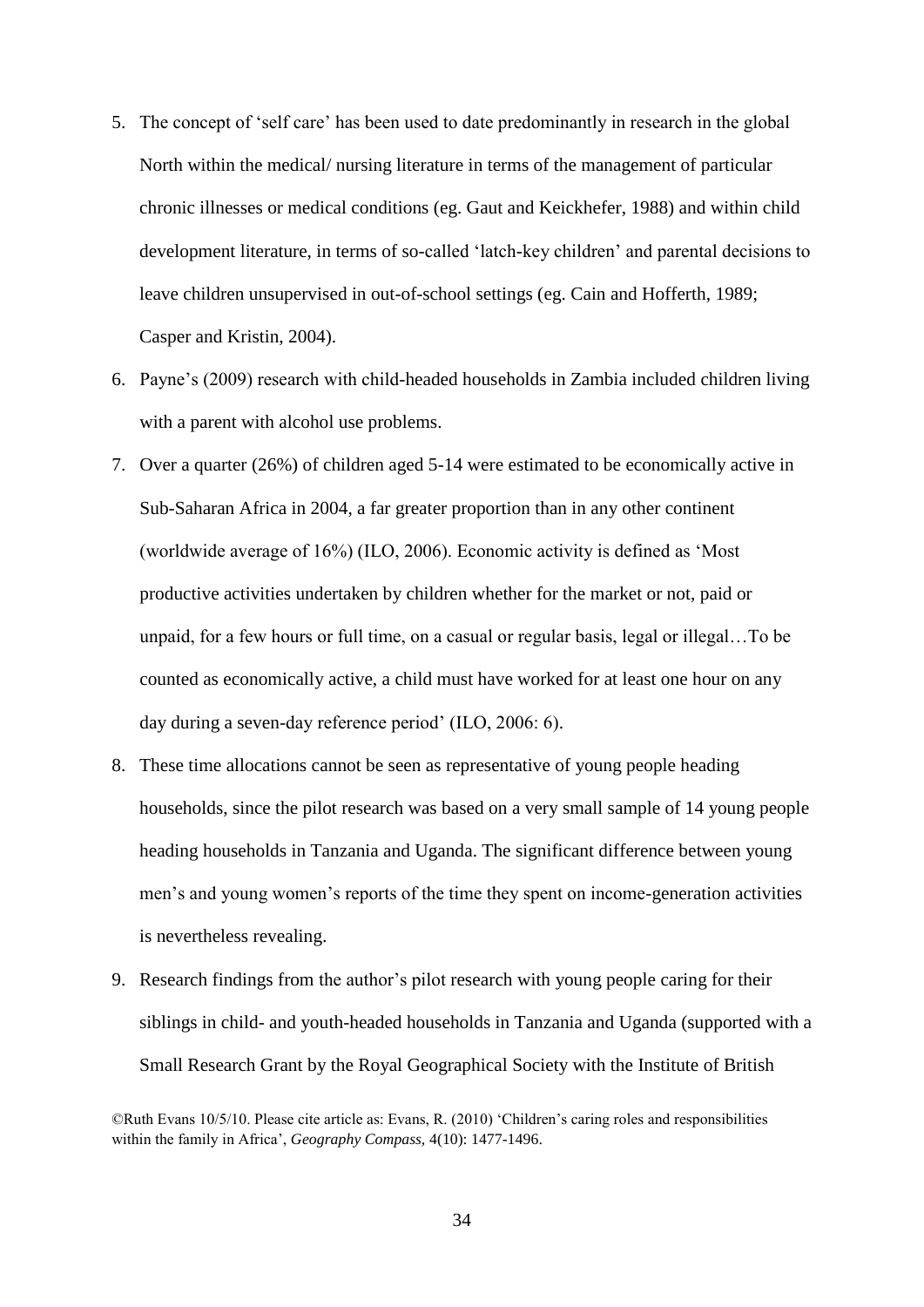- 5. The concept of "self care" has been used to date predominantly in research in the global North within the medical/ nursing literature in terms of the management of particular chronic illnesses or medical conditions (eg. Gaut and Keickhefer, 1988) and within child development literature, in terms of so-called "latch-key children" and parental decisions to leave children unsupervised in out-of-school settings (eg. Cain and Hofferth, 1989; Casper and Kristin, 2004).
- 6. Payne"s (2009) research with child-headed households in Zambia included children living with a parent with alcohol use problems.
- 7. Over a quarter (26%) of children aged 5-14 were estimated to be economically active in Sub-Saharan Africa in 2004, a far greater proportion than in any other continent (worldwide average of 16%) (ILO, 2006). Economic activity is defined as "Most productive activities undertaken by children whether for the market or not, paid or unpaid, for a few hours or full time, on a casual or regular basis, legal or illegal…To be counted as economically active, a child must have worked for at least one hour on any day during a seven-day reference period" (ILO, 2006: 6).
- 8. These time allocations cannot be seen as representative of young people heading households, since the pilot research was based on a very small sample of 14 young people heading households in Tanzania and Uganda. The significant difference between young men"s and young women"s reports of the time they spent on income-generation activities is nevertheless revealing.
- 9. Research findings from the author"s pilot research with young people caring for their siblings in child- and youth-headed households in Tanzania and Uganda (supported with a Small Research Grant by the Royal Geographical Society with the Institute of British

<sup>©</sup>Ruth Evans 10/5/10. Please cite article as: Evans, R. (2010) "Children"s caring roles and responsibilities within the family in Africa", *Geography Compass,* 4(10): 1477-1496.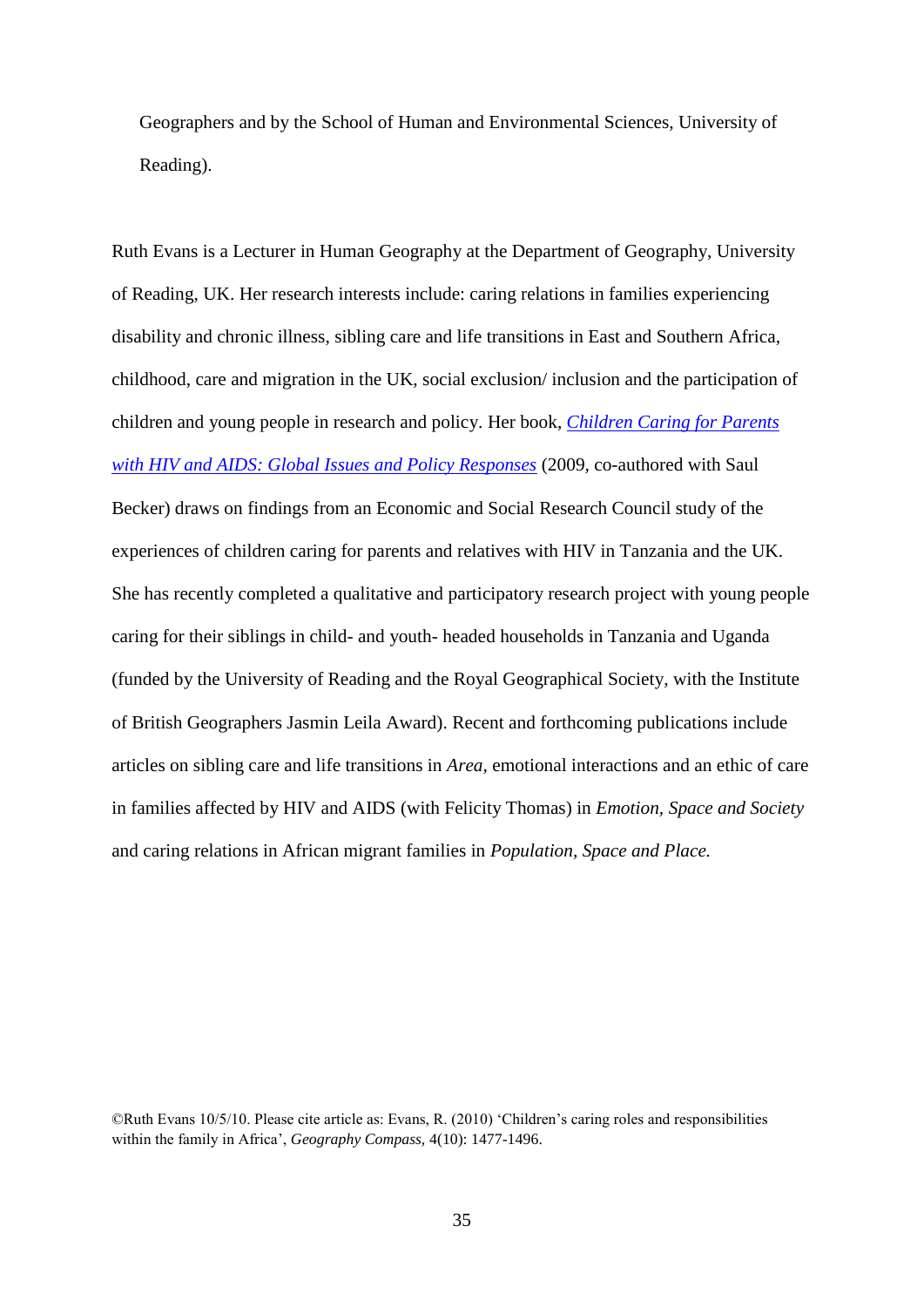Geographers and by the School of Human and Environmental Sciences, University of Reading).

Ruth Evans is a Lecturer in Human Geography at the Department of Geography, University of Reading, UK. Her research interests include: caring relations in families experiencing disability and chronic illness, sibling care and life transitions in East and Southern Africa, childhood, care and migration in the UK, social exclusion/ inclusion and the participation of children and young people in research and policy. Her book, *[Children Caring for Parents](http://www.policypress.co.uk/display.asp?K=9781847420213&sf1=contributor&st1=Dr%20w/2%20Ruth%20Evans&m=2&dc=2)  [with HIV and AIDS: Global Issues and Policy Responses](http://www.policypress.co.uk/display.asp?K=9781847420213&sf1=contributor&st1=Dr%20w/2%20Ruth%20Evans&m=2&dc=2)* (2009, co-authored with Saul Becker) draws on findings from an Economic and Social Research Council study of the experiences of children caring for parents and relatives with HIV in Tanzania and the UK. She has recently completed a qualitative and participatory research project with young people caring for their siblings in child- and youth- headed households in Tanzania and Uganda (funded by the University of Reading and the Royal Geographical Society, with the Institute of British Geographers Jasmin Leila Award). Recent and forthcoming publications include articles on sibling care and life transitions in *Area,* emotional interactions and an ethic of care in families affected by HIV and AIDS (with Felicity Thomas) in *Emotion, Space and Society* and caring relations in African migrant families in *Population, Space and Place.*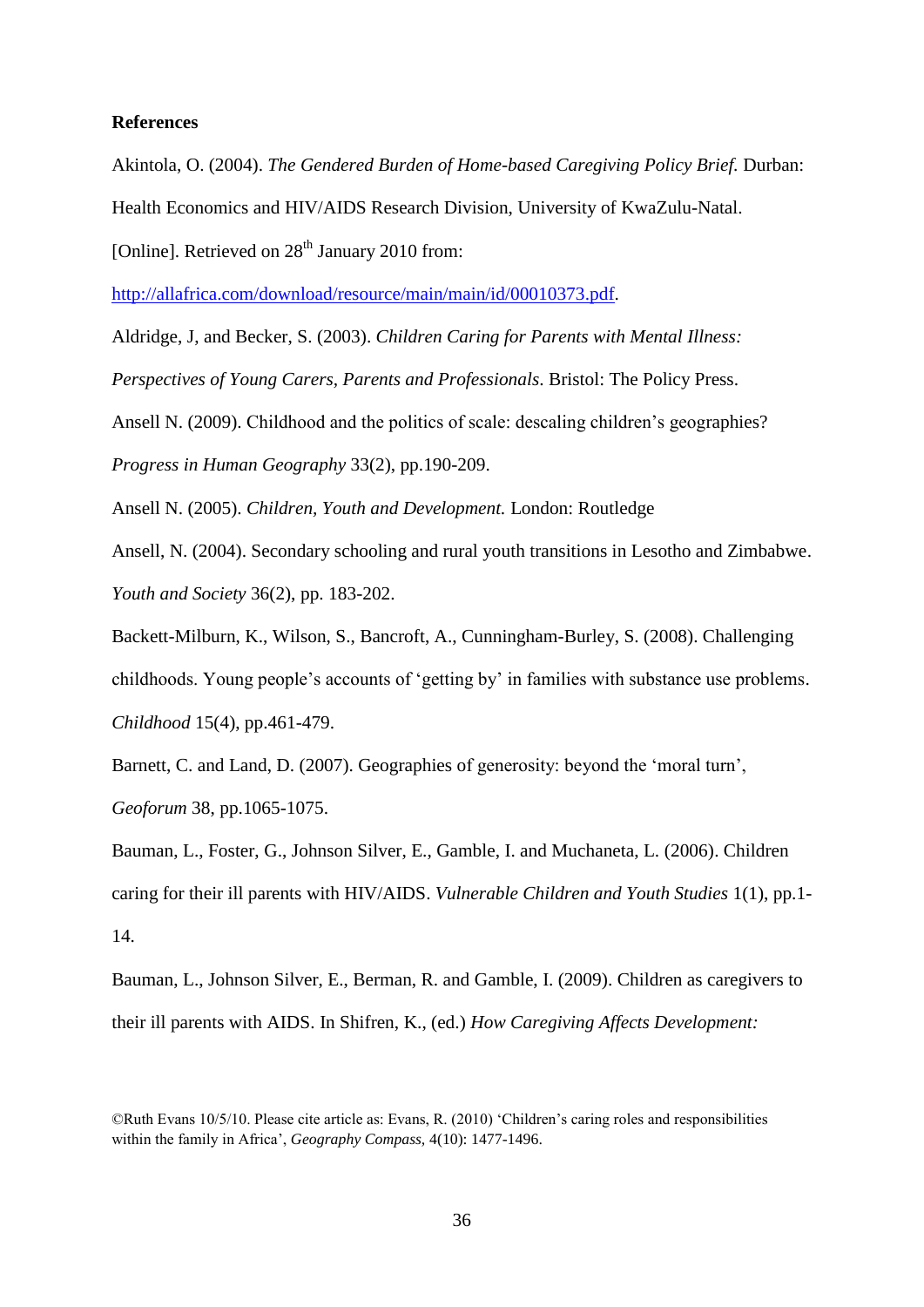#### **References**

Akintola, O. (2004). *The Gendered Burden of Home-based Caregiving Policy Brief.* Durban: Health Economics and HIV/AIDS Research Division, University of KwaZulu-Natal.

[Online]. Retrieved on  $28<sup>th</sup>$  January 2010 from:

[http://allafrica.com/download/resource/main/main/id/00010373.pdf.](http://allafrica.com/download/resource/main/main/id/00010373.pdf)

Aldridge, J, and Becker, S. (2003). *Children Caring for Parents with Mental Illness: Perspectives of Young Carers, Parents and Professionals*. Bristol: The Policy Press.

Ansell N. (2009). Childhood and the politics of scale: descaling children"s geographies?

*Progress in Human Geography* 33(2), pp.190-209.

Ansell N. (2005). *Children, Youth and Development.* London: Routledge

Ansell, N. (2004). Secondary schooling and rural youth transitions in Lesotho and Zimbabwe. *Youth and Society* 36(2), pp. 183-202.

Backett-Milburn, K., Wilson, S., Bancroft, A., Cunningham-Burley, S. (2008). Challenging childhoods. Young people"s accounts of "getting by" in families with substance use problems. *Childhood* 15(4), pp.461-479.

Barnett, C. and Land, D. (2007). Geographies of generosity: beyond the 'moral turn',

*Geoforum* 38, pp.1065-1075.

Bauman, L., Foster, G., Johnson Silver, E., Gamble, I. and Muchaneta, L. (2006). Children caring for their ill parents with HIV/AIDS. *Vulnerable Children and Youth Studies* 1(1), pp.1- 14.

Bauman, L., Johnson Silver, E., Berman, R. and Gamble, I. (2009). Children as caregivers to their ill parents with AIDS. In Shifren, K., (ed.) *How Caregiving Affects Development:* 

<sup>©</sup>Ruth Evans 10/5/10. Please cite article as: Evans, R. (2010) "Children"s caring roles and responsibilities within the family in Africa", *Geography Compass,* 4(10): 1477-1496.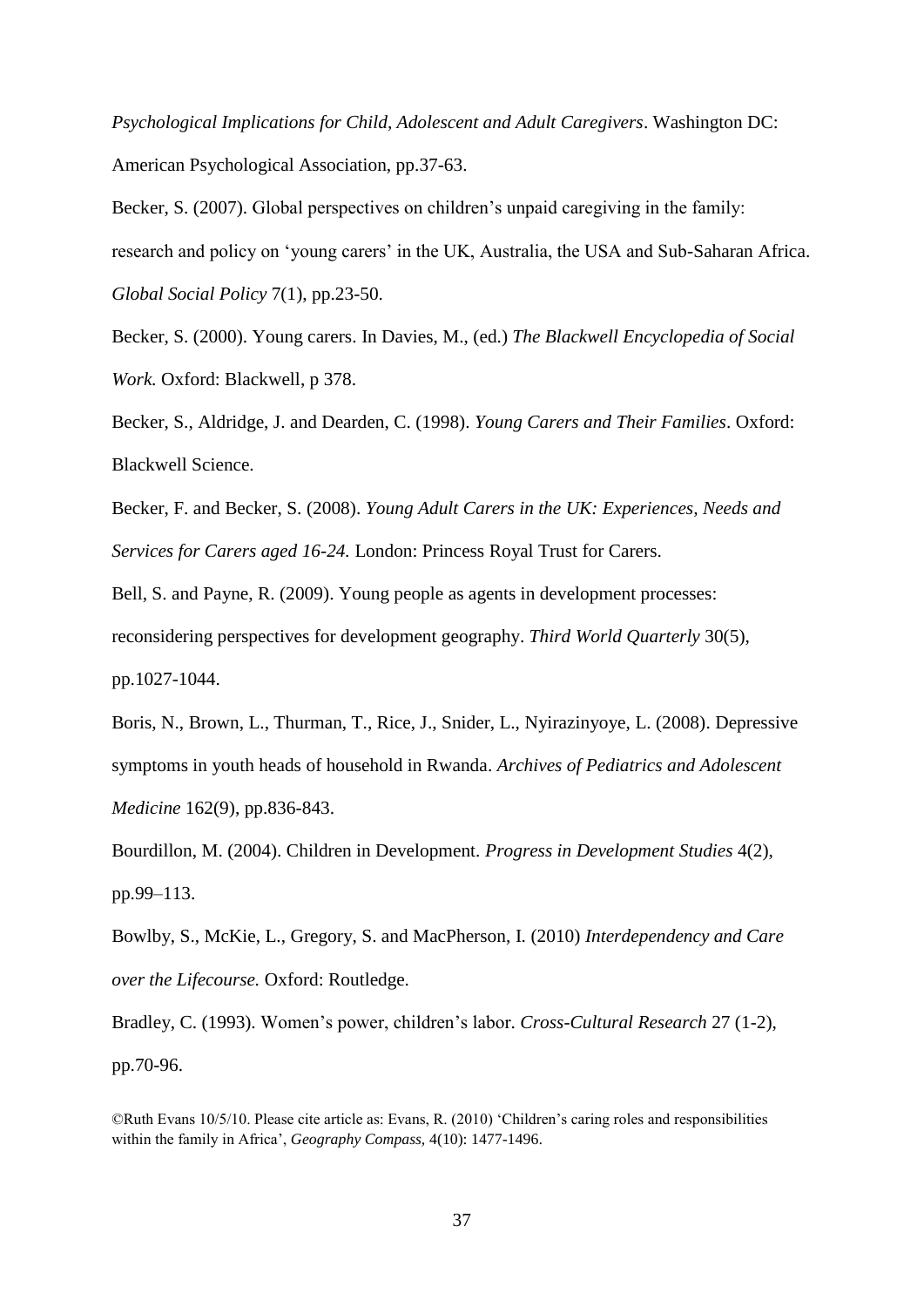*Psychological Implications for Child, Adolescent and Adult Caregivers*. Washington DC: American Psychological Association, pp.37-63.

Becker, S. (2007). Global perspectives on children's unpaid caregiving in the family: research and policy on 'young carers' in the UK, Australia, the USA and Sub-Saharan Africa. *Global Social Policy* 7(1), pp.23-50.

Becker, S. (2000). Young carers. In Davies, M., (ed.) *The Blackwell Encyclopedia of Social Work.* Oxford: Blackwell, p 378.

Becker, S., Aldridge, J. and Dearden, C. (1998). *Young Carers and Their Families*. Oxford: Blackwell Science.

Becker, F. and Becker, S. (2008). *Young Adult Carers in the UK: Experiences, Needs and Services for Carers aged 16-24.* London: Princess Royal Trust for Carers.

Bell, S. and Payne, R. (2009). Young people as agents in development processes:

reconsidering perspectives for development geography. *Third World Quarterly* 30(5),

pp.1027-1044.

Boris, N., Brown, L., Thurman, T., Rice, J., Snider, L., Nyirazinyoye, L. (2008). Depressive symptoms in youth heads of household in Rwanda. *Archives of Pediatrics and Adolescent Medicine* 162(9), pp.836-843.

Bourdillon, M. (2004). Children in Development. *Progress in Development Studies* 4(2), pp.99–113.

Bowlby, S., McKie, L., Gregory, S. and MacPherson, I. (2010) *Interdependency and Care over the Lifecourse.* Oxford: Routledge.

Bradley, C. (1993). Women"s power, children"s labor. *Cross-Cultural Research* 27 (1-2), pp.70-96.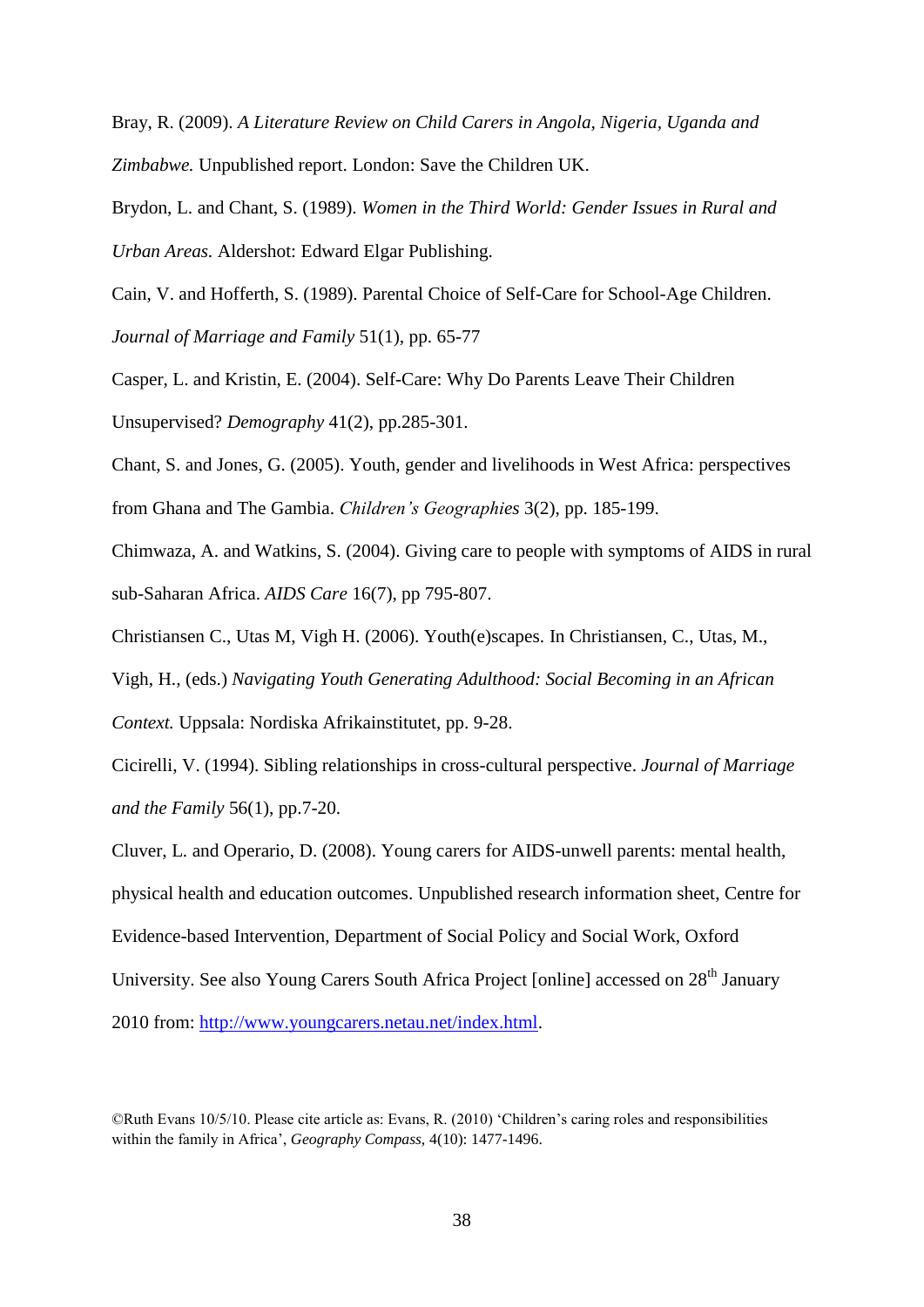Bray, R. (2009). *A Literature Review on Child Carers in Angola, Nigeria, Uganda and Zimbabwe.* Unpublished report. London: Save the Children UK.

Brydon, L. and Chant, S. (1989). *Women in the Third World: Gender Issues in Rural and Urban Areas.* Aldershot: Edward Elgar Publishing.

Cain, V. and Hofferth, S. (1989). Parental Choice of Self-Care for School-Age Children. *Journal of Marriage and Family* 51(1), pp. 65-77

Casper, L. and Kristin, E. (2004). Self-Care: Why Do Parents Leave Their Children Unsupervised? *Demography* 41(2), pp.285-301.

Chant, S. and Jones, G. (2005). Youth, gender and livelihoods in West Africa: perspectives from Ghana and The Gambia. *Children's Geographies* 3(2), pp. 185-199.

Chimwaza, A. and Watkins, S. (2004). Giving care to people with symptoms of AIDS in rural sub-Saharan Africa. *AIDS Care* 16(7), pp 795-807.

Christiansen C., Utas M, Vigh H. (2006). Youth(e)scapes. In Christiansen, C., Utas, M.,

Vigh, H., (eds.) *Navigating Youth Generating Adulthood: Social Becoming in an African* 

*Context.* Uppsala: Nordiska Afrikainstitutet, pp. 9-28.

Cicirelli, V. (1994). Sibling relationships in cross-cultural perspective. *Journal of Marriage and the Family* 56(1), pp.7-20.

Cluver, L. and Operario, D. (2008). Young carers for AIDS-unwell parents: mental health, physical health and education outcomes. Unpublished research information sheet, Centre for Evidence-based Intervention, Department of Social Policy and Social Work, Oxford University. See also Young Carers South Africa Project [online] accessed on 28<sup>th</sup> January 2010 from: [http://www.youngcarers.netau.net/index.html.](http://www.youngcarers.netau.net/index.html)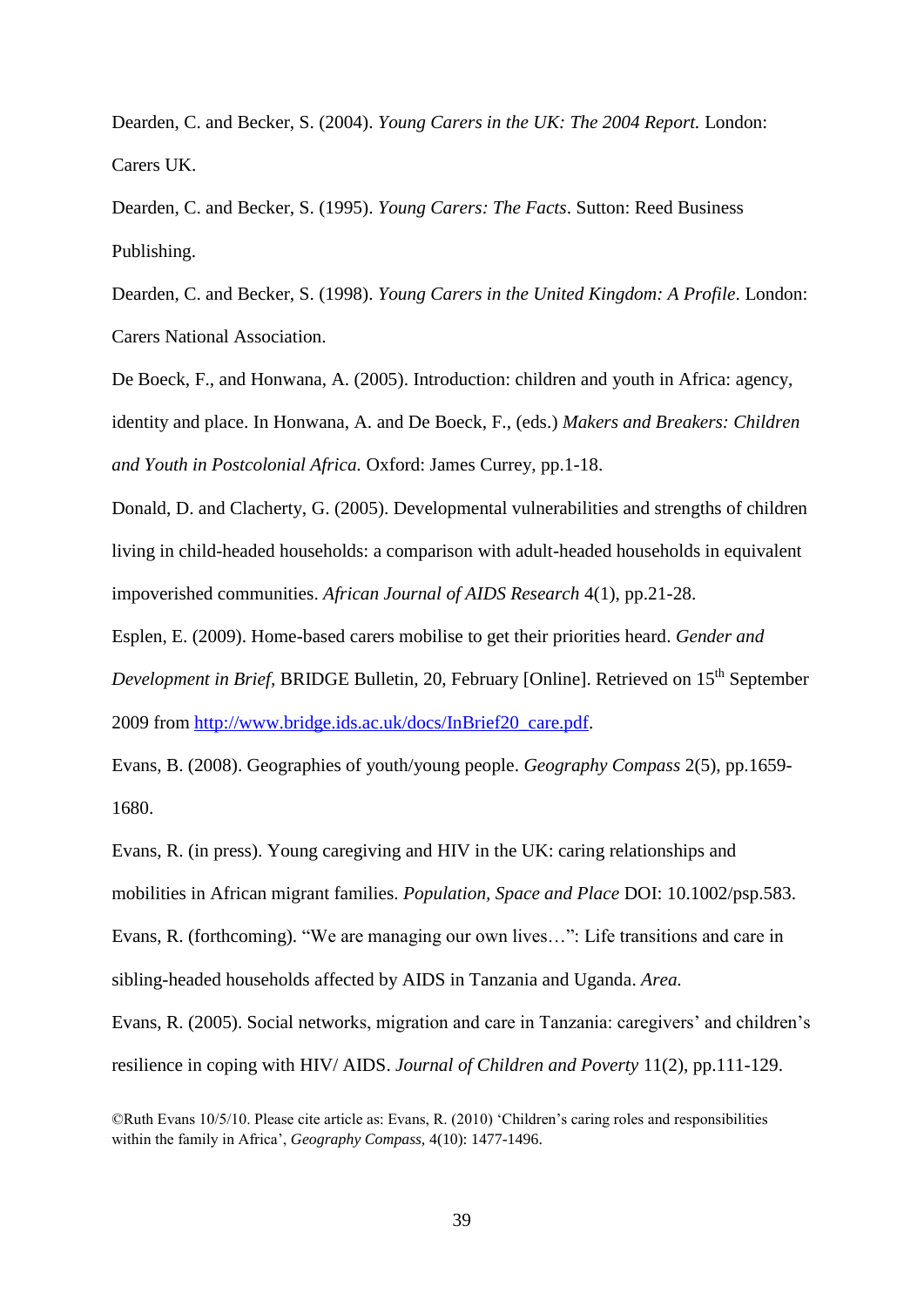Dearden, C. and Becker, S. (2004). *Young Carers in the UK: The 2004 Report.* London: Carers UK.

Dearden, C. and Becker, S. (1995). *Young Carers: The Facts*. Sutton: Reed Business Publishing.

Dearden, C. and Becker, S. (1998). *Young Carers in the United Kingdom: A Profile*. London: Carers National Association.

De Boeck, F., and Honwana, A. (2005). Introduction: children and youth in Africa: agency, identity and place. In Honwana, A. and De Boeck, F., (eds.) *Makers and Breakers: Children and Youth in Postcolonial Africa.* Oxford: James Currey, pp.1-18.

Donald, D. and Clacherty, G. (2005). Developmental vulnerabilities and strengths of children living in child-headed households: a comparison with adult-headed households in equivalent impoverished communities. *African Journal of AIDS Research* 4(1), pp.21-28.

Esplen, E. (2009). Home-based carers mobilise to get their priorities heard. *Gender and Development in Brief, BRIDGE Bulletin, 20, February [Online]. Retrieved on 15<sup>th</sup> September* 2009 from [http://www.bridge.ids.ac.uk/docs/InBrief20\\_care.pdf.](http://www.bridge.ids.ac.uk/docs/InBrief20_care.pdf)

Evans, B. (2008). Geographies of youth/young people. *Geography Compass* 2(5), pp.1659- 1680.

Evans, R. (in press). Young caregiving and HIV in the UK: caring relationships and mobilities in African migrant families. *Population, Space and Place* DOI: 10.1002/psp.583. Evans, R. (forthcoming). "We are managing our own lives…": Life transitions and care in sibling-headed households affected by AIDS in Tanzania and Uganda. *Area.* 

Evans, R. (2005). Social networks, migration and care in Tanzania: caregivers' and children's resilience in coping with HIV/ AIDS. *Journal of Children and Poverty* 11(2), pp.111-129.

<sup>©</sup>Ruth Evans 10/5/10. Please cite article as: Evans, R. (2010) "Children"s caring roles and responsibilities within the family in Africa", *Geography Compass,* 4(10): 1477-1496.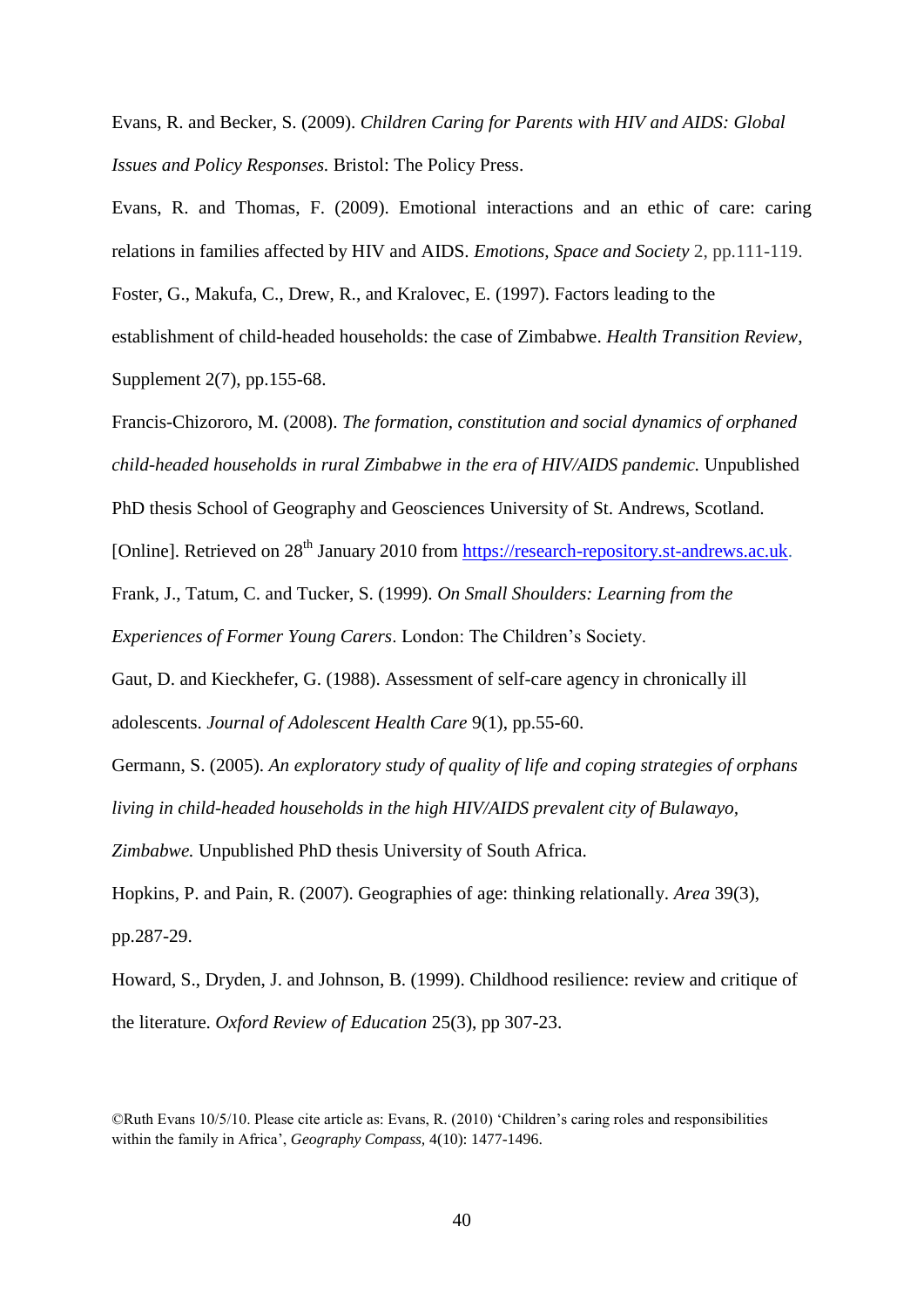Evans, R. and Becker, S. (2009). *Children Caring for Parents with HIV and AIDS: Global Issues and Policy Responses.* Bristol: The Policy Press.

Evans, R. and Thomas, F. (2009). Emotional interactions and an ethic of care: caring relations in families affected by HIV and AIDS. *Emotions, Space and Society* 2, pp.111-119. Foster, G., Makufa, C., Drew, R., and Kralovec, E. (1997). Factors leading to the establishment of child-headed households: the case of Zimbabwe. *Health Transition Review*, Supplement 2(7), pp.155-68.

Francis-Chizororo, M. (2008). *The formation, constitution and social dynamics of orphaned child-headed households in rural Zimbabwe in the era of HIV/AIDS pandemic.* Unpublished

PhD thesis School of Geography and Geosciences University of St. Andrews, Scotland.

[Online]. Retrieved on 28<sup>th</sup> January 2010 from [https://research-repository.st-andrews.ac.uk.](https://research-repository.st-andrews.ac.uk/)

Frank, J., Tatum, C. and Tucker, S. (1999). *On Small Shoulders: Learning from the* 

*Experiences of Former Young Carers*. London: The Children"s Society.

Gaut, D. and Kieckhefer, G. (1988). Assessment of self-care agency in chronically ill adolescents. *Journal of Adolescent Health Care* 9(1), pp.55-60.

Germann, S. (2005). *An exploratory study of quality of life and coping strategies of orphans living in child-headed households in the high HIV/AIDS prevalent city of Bulawayo,* 

*Zimbabwe.* Unpublished PhD thesis University of South Africa.

Hopkins, P. and Pain, R. (2007). Geographies of age: thinking relationally. *Area* 39(3), pp.287-29.

Howard, S., Dryden, J. and Johnson, B. (1999). Childhood resilience: review and critique of the literature. *Oxford Review of Education* 25(3), pp 307-23.

<sup>©</sup>Ruth Evans 10/5/10. Please cite article as: Evans, R. (2010) "Children"s caring roles and responsibilities within the family in Africa", *Geography Compass,* 4(10): 1477-1496.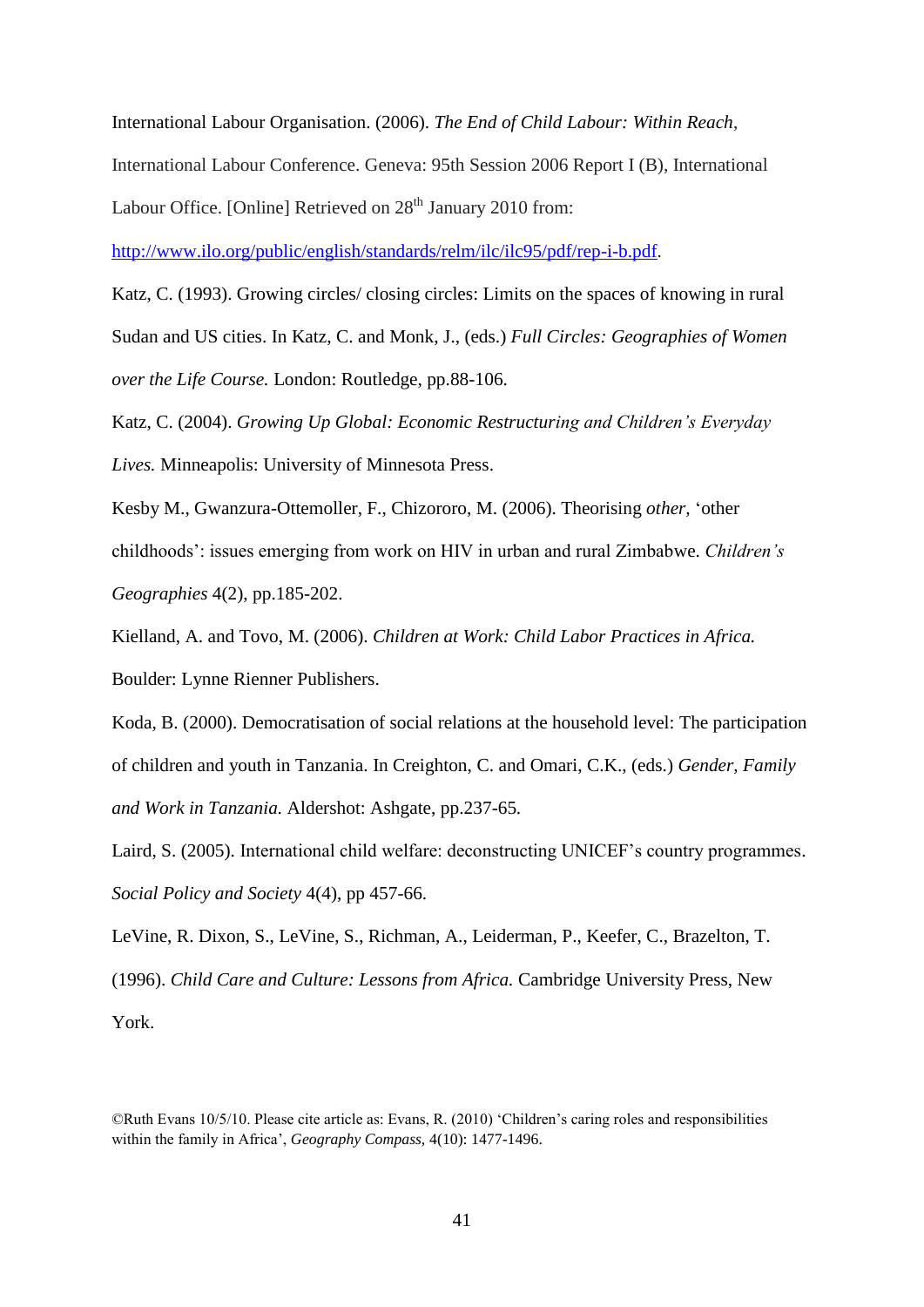International Labour Organisation. (2006). *The End of Child Labour: Within Reach*, International Labour Conference. Geneva: 95th Session 2006 Report I (B), International Labour Office. [Online] Retrieved on 28<sup>th</sup> January 2010 from:

[http://www.ilo.org/public/english/standards/relm/ilc/ilc95/pdf/rep-i-b.pdf.](http://www.ilo.org/public/english/standards/relm/ilc/ilc95/pdf/rep-i-b.pdf)

Katz, C. (1993). Growing circles/ closing circles: Limits on the spaces of knowing in rural Sudan and US cities. In Katz, C. and Monk, J., (eds.) *Full Circles: Geographies of Women over the Life Course.* London: Routledge, pp.88-106.

Katz, C. (2004). *Growing Up Global: Economic Restructuring and Children's Everyday Lives.* Minneapolis: University of Minnesota Press.

Kesby M., Gwanzura-Ottemoller, F., Chizororo, M. (2006). Theorising *other,* "other childhoods": issues emerging from work on HIV in urban and rural Zimbabwe. *Children's Geographies* 4(2), pp.185-202.

Kielland, A. and Tovo, M. (2006). *Children at Work: Child Labor Practices in Africa.*

Boulder: Lynne Rienner Publishers.

Koda, B. (2000). Democratisation of social relations at the household level: The participation of children and youth in Tanzania. In Creighton, C. and Omari, C.K., (eds.) *Gender, Family and Work in Tanzania.* Aldershot: Ashgate, pp.237-65*.*

Laird, S. (2005). International child welfare: deconstructing UNICEF"s country programmes. *Social Policy and Society* 4(4), pp 457-66.

LeVine, R. Dixon, S., LeVine, S., Richman, A., Leiderman, P., Keefer, C., Brazelton, T. (1996). *Child Care and Culture: Lessons from Africa.* Cambridge University Press, New York.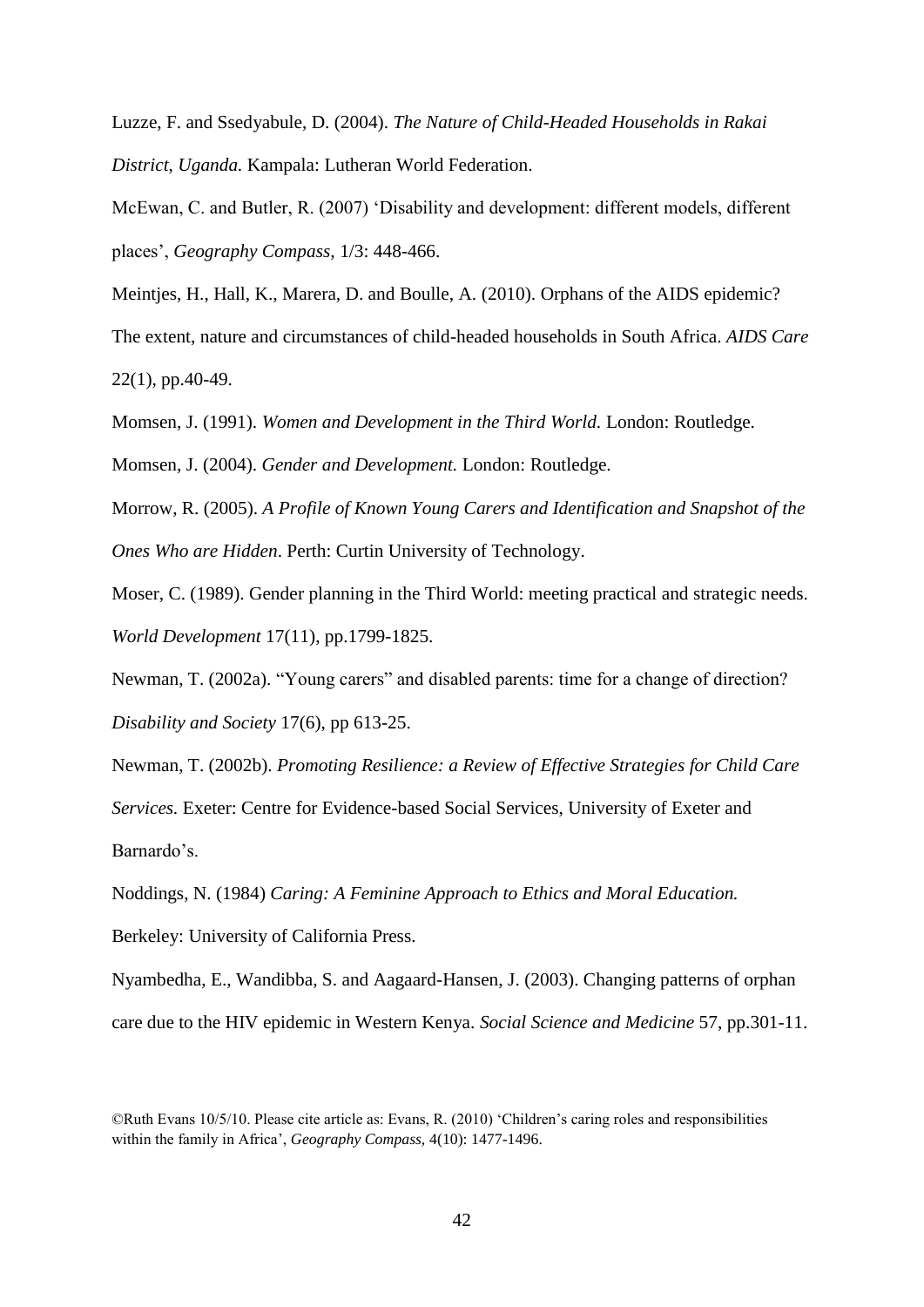Luzze, F. and Ssedyabule, D. (2004). *The Nature of Child-Headed Households in Rakai District, Uganda.* Kampala: Lutheran World Federation.

McEwan, C. and Butler, R. (2007) "Disability and development: different models, different places", *Geography Compass,* 1/3: 448-466.

Meintjes, H., Hall, K., Marera, D. and Boulle, A. (2010). Orphans of the AIDS epidemic? The extent, nature and circumstances of child-headed households in South Africa. *AIDS Care*  22(1), pp.40-49.

Momsen, J. (1991). *Women and Development in the Third World.* London: Routledge.

Momsen, J. (2004). *Gender and Development.* London: Routledge.

Morrow, R. (2005). *A Profile of Known Young Carers and Identification and Snapshot of the Ones Who are Hidden*. Perth: Curtin University of Technology.

Moser, C. (1989). Gender planning in the Third World: meeting practical and strategic needs. *World Development* 17(11), pp.1799-1825.

Newman, T. (2002a). "Young carers" and disabled parents: time for a change of direction? *Disability and Society* 17(6), pp 613-25.

Newman, T. (2002b). *Promoting Resilience: a Review of Effective Strategies for Child Care* 

*Services.* Exeter: Centre for Evidence-based Social Services, University of Exeter and Barnardo's

Noddings, N. (1984) *Caring: A Feminine Approach to Ethics and Moral Education.*  Berkeley: University of California Press.

Nyambedha, E., Wandibba, S. and Aagaard-Hansen, J. (2003). Changing patterns of orphan care due to the HIV epidemic in Western Kenya. *Social Science and Medicine* 57, pp.301-11.

<sup>©</sup>Ruth Evans 10/5/10. Please cite article as: Evans, R. (2010) "Children"s caring roles and responsibilities within the family in Africa", *Geography Compass,* 4(10): 1477-1496.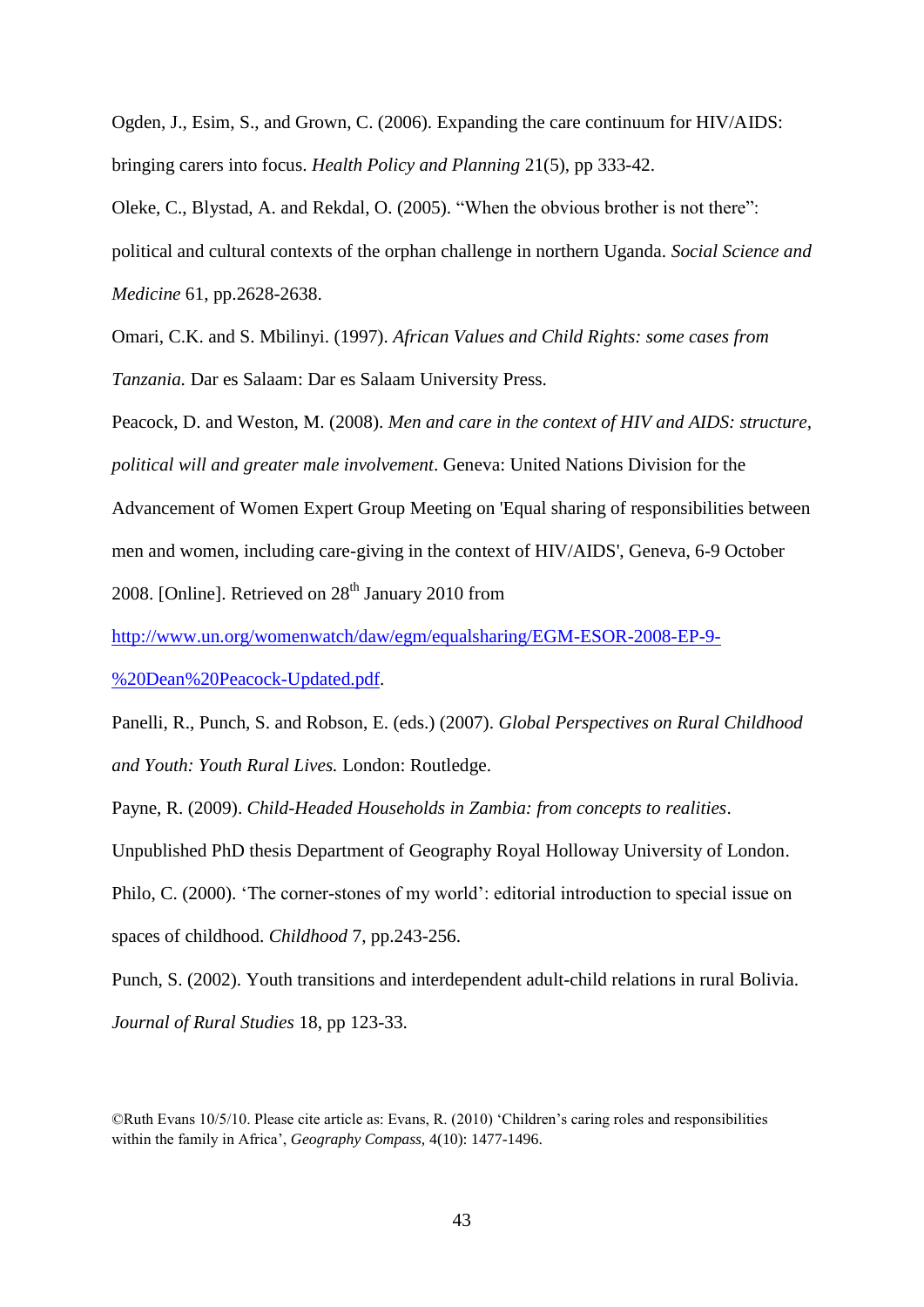Ogden, J., Esim, S., and Grown, C. (2006). Expanding the care continuum for HIV/AIDS: bringing carers into focus. *Health Policy and Planning* 21(5), pp 333-42.

Oleke, C., Blystad, A. and Rekdal, O. (2005). "When the obvious brother is not there": political and cultural contexts of the orphan challenge in northern Uganda. *Social Science and Medicine* 61, pp.2628-2638.

Omari, C.K. and S. Mbilinyi. (1997). *African Values and Child Rights: some cases from Tanzania.* Dar es Salaam: Dar es Salaam University Press.

Peacock, D. and Weston, M. (2008). *Men and care in the context of HIV and AIDS: structure, political will and greater male involvement*. Geneva: United Nations Division for the

Advancement of Women Expert Group Meeting on 'Equal sharing of responsibilities between men and women, including care-giving in the context of HIV/AIDS', Geneva, 6-9 October 2008. [Online]. Retrieved on 28<sup>th</sup> January 2010 from

[http://www.un.org/womenwatch/daw/egm/equalsharing/EGM-ESOR-2008-EP-9-](http://www.un.org/womenwatch/daw/egm/equalsharing/EGM-ESOR-2008-EP-9-%20Dean%20Peacock-Updated.pdf)

[%20Dean%20Peacock-Updated.pdf.](http://www.un.org/womenwatch/daw/egm/equalsharing/EGM-ESOR-2008-EP-9-%20Dean%20Peacock-Updated.pdf)

Panelli, R., Punch, S. and Robson, E. (eds.) (2007). *Global Perspectives on Rural Childhood and Youth: Youth Rural Lives.* London: Routledge.

Payne, R. (2009). *Child-Headed Households in Zambia: from concepts to realities*.

Unpublished PhD thesis Department of Geography Royal Holloway University of London.

Philo, C. (2000). "The corner-stones of my world": editorial introduction to special issue on spaces of childhood. *Childhood* 7, pp.243-256.

Punch, S. (2002). Youth transitions and interdependent adult-child relations in rural Bolivia. *Journal of Rural Studies* 18, pp 123-33.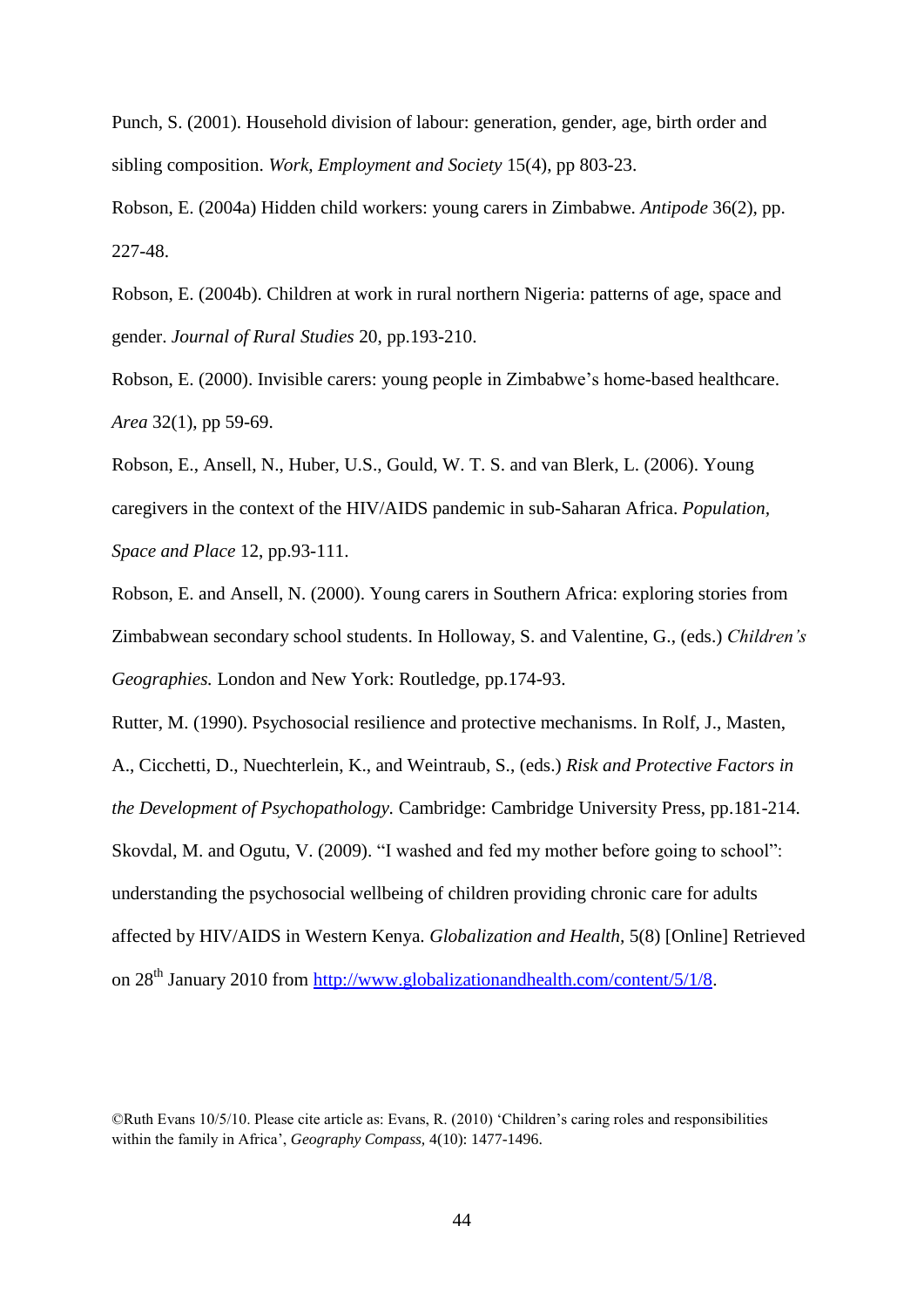Punch, S. (2001). Household division of labour: generation, gender, age, birth order and sibling composition. *Work, Employment and Society* 15(4), pp 803-23.

Robson, E. (2004a) Hidden child workers: young carers in Zimbabwe. *Antipode* 36(2), pp. 227-48.

Robson, E. (2004b). Children at work in rural northern Nigeria: patterns of age, space and gender. *Journal of Rural Studies* 20, pp.193-210.

Robson, E. (2000). Invisible carers: young people in Zimbabwe"s home-based healthcare. *Area* 32(1), pp 59-69.

Robson, E., Ansell, N., Huber, U.S., Gould, W. T. S. and van Blerk, L. (2006). Young caregivers in the context of the HIV/AIDS pandemic in sub-Saharan Africa. *Population, Space and Place* 12, pp.93-111.

Robson, E. and Ansell, N. (2000). Young carers in Southern Africa: exploring stories from Zimbabwean secondary school students. In Holloway, S. and Valentine, G., (eds.) *Children's Geographies.* London and New York: Routledge, pp.174-93.

Rutter, M. (1990). Psychosocial resilience and protective mechanisms. In Rolf, J., Masten, A., Cicchetti, D., Nuechterlein, K., and Weintraub, S., (eds.) *Risk and Protective Factors in the Development of Psychopathology.* Cambridge: Cambridge University Press, pp.181-214. Skovdal, M. and Ogutu, V. (2009). "I washed and fed my mother before going to school": understanding the psychosocial wellbeing of children providing chronic care for adults affected by HIV/AIDS in Western Kenya. *Globalization and Health,* 5(8) [Online] Retrieved on 28th January 2010 from [http://www.globalizationandhealth.com/content/5/1/8.](http://www.globalizationandhealth.com/content/5/1/8)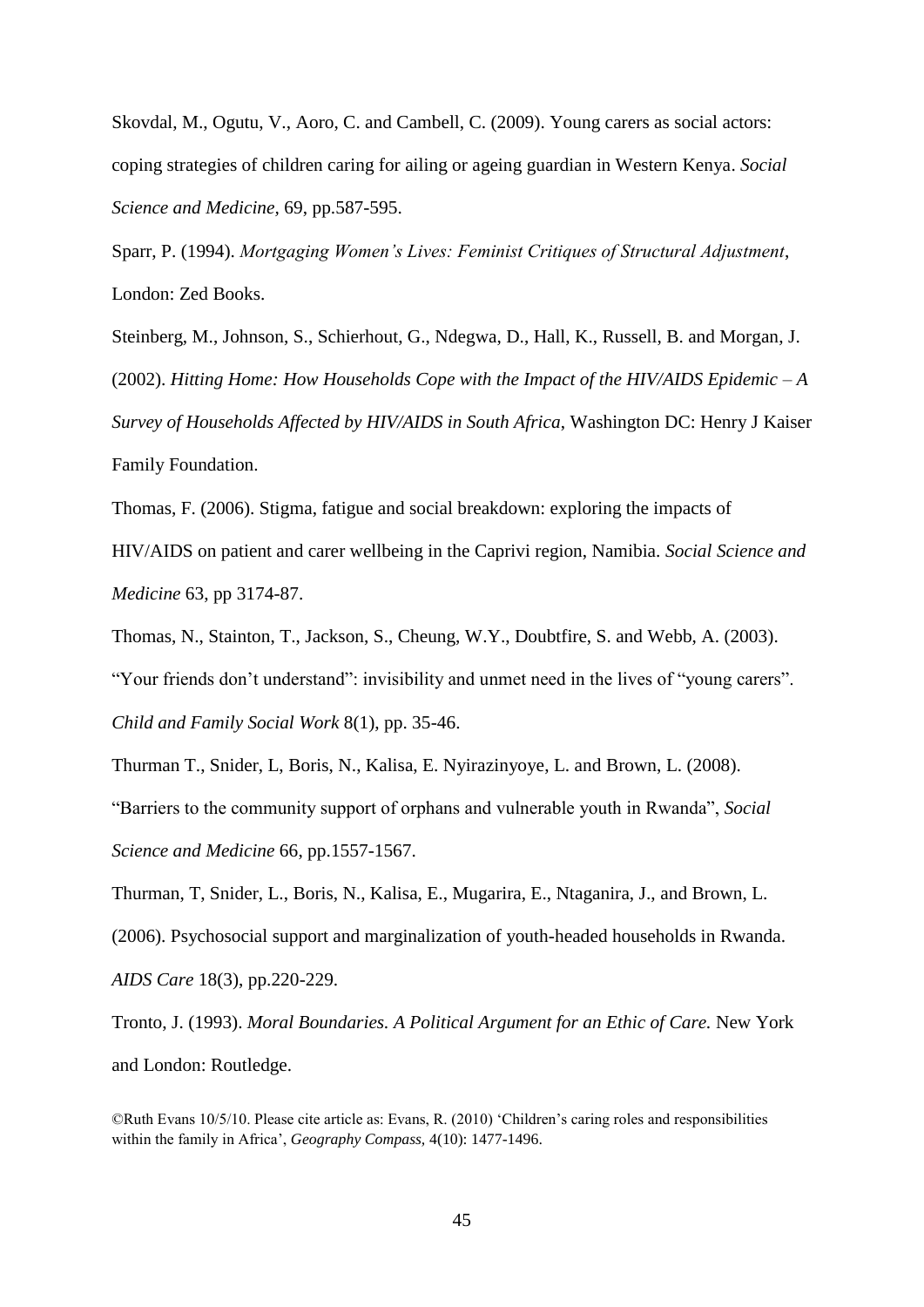Skovdal, M., Ogutu, V., Aoro, C. and Cambell, C. (2009). Young carers as social actors: coping strategies of children caring for ailing or ageing guardian in Western Kenya. *Social Science and Medicine,* 69, pp.587-595.

Sparr, P. (1994). *Mortgaging Women's Lives: Feminist Critiques of Structural Adjustment*, London: Zed Books.

Steinberg, M., Johnson, S., Schierhout, G., Ndegwa, D., Hall, K., Russell, B. and Morgan, J. (2002). *Hitting Home: How Households Cope with the Impact of the HIV/AIDS Epidemic – A Survey of Households Affected by HIV/AIDS in South Africa*, Washington DC: Henry J Kaiser Family Foundation.

Thomas, F. (2006). Stigma, fatigue and social breakdown: exploring the impacts of HIV/AIDS on patient and carer wellbeing in the Caprivi region, Namibia. *Social Science and Medicine* 63, pp 3174-87.

Thomas, N., Stainton, T., Jackson, S., Cheung, W.Y., Doubtfire, S. and Webb, A. (2003). "Your friends don"t understand": invisibility and unmet need in the lives of "young carers". *Child and Family Social Work* 8(1), pp. 35-46.

Thurman T., Snider, L, Boris, N., Kalisa, E. Nyirazinyoye, L. and Brown, L. (2008). "Barriers to the community support of orphans and vulnerable youth in Rwanda", *Social Science and Medicine* 66, pp.1557-1567.

Thurman, T, Snider, L., Boris, N., Kalisa, E., Mugarira, E., Ntaganira, J., and Brown, L. (2006). Psychosocial support and marginalization of youth-headed households in Rwanda. *AIDS Care* 18(3), pp.220-229.

Tronto, J. (1993). *Moral Boundaries. A Political Argument for an Ethic of Care.* New York and London: Routledge.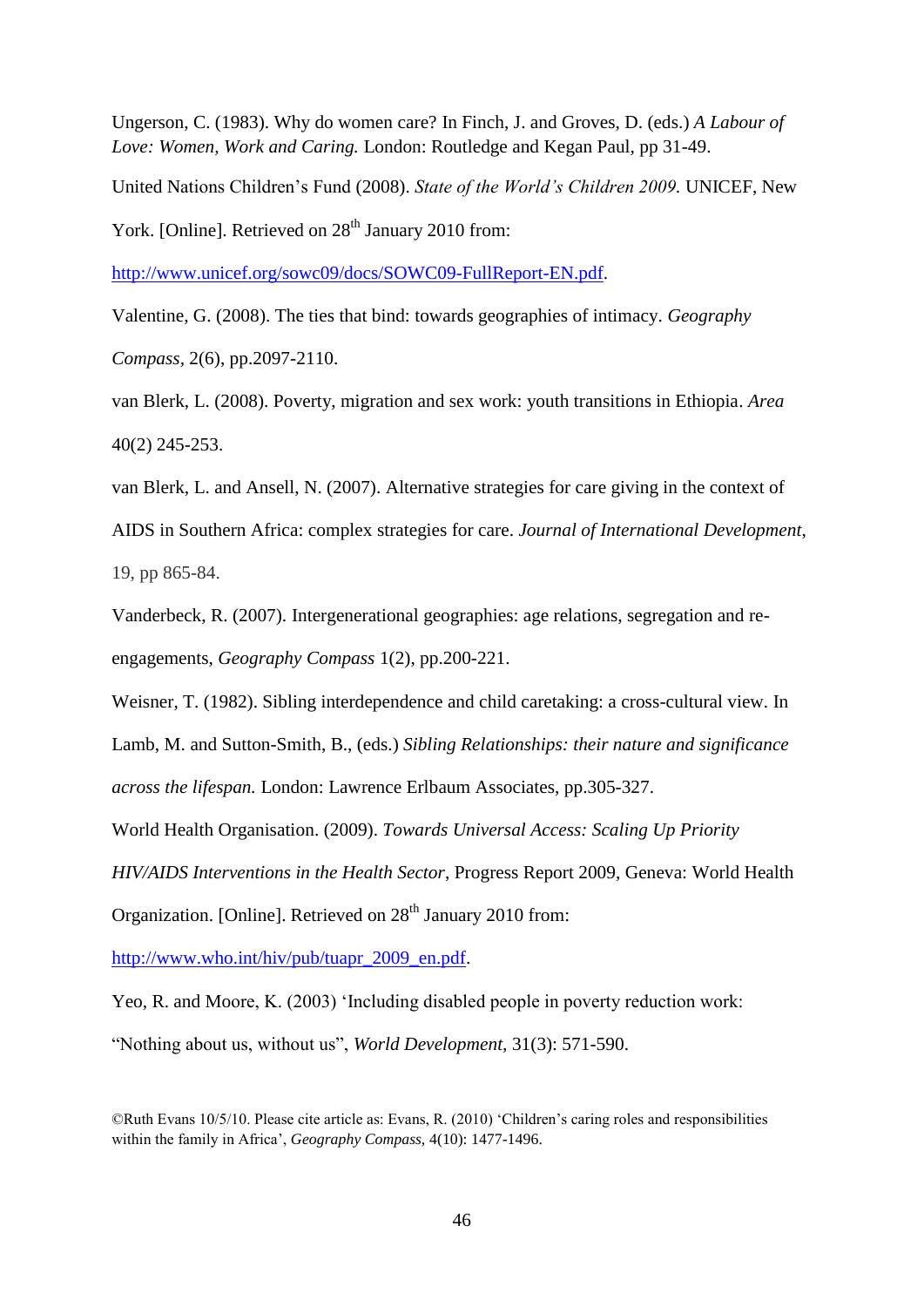Ungerson, C. (1983). Why do women care? In Finch, J. and Groves, D. (eds.) *A Labour of Love: Women, Work and Caring.* London: Routledge and Kegan Paul, pp 31-49.

United Nations Children"s Fund (2008). *State of the World's Children 2009.* UNICEF, New

York. [Online]. Retrieved on  $28<sup>th</sup>$  January 2010 from:

[http://www.unicef.org/sowc09/docs/SOWC09-FullReport-EN.pdf.](http://www.unicef.org/sowc09/docs/SOWC09-FullReport-EN.pdf)

Valentine, G. (2008). The ties that bind: towards geographies of intimacy. *Geography Compass,* 2(6), pp.2097-2110.

van Blerk, L. (2008). Poverty, migration and sex work: youth transitions in Ethiopia. *Area*  40(2) 245-253.

van Blerk, L. and Ansell, N. (2007). Alternative strategies for care giving in the context of AIDS in Southern Africa: complex strategies for care. *Journal of International Development*,

19, pp 865-84.

Vanderbeck, R. (2007). Intergenerational geographies: age relations, segregation and reengagements, *Geography Compass* 1(2), pp.200-221.

Weisner, T. (1982). Sibling interdependence and child caretaking: a cross-cultural view. In

Lamb, M. and Sutton-Smith, B., (eds.) *Sibling Relationships: their nature and significance* 

*across the lifespan.* London: Lawrence Erlbaum Associates, pp.305-327.

World Health Organisation. (2009). *Towards Universal Access: Scaling Up Priority* 

*HIV/AIDS Interventions in the Health Sector*, Progress Report 2009, Geneva: World Health

Organization. [Online]. Retrieved on  $28<sup>th</sup>$  January 2010 from:

[http://www.who.int/hiv/pub/tuapr\\_2009\\_en.pdf.](http://www.who.int/hiv/pub/tuapr_2009_en.pdf)

Yeo, R. and Moore, K. (2003) "Including disabled people in poverty reduction work:

"Nothing about us, without us", *World Development,* 31(3): 571-590.

<sup>©</sup>Ruth Evans 10/5/10. Please cite article as: Evans, R. (2010) "Children"s caring roles and responsibilities within the family in Africa", *Geography Compass,* 4(10): 1477-1496.